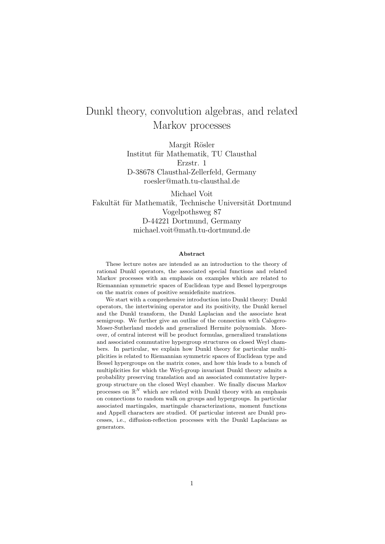# Dunkl theory, convolution algebras, and related Markov processes

Margit Rösler Institut für Mathematik, TU Clausthal Erzstr. 1 D-38678 Clausthal-Zellerfeld, Germany roesler@math.tu-clausthal.de

Michael Voit Fakultät für Mathematik, Technische Universität Dortmund Vogelpothsweg 87 D-44221 Dortmund, Germany michael.voit@math.tu-dortmund.de

#### Abstract

These lecture notes are intended as an introduction to the theory of rational Dunkl operators, the associated special functions and related Markov processes with an emphasis on examples which are related to Riemannian symmetric spaces of Euclidean type and Bessel hypergroups on the matrix cones of positive semidefinite matrices.

We start with a comprehensive introduction into Dunkl theory: Dunkl operators, the intertwining operator and its positivity, the Dunkl kernel and the Dunkl transform, the Dunkl Laplacian and the associate heat semigroup. We further give an outline of the connection with Calogero-Moser-Sutherland models and generalized Hermite polynomials. Moreover, of central interest will be product formulas, generalized translations and associated commutative hypergroup structures on closed Weyl chambers. In particular, we explain how Dunkl theory for particular multiplicities is related to Riemannian symmetric spaces of Euclidean type and Bessel hypergroups on the matrix cones, and how this leads to a bunch of multiplicities for which the Weyl-group invariant Dunkl theory admits a probability preserving translation and an associated commutative hypergroup structure on the closed Weyl chamber. We finally discuss Markov processes on  $\mathbb{R}^N$  which are related with Dunkl theory with an emphasis on connections to random walk on groups and hypergroups. In particular associated martingales, martingale characterizations, moment functions and Appell characters are studied. Of particular interest are Dunkl processes, i.e., diffusion-reflection processes with the Dunkl Laplacians as generators.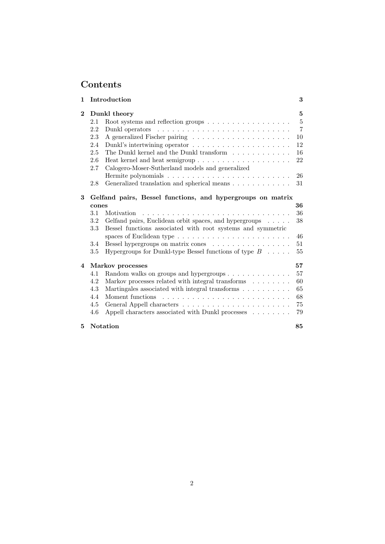## Contents

|              | Introduction                                                                                                                                                                          | 3                                |
|--------------|---------------------------------------------------------------------------------------------------------------------------------------------------------------------------------------|----------------------------------|
| $\mathbf{2}$ | Dunkl theory                                                                                                                                                                          | 5                                |
|              | 2.1<br>Root systems and reflection groups $\dots \dots \dots \dots \dots \dots$                                                                                                       | 5                                |
|              | 2.2                                                                                                                                                                                   | $\overline{7}$                   |
|              | 2.3                                                                                                                                                                                   | 10                               |
|              | 2.4                                                                                                                                                                                   | 12                               |
|              | The Dunkl kernel and the Dunkl transform<br>2.5                                                                                                                                       | 16                               |
|              | 2.6<br>Heat kernel and heat semigroup                                                                                                                                                 | 22                               |
|              | Calogero-Moser-Sutherland models and generalized<br>2.7                                                                                                                               |                                  |
|              |                                                                                                                                                                                       | 26                               |
|              | Generalized translation and spherical means<br>2.8                                                                                                                                    | 31                               |
|              | cones<br>3.1<br>Motivation<br>$3.2\,$<br>Gelfand pairs, Euclidean orbit spaces, and hypergroups $\ldots \ldots$<br>3.3<br>Bessel functions associated with root systems and symmetric |                                  |
|              | spaces of Euclidean type $\dots \dots \dots \dots \dots \dots \dots \dots$<br>Bessel hypergroups on matrix cones<br>3.4                                                               |                                  |
|              | 3.5<br>Hypergroups for Dunkl-type Bessel functions of type $B \dots$ .                                                                                                                | 36<br>36<br>38<br>46<br>51<br>55 |
|              | Markov processes                                                                                                                                                                      |                                  |
|              | 4.1<br>Random walks on groups and hypergroups                                                                                                                                         |                                  |
|              | Markov processes related with integral transforms $\ldots \ldots$<br>4.2                                                                                                              | 57<br>57<br>60                   |
|              | Martingales associated with integral transforms<br>4.3                                                                                                                                | 65                               |
|              | 4.4<br>Moment functions                                                                                                                                                               | 68                               |
|              | 4.5                                                                                                                                                                                   | 75                               |
| 4            | Appell characters associated with Dunkl processes $\hfill\ldots\ldots\ldots$<br>4.6                                                                                                   | 79                               |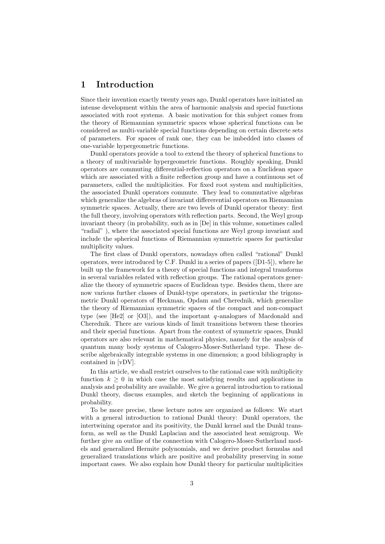### 1 Introduction

Since their invention exactly twenty years ago, Dunkl operators have initiated an intense development within the area of harmonic analysis and special functions associated with root systems. A basic motivation for this subject comes from the theory of Riemannian symmetric spaces whose spherical functions can be considered as multi-variable special functions depending on certain discrete sets of parameters. For spaces of rank one, they can be imbedded into classes of one-variable hypergeometric functions.

Dunkl operators provide a tool to extend the theory of spherical functions to a theory of multivariable hypergeometric functions. Roughly speaking, Dunkl operators are commuting differential-reflection operators on a Euclidean space which are associated with a finite reflection group and have a continuous set of parameters, called the multiplicities. For fixed root system and multiplicities, the associated Dunkl operators commute. They lead to commutative algebras which generalize the algebras of invariant differerential operators on Riemannian symmetric spaces. Actually, there are two levels of Dunkl operator theory: first the full theory, involving operators with reflection parts. Second, the Weyl group invariant theory (in probability, such as in [De] in this volume, sometimes called "radial" ), where the associated special functions are Weyl group invariant and include the spherical functions of Riemannian symmetric spaces for particular multiplicity values.

The first class of Dunkl operators, nowadays often called "rational" Dunkl operators, were introduced by C.F. Dunkl in a series of papers ([D1-5]), where he built up the framework for a theory of special functions and integral transforms in several variables related with reflection groups. The rational operators generalize the theory of symmetric spaces of Euclidean type. Besides them, there are now various further classes of Dunkl-type operators, in particular the trigonometric Dunkl operators of Heckman, Opdam and Cherednik, which generalize the theory of Riemannian symmetric spaces of the compact and non-compact type (see  $[He2]$  or  $[O3]$ ), and the important q-analogues of Macdonald and Cherednik. There are various kinds of limit transitions between these theories and their special functions. Apart from the context of symmetric spaces, Dunkl operators are also relevant in mathematical physics, namely for the analysis of quantum many body systems of Calogero-Moser-Sutherland type. These describe algebraically integrable systems in one dimension; a good bibliography is contained in [vDV].

In this article, we shall restrict ourselves to the rational case with multiplicity function  $k \geq 0$  in which case the most satisfying results and applications in analysis and probability are available. We give a general introduction to rational Dunkl theory, discuss examples, and sketch the beginning of applications in probability.

To be more precise, these lecture notes are organized as follows: We start with a general introduction to rational Dunkl theory: Dunkl operators, the intertwining operator and its positivity, the Dunkl kernel and the Dunkl transform, as well as the Dunkl Laplacian and the associated heat semigroup. We further give an outline of the connection with Calogero-Moser-Sutherland models and generalized Hermite polynomials, and we derive product formulas and generalized translations which are positive and probability preserving in some important cases. We also explain how Dunkl theory for particular multiplicities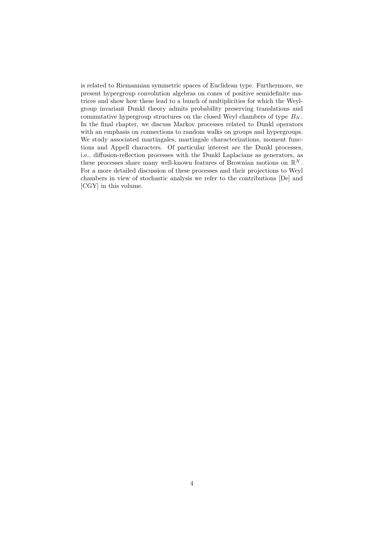is related to Riemannian symmetric spaces of Euclidean type. Furthermore, we present hypergroup convolution algebras on cones of positive semidefinite matrices and show how these lead to a bunch of multiplicities for which the Weylgroup invariant Dunkl theory admits probability preserving translations and commutative hypergroup structures on the closed Weyl chambers of type  $B_N$ . In the final chapter, we discuss Markov processes related to Dunkl operators with an emphasis on connections to random walks on groups and hypergroups. We study associated martingales, martingale characterizations, moment functions and Appell characters. Of particular interest are the Dunkl processes, i.e., diffusion-reflection processes with the Dunkl Laplacians as generators, as these processes share many well-known features of Brownian motions on  $\mathbb{R}^N$ . For a more detailed discussion of these processes and their projections to Weyl chambers in view of stochastic analysis we refer to the contributions [De] and [CGY] in this volume.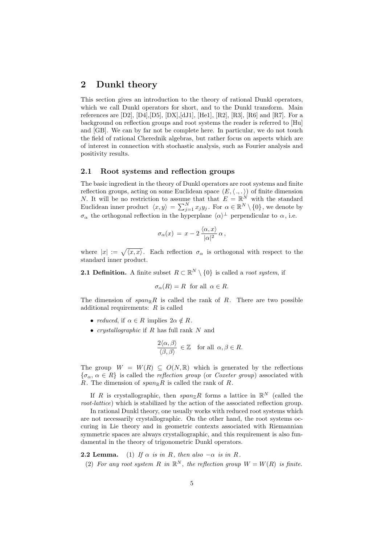### 2 Dunkl theory

This section gives an introduction to the theory of rational Dunkl operators, which we call Dunkl operators for short, and to the Dunkl transform. Main references are  $[D2]$ ,  $[D4]$ ,  $[D5]$ ,  $[DX]$ ,  $[dJ1]$ ,  $[He1]$ ,  $[R2]$ ,  $[R3]$ ,  $[R6]$  and  $[R7]$ . For a background on reflection groups and root systems the reader is referred to [Hu] and [GB]. We can by far not be complete here. In particular, we do not touch the field of rational Cherednik algebras, but rather focus on aspects which are of interest in connection with stochastic analysis, such as Fourier analysis and positivity results.

#### 2.1 Root systems and reflection groups

The basic ingredient in the theory of Dunkl operators are root systems and finite reflection groups, acting on some Euclidean space  $(E, \langle , , . \rangle)$  of finite dimension N. It will be no restriction to assume that that  $E = \mathbb{R}^N$  with the standard Euclidean inner product  $\langle x, y \rangle = \sum_{j=1}^{N} x_j y_j$ . For  $\alpha \in \mathbb{R}^N \setminus \{0\}$ , we denote by  $\sigma_{\alpha}$  the orthogonal reflection in the hyperplane  $\langle \alpha \rangle^{\perp}$  perpendicular to  $\alpha$ , i.e.

$$
\sigma_{\alpha}(x) = x - 2 \frac{\langle \alpha, x \rangle}{|\alpha|^2} \alpha,
$$

where  $|x| := \sqrt{\langle x, x \rangle}$ . Each reflection  $\sigma_{\alpha}$  is orthogonal with respect to the standard inner product.

**2.1 Definition.** A finite subset  $R \subset \mathbb{R}^N \setminus \{0\}$  is called a *root system*, if

$$
\sigma_{\alpha}(R) = R \text{ for all } \alpha \in R.
$$

The dimension of  $span_{\mathbb{R}}R$  is called the rank of R. There are two possible additional requirements:  $R$  is called

- *reduced*, if  $\alpha \in R$  implies  $2\alpha \notin R$ .
- *crystallographic* if  $R$  has full rank  $N$  and

$$
\frac{2\langle \alpha, \beta \rangle}{\langle \beta, \beta \rangle} \in \mathbb{Z} \quad \text{for all } \alpha, \beta \in R.
$$

The group  $W = W(R) \subseteq O(N, \mathbb{R})$  which is generated by the reflections  ${\sigma_{\alpha}, \alpha \in R}$  is called the reflection group (or Coxeter group) associated with R. The dimension of  $span_{\mathbb{R}}R$  is called the rank of R.

If R is crystallographic, then  $span_{\mathbb{Z}}R$  forms a lattice in  $\mathbb{R}^N$  (called the root-lattice) which is stabilized by the action of the associated reflection group.

In rational Dunkl theory, one usually works with reduced root systems which are not necessarily crystallographic. On the other hand, the root systems occuring in Lie theory and in geometric contexts associated with Riemannian symmetric spaces are always crystallographic, and this requirement is also fundamental in the theory of trigonometric Dunkl operators.

**2.2 Lemma.** (1) If  $\alpha$  is in R, then also  $-\alpha$  is in R. (2) For any root system R in  $\mathbb{R}^N$ , the reflection group  $W = W(R)$  is finite.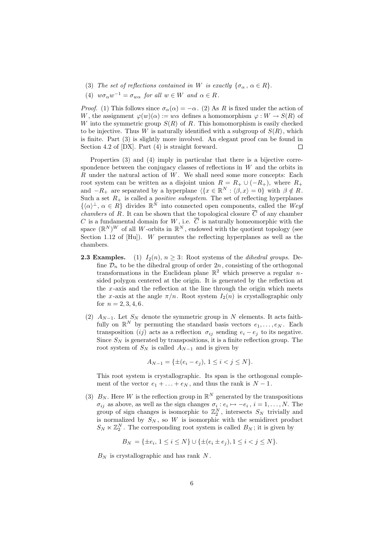- (3) The set of reflections contained in W is exactly  $\{\sigma_{\alpha}, \alpha \in R\}.$
- (4)  $w\sigma_\alpha w^{-1} = \sigma_{w\alpha}$  for all  $w \in W$  and  $\alpha \in R$ .

*Proof.* (1) This follows since  $\sigma_{\alpha}(\alpha) = -\alpha$ . (2) As R is fixed under the action of W, the assignment  $\varphi(w)(\alpha) := w\alpha$  defines a homomorphism  $\varphi : W \to S(R)$  of W into the symmetric group  $S(R)$  of R. This homomorphism is easily checked to be injective. Thus W is naturally identified with a subgroup of  $S(R)$ , which is finite. Part (3) is slightly more involved. An elegant proof can be found in Section 4.2 of [DX]. Part (4) is straight forward.  $\Box$ 

Properties (3) and (4) imply in particular that there is a bijective correspondence between the conjugacy classes of reflections in W and the orbits in  $R$  under the natural action of  $W$ . We shall need some more concepts: Each root system can be written as a disjoint union  $R = R_+ \cup (-R_+),$  where  $R_+$ and  $-R_+$  are separated by a hyperplane  $\langle \{x \in \mathbb{R}^N : \langle \beta, x \rangle = 0 \}$  with  $\beta \notin R$ . Such a set  $R_+$  is called a *positive subsystem*. The set of reflecting hyperplanes  $\{\langle \alpha \rangle^{\perp}, \alpha \in R\}$  divides  $\mathbb{R}^N$  into connected open components, called the Weyl *chambers* of R. It can be shown that the topological closure  $\overline{C}$  of any chamber C is a fundamental domain for  $W$ , i.e.  $\overline{C}$  is naturally homeomorphic with the space  $(\mathbb{R}^N)^W$  of all W-orbits in  $\mathbb{R}^N$ , endowed with the quotient topology (see Section 1.12 of  $[Hu]$ ). W permutes the reflecting hyperplanes as well as the chambers.

- **2.3 Examples.** (1)  $I_2(n)$ ,  $n \geq 3$ : Root systems of the *dihedral groups*. Define  $\mathcal{D}_n$  to be the dihedral group of order  $2n$ , consisting of the orthogonal transformations in the Euclidean plane  $\mathbb{R}^2$  which preserve a regular *n*sided polygon centered at the origin. It is generated by the reflection at the  $x$ -axis and the reflection at the line through the origin which meets the x-axis at the angle  $\pi/n$ . Root system  $I_2(n)$  is crystallographic only for  $n = 2, 3, 4, 6$ .
	- (2)  $A_{N-1}$ . Let  $S_N$  denote the symmetric group in N elements. It acts faithfully on  $\mathbb{R}^N$  by permuting the standard basis vectors  $e_1, \ldots, e_N$ . Each transposition (ij) acts as a reflection  $\sigma_{ij}$  sending  $e_i - e_j$  to its negative. Since  $S_N$  is generated by transpositions, it is a finite reflection group. The root system of  $S_N$  is called  $A_{N-1}$  and is given by

$$
A_{N-1} = \{ \pm (e_i - e_j), \ 1 \le i < j \le N \}.
$$

This root system is crystallographic. Its span is the orthogonal complement of the vector  $e_1 + \ldots + e_N$ , and thus the rank is  $N - 1$ .

(3)  $B_N$ . Here W is the reflection group in  $\mathbb{R}^N$  generated by the transpositions  $\sigma_{ij}$  as above, as well as the sign changes  $\sigma_i : e_i \mapsto -e_i$ ,  $i = 1, \ldots, N$ . The group of sign changes is isomorphic to  $\mathbb{Z}_2^N$ , intersects  $S_N$  trivially and is normalized by  $S_N$ , so W is isomorphic with the semidirect product  $S_N \ltimes \mathbb{Z}_2^N$ . The corresponding root system is called  $B_N$ ; it is given by

$$
B_N = \{\pm e_i, 1 \le i \le N\} \cup \{\pm (e_i \pm e_j), 1 \le i < j \le N\}.
$$

 $B_N$  is crystallographic and has rank N.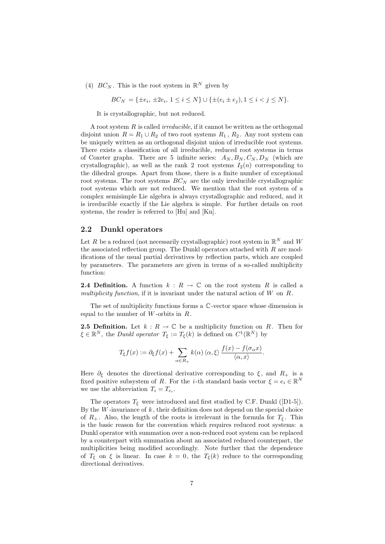(4)  $BC_N$ . This is the root system in  $\mathbb{R}^N$  given by

$$
BC_N = \{ \pm e_i, \, \pm 2e_i, \, 1 \le i \le N \} \cup \{ \pm (e_i \pm e_j), \, 1 \le i < j \le N \}.
$$

It is crystallographic, but not reduced.

A root system  $R$  is called *irreducible*, if it cannot be written as the orthogonal disjoint union  $R = R_1 \cup R_2$  of two root systems  $R_1, R_2$ . Any root system can be uniquely written as an orthogonal disjoint union of irreducible root systems. There exists a classification of all irreducible, reduced root systems in terms of Coxeter graphs. There are 5 infinite series:  $A_N, B_N, C_N, D_N$  (which are crystallographic), as well as the rank 2 root systems  $I_2(n)$  corresponding to the dihedral groups. Apart from those, there is a finite number of exceptional root systems. The root systems  $BC_N$  are the only irreducible crystallographic root systems which are not reduced. We mention that the root system of a complex semisimple Lie algebra is always crystallographic and reduced, and it is irreducible exactly if the Lie algebra is simple. For further details on root systems, the reader is referred to [Hu] and [Kn].

#### 2.2 Dunkl operators

Let R be a reduced (not necessarily crystallographic) root system in  $\mathbb{R}^N$  and W the associated reflection group. The Dunkl operators attached with  $R$  are modifications of the usual partial derivatives by reflection parts, which are coupled by parameters. The parameters are given in terms of a so-called multiplicity function:

**2.4 Definition.** A function  $k : R \to \mathbb{C}$  on the root system R is called a multiplicity function, if it is invariant under the natural action of  $W$  on  $R$ .

The set of multiplicity functions forms a C-vector space whose dimension is equal to the number of  $W$ -orbits in  $R$ .

**2.5 Definition.** Let  $k : R \to \mathbb{C}$  be a multiplicity function on R. Then for  $\xi \in \mathbb{R}^N$ , the *Dunkl operator*  $T_{\xi} := T_{\xi}(k)$  is defined on  $C^1(\mathbb{R}^N)$  by

$$
T_{\xi}f(x) := \partial_{\xi}f(x) + \sum_{\alpha \in R_+} k(\alpha) \langle \alpha, \xi \rangle \frac{f(x) - f(\sigma_{\alpha}x)}{\langle \alpha, x \rangle}.
$$

Here  $\partial_{\xi}$  denotes the directional derivative corresponding to  $\xi$ , and  $R_{+}$  is a fixed positive subsystem of R. For the *i*-th standard basis vector  $\xi = e_i \in \mathbb{R}^N$ we use the abbreviation  $T_i = T_{e_i}$ .

The operators  $T_{\xi}$  were introduced and first studied by C.F. Dunkl ([D1-5]). By the  $W$ -invariance of  $k$ , their definition does not depend on the special choice of  $R_+$ . Also, the length of the roots is irrelevant in the formula for  $T_{\xi}$ . This is the basic reason for the convention which requires reduced root systems: a Dunkl operator with summation over a non-reduced root system can be replaced by a counterpart with summation about an associated reduced counterpart, the multiplicities being modified accordingly. Note further that the dependence of  $T_{\xi}$  on  $\xi$  is linear. In case  $k = 0$ , the  $T_{\xi}(k)$  reduce to the corresponding directional derivatives.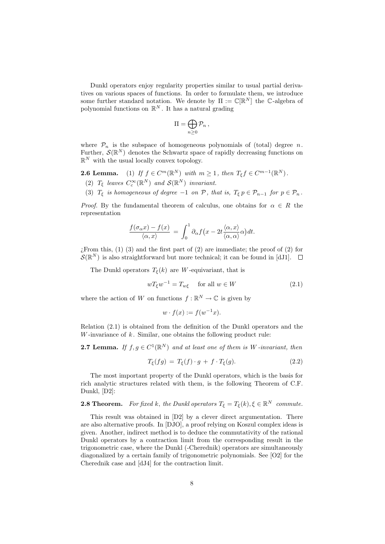Dunkl operators enjoy regularity properties similar to usual partial derivatives on various spaces of functions. In order to formulate them, we introduce some further standard notation. We denote by  $\Pi := \mathbb{C}[\mathbb{R}^N]$  the C-algebra of polynomial functions on  $\mathbb{R}^N$ . It has a natural grading

$$
\Pi=\bigoplus_{n\geq 0} \mathcal{P}_n\,,
$$

where  $\mathcal{P}_n$  is the subspace of homogeneous polynomials of (total) degree n. Further,  $\mathcal{S}(\mathbb{R}^N)$  denotes the Schwartz space of rapidly decreasing functions on  $\mathbb{R}^N$  with the usual locally convex topology.

**2.6 Lemma.** (1) If  $f \in C^m(\mathbb{R}^N)$  with  $m \ge 1$ , then  $T_{\xi} f \in C^{m-1}(\mathbb{R}^N)$ .

- (2)  $T_{\xi}$  leaves  $C_c^{\infty}(\mathbb{R}^N)$  and  $\mathcal{S}(\mathbb{R}^N)$  invariant.
- (3)  $T_{\xi}$  is homogeneous of degree  $-1$  on  $\mathcal{P}$ , that is,  $T_{\xi} p \in \mathcal{P}_{n-1}$  for  $p \in \mathcal{P}_n$ .

*Proof.* By the fundamental theorem of calculus, one obtains for  $\alpha \in R$  the representation

$$
\frac{f(\sigma_\alpha x)-f(x)}{\langle \alpha, x \rangle} = \int_0^1 \partial_\alpha f(x-2t\frac{\langle \alpha, x \rangle}{\langle \alpha, \alpha \rangle} \alpha) dt.
$$

 $\chi$ From this, (1) (3) and the first part of (2) are immediate; the proof of (2) for  $\mathcal{S}(\mathbb{R}^N)$  is also straightforward but more technical; it can be found in [dJ1].

The Dunkl operators  $T_{\xi}(k)$  are W-equivariant, that is

$$
wT_{\xi}w^{-1} = T_{w\xi} \quad \text{for all } w \in W \tag{2.1}
$$

where the action of W on functions  $f : \mathbb{R}^N \to \mathbb{C}$  is given by

$$
w \cdot f(x) := f(w^{-1}x).
$$

Relation (2.1) is obtained from the definition of the Dunkl operators and the W-invariance of  $k$ . Similar, one obtains the following product rule:

**2.7 Lemma.** If  $f, g \in C^1(\mathbb{R}^N)$  and at least one of them is W-invariant, then

$$
T_{\xi}(fg) = T_{\xi}(f) \cdot g + f \cdot T_{\xi}(g). \tag{2.2}
$$

The most important property of the Dunkl operators, which is the basis for rich analytic structures related with them, is the following Theorem of C.F. Dunkl, [D2]:

**2.8 Theorem.** For fixed k, the Dunkl operators  $T_{\xi} = T_{\xi}(k), \xi \in \mathbb{R}^{N}$  commute.

This result was obtained in [D2] by a clever direct argumentation. There are also alternative proofs. In [DJO], a proof relying on Koszul complex ideas is given. Another, indirect method is to deduce the commutativity of the rational Dunkl operators by a contraction limit from the corresponding result in the trigonometric case, where the Dunkl (-Cherednik) operators are simultaneously diagonalized by a certain family of trigonometric polynomials. See [O2] for the Cherednik case and [dJ4] for the contraction limit.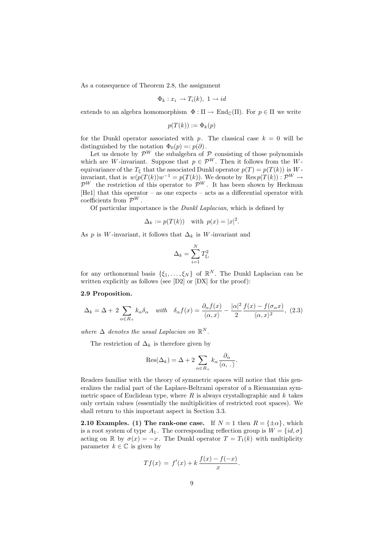As a consequence of Theorem 2.8, the assignment

$$
\Phi_k: x_i \to T_i(k), \ 1 \to id
$$

extends to an algebra homomorphism  $\Phi : \Pi \to \text{End}_{\mathbb{C}}(\Pi)$ . For  $p \in \Pi$  we write

$$
p(T(k)) := \Phi_k(p)
$$

for the Dunkl operator associated with p. The classical case  $k = 0$  will be distinguished by the notation  $\Phi_0(p) =: p(\partial)$ .

Let us denote by  $\mathcal{P}^W$  the subalgebra of  $\mathcal P$  consisting of those polynomials which are W-invariant. Suppose that  $p \in \mathcal{P}^W$ . Then it follows from the Wequivariance of the  $T_{\xi}$  that the associated Dunkl operator  $p(T) = p(T(k))$  is Winvariant, that is  $w(p(T(k))w^{-1} = p(T(k))$ . We denote by  $\text{Res } p(T(k)) : \mathcal{P}^W \to$  $\mathcal{P}^W$  the restriction of this operator to  $\mathcal{P}^W$ . It has been shown by Heckman [He1] that this operator – as one expects – acts as a differential operator with coefficients from  $\mathcal{P}^W$ .

Of particular importance is the Dunkl Laplacian, which is defined by

$$
\Delta_k := p(T(k)) \quad \text{with } p(x) = |x|^2.
$$

As p is W-invariant, it follows that  $\Delta_k$  is W-invariant and

$$
\Delta_k = \sum_{i=1}^N T_{\xi_i}^2
$$

for any orthonormal basis  $\{\xi_1, \ldots, \xi_N\}$  of  $\mathbb{R}^N$ . The Dunkl Laplacian can be written explicitly as follows (see [D2] or [DX] for the proof):

#### 2.9 Proposition.

$$
\Delta_k = \Delta + 2 \sum_{\alpha \in R_+} k_\alpha \delta_\alpha \quad \text{with} \quad \delta_\alpha f(x) = \frac{\partial_\alpha f(x)}{\langle \alpha, x \rangle} - \frac{|\alpha|^2}{2} \frac{f(x) - f(\sigma_\alpha x)}{\langle \alpha, x \rangle^2}, \tag{2.3}
$$

where  $\Delta$  denotes the usual Laplacian on  $\mathbb{R}^N$ .

The restriction of  $\Delta_k$  is therefore given by

$$
Res(\Delta_k) = \Delta + 2 \sum_{\alpha \in R_+} k_{\alpha} \frac{\partial_{\alpha}}{\langle \alpha, . \rangle}.
$$

Readers familiar with the theory of symmetric spaces will notice that this generalizes the radial part of the Laplace-Beltrami operator of a Riemannian symmetric space of Euclidean type, where  $R$  is always crystallographic and  $k$  takes only certain values (essentially the multiplicities of restricted root spaces). We shall return to this important aspect in Section 3.3.

**2.10 Examples.** (1) The rank-one case. If  $N = 1$  then  $R = \{\pm \alpha\}$ , which is a root system of type  $A_1$ . The corresponding reflection group is  $W = \{id, \sigma\}$ acting on R by  $\sigma(x) = -x$ . The Dunkl operator  $T = T_1(k)$  with multiplicity parameter  $k \in \mathbb{C}$  is given by

$$
Tf(x) = f'(x) + k \frac{f(x) - f(-x)}{x}.
$$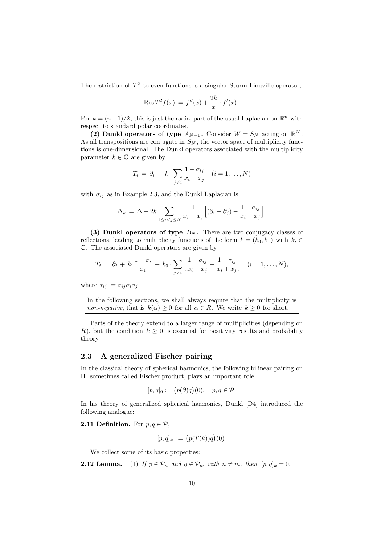The restriction of  $T^2$  to even functions is a singular Sturm-Liouville operator,

$$
ext{Res } T^2 f(x) = f''(x) + \frac{2k}{x} \cdot f'(x).
$$

For  $k = (n-1)/2$ , this is just the radial part of the usual Laplacian on  $\mathbb{R}^n$  with respect to standard polar coordinates.

(2) Dunkl operators of type  $A_{N-1}$ . Consider  $W = S_N$  acting on  $\mathbb{R}^N$ . As all transpositions are conjugate in  $S_N$ , the vector space of multiplicity functions is one-dimensional. The Dunkl operators associated with the multiplicity parameter  $k \in \mathbb{C}$  are given by

$$
T_i = \partial_i + k \cdot \sum_{j \neq i} \frac{1 - \sigma_{ij}}{x_i - x_j} \quad (i = 1, \dots, N)
$$

with  $\sigma_{ij}$  as in Example 2.3, and the Dunkl Laplacian is

$$
\Delta_k = \Delta + 2k \sum_{1 \le i < j \le N} \frac{1}{x_i - x_j} \Big[ (\partial_i - \partial_j) - \frac{1 - \sigma_{ij}}{x_i - x_j} \Big].
$$

(3) Dunkl operators of type  $B_N$ . There are two conjugacy classes of reflections, leading to multiplicity functions of the form  $k = (k_0, k_1)$  with  $k_i \in$ C. The associated Dunkl operators are given by

$$
T_i = \partial_i + k_1 \frac{1 - \sigma_i}{x_i} + k_0 \cdot \sum_{j \neq i} \left[ \frac{1 - \sigma_{ij}}{x_i - x_j} + \frac{1 - \tau_{ij}}{x_i + x_j} \right] \quad (i = 1, ..., N),
$$

where  $\tau_{ij} := \sigma_{ij}\sigma_i\sigma_j$ .

In the following sections, we shall always require that the multiplicity is non-negative, that is  $k(\alpha) \geq 0$  for all  $\alpha \in R$ . We write  $k \geq 0$  for short.

Parts of the theory extend to a larger range of multiplicities (depending on R), but the condition  $k \geq 0$  is essential for positivity results and probability theory.

#### 2.3 A generalized Fischer pairing

In the classical theory of spherical harmonics, the following bilinear pairing on Π, sometimes called Fischer product, plays an important role:

$$
[p, q]_0 := (p(\partial)q)(0), \quad p, q \in \mathcal{P}.
$$

In his theory of generalized spherical harmonics, Dunkl [D4] introduced the following analogue:

**2.11 Definition.** For  $p, q \in \mathcal{P}$ ,

$$
[p,q]_k := (p(T(k))q)(0).
$$

We collect some of its basic properties:

**2.12 Lemma.** (1) If  $p \in \mathcal{P}_n$  and  $q \in \mathcal{P}_m$  with  $n \neq m$ , then  $[p, q]_k = 0$ .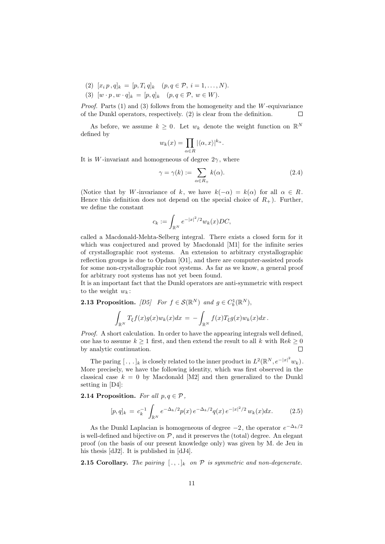- (2)  $[x_i p, q]_k = [p, T_i q]_k$   $(p, q \in \mathcal{P}, i = 1, ..., N).$
- (3)  $[w \cdot p, w \cdot q]_k = [p, q]_k \quad (p, q \in \mathcal{P}, w \in W).$

*Proof.* Parts  $(1)$  and  $(3)$  follows from the homogeneity and the W-equivariance of the Dunkl operators, respectively. (2) is clear from the definition.  $\Box$ 

As before, we assume  $k \geq 0$ . Let  $w_k$  denote the weight function on  $\mathbb{R}^N$ defined by

$$
w_k(x) = \prod_{\alpha \in R} |\langle \alpha, x \rangle|^{k_{\alpha}}.
$$

It is W-invariant and homogeneous of degree  $2\gamma$ , where

$$
\gamma = \gamma(k) := \sum_{\alpha \in R_+} k(\alpha). \tag{2.4}
$$

(Notice that by W-invariance of k, we have  $k(-\alpha) = k(\alpha)$  for all  $\alpha \in R$ . Hence this definition does not depend on the special choice of  $R_+$ ). Further, we define the constant

$$
c_k := \int_{\mathbb{R}^N} e^{-|x|^2/2} w_k(x) DC,
$$

called a Macdonald-Mehta-Selberg integral. There exists a closed form for it which was conjectured and proved by Macdonald [M1] for the infinite series of crystallographic root systems. An extension to arbitrary crystallographic reflection groups is due to Opdam [O1], and there are computer-assisted proofs for some non-crystallographic root systems. As far as we know, a general proof for arbitrary root systems has not yet been found.

It is an important fact that the Dunkl operators are anti-symmetric with respect to the weight  $w_k$ :

**2.13 Proposition.** [D5] For  $f \in \mathcal{S}(\mathbb{R}^N)$  and  $g \in C_b^1(\mathbb{R}^N)$ ,

$$
\int_{\mathbb{R}^N} T_{\xi}f(x)g(x)w_k(x)dx = -\int_{\mathbb{R}^N} f(x)T_{\xi}g(x)w_k(x)dx.
$$

Proof. A short calculation. In order to have the appearing integrals well defined, one has to assume  $k \geq 1$  first, and then extend the result to all k with  $\text{Re}k \geq 0$ by analytic continuation.  $\Box$ 

The paring  $[\,.\,,.\,]_k$  is closely related to the inner product in  $L^2(\mathbb{R}^N,e^{-|x|^2}w_k)$ . More precisely, we have the following identity, which was first observed in the classical case  $k = 0$  by Macdonald [M2] and then generalized to the Dunkl setting in [D4]:

**2.14 Proposition.** For all  $p, q \in \mathcal{P}$ ,

$$
[p,q]_k = c_k^{-1} \int_{\mathbb{R}^N} e^{-\Delta_k/2} p(x) e^{-\Delta_k/2} q(x) e^{-|x|^2/2} w_k(x) dx.
$$
 (2.5)

As the Dunkl Laplacian is homogeneous of degree  $-2$ , the operator  $e^{-\Delta_k/2}$ is well-defined and bijective on  $P$ , and it preserves the (total) degree. An elegant proof (on the basis of our present knowledge only) was given by M. de Jeu in his thesis [dJ2]. It is published in [dJ4].

**2.15 Corollary.** The pairing  $[\cdot, \cdot]_k$  on  $\mathcal P$  is symmetric and non-degenerate.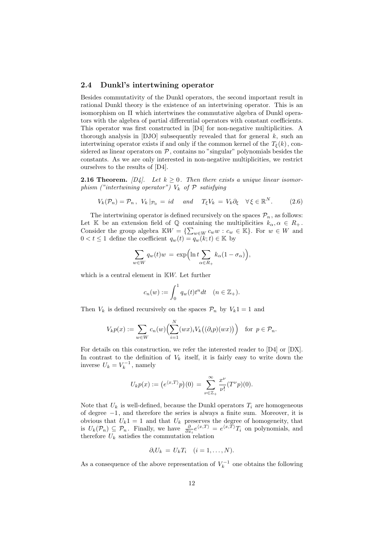#### 2.4 Dunkl's intertwining operator

Besides commutativity of the Dunkl operators, the second important result in rational Dunkl theory is the existence of an intertwining operator. This is an isomorphism on Π which intertwines the commutative algebra of Dunkl operators with the algebra of partial differential operators with constant coefficients. This operator was first constructed in [D4] for non-negative multiplicities. A thorough analysis in  $[DJO]$  subsequently revealed that for general k, such an intertwining operator exists if and only if the common kernel of the  $T_{\xi}(k)$ , considered as linear operators on  $P$ , contains no "singular" polynomials besides the constants. As we are only interested in non-negative multiplicities, we restrict ourselves to the results of [D4].

**2.16 Theorem.** [D4]. Let  $k \geq 0$ . Then there exists a unique linear isomorphism ("intertwining operator")  $V_k$  of  $P$  satisfying

$$
V_k(\mathcal{P}_n) = \mathcal{P}_n, \quad V_k|_{\mathcal{P}_0} = id \quad and \quad T_{\xi}V_k = V_k\partial_{\xi} \quad \forall \xi \in \mathbb{R}^N. \tag{2.6}
$$

The intertwining operator is defined recursively on the spaces  $\mathcal{P}_n$ , as follows: Let K be an extension field of Q containing the multiplicities  $k_{\alpha}, \alpha \in R_+$ . Consider the group algebra  $\mathbb{K}W = \{\sum_{w \in W} c_w w : c_w \in \mathbb{K}\}\.$  For  $w \in W$  and  $0 < t \leq 1$  define the coefficient  $q_w(t) = q_w(k; t) \in \mathbb{K}$  by

$$
\sum_{w \in W} q_w(t)w = \exp\Bigl(\ln t \sum_{\alpha \in R_+} k_\alpha (1 - \sigma_\alpha)\Bigr),
$$

which is a central element in KW. Let further

$$
c_n(w) := \int_0^1 q_w(t)t^n dt \quad (n \in \mathbb{Z}_+).
$$

Then  $V_k$  is defined recursively on the spaces  $\mathcal{P}_n$  by  $V_k1 = 1$  and

$$
V_k p(x) := \sum_{w \in W} c_n(w) \Big(\sum_{i=1}^N (wx)_i V_k((\partial_i p)(wx))\Big) \text{ for } p \in \mathcal{P}_n.
$$

For details on this construction, we refer the interested reader to [D4] or [DX]. In contrast to the definition of  $V_k$  itself, it is fairly easy to write down the inverse  $U_k = V_k^{-1}$ , namely

$$
U_k p(x) := (e^{\langle x, T \rangle} p)(0) = \sum_{\nu \in \mathbb{Z}_+}^{\infty} \frac{x^{\nu}}{\nu!} (T^{\nu} p)(0).
$$

Note that  $U_k$  is well-defined, because the Dunkl operators  $T_i$  are homogeneous of degree −1, and therefore the series is always a finite sum. Moreover, it is obvious that  $U_k 1 = 1$  and that  $U_k$  preserves the degree of homogeneity, that is  $U_k(\mathcal{P}_n) \subseteq \mathcal{P}_n$ . Finally, we have  $\frac{\partial}{\partial x_i} e^{\langle x,T \rangle} = e^{\langle x,T \rangle} T_i$  on polynomials, and therefore  $U_k$  satisfies the commutation relation

$$
\partial_i U_k = U_k T_i \quad (i = 1, \dots, N).
$$

As a consequence of the above representation of  $V_k^{-1}$  one obtains the following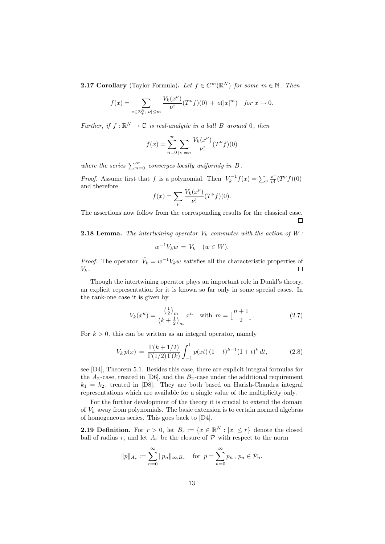**2.17 Corollary** (Taylor Formula). Let  $f \in C^m(\mathbb{R}^N)$  for some  $m \in \mathbb{N}$ . Then

$$
f(x) = \sum_{\nu \in \mathbb{Z}_+^N, |\nu| \le m} \frac{V_k(x^{\nu})}{\nu!} (T^{\nu} f)(0) + o(|x|^m) \quad \text{for } x \to 0.
$$

Further, if  $f: \mathbb{R}^N \to \mathbb{C}$  is real-analytic in a ball B around 0, then

$$
f(x) = \sum_{n=0}^{\infty} \sum_{|\nu|=n} \frac{V_k(x^{\nu})}{\nu!} (T^{\nu} f)(0)
$$

where the series  $\sum_{n=0}^{\infty}$  converges locally uniformly in B.

*Proof.* Assume first that f is a polynomial. Then  $V_k^{-1}f(x) = \sum_{\nu} \frac{x^{\nu}}{\nu!}$  $\frac{x^{\nu}}{\nu!}(T^{\nu}f)(0)$ and therefore

$$
f(x) = \sum_{\nu} \frac{V_k(x^{\nu})}{\nu!} (T^{\nu} f)(0).
$$

The assertions now follow from the corresponding results for the classical case.  $\Box$ 

**2.18 Lemma.** The intertwining operator  $V_k$  commutes with the action of  $W$ :

$$
w^{-1}V_kw = V_k \quad (w \in W).
$$

*Proof.* The operator  $V_k = w^{-1}V_kw$  satisfies all the characteristic properties of  $\Box$  $V_k$ .

Though the intertwining operator plays an important role in Dunkl's theory, an explicit representation for it is known so far only in some special cases. In the rank-one case it is given by

$$
V_k(x^n) = \frac{\left(\frac{1}{2}\right)_m}{\left(k + \frac{1}{2}\right)_m} x^n \quad \text{with } m = \left\lfloor \frac{n+1}{2} \right\rfloor. \tag{2.7}
$$

For  $k > 0$ , this can be written as an integral operator, namely

$$
V_k p(x) = \frac{\Gamma(k + 1/2)}{\Gamma(1/2)\Gamma(k)} \int_{-1}^1 p(xt) (1 - t)^{k-1} (1 + t)^k dt,
$$
 (2.8)

see [D4], Theorem 5.1. Besides this case, there are explicit integral formulas for the  $A_2$ -case, treated in [D6], and the  $B_2$ -case under the additional requirement  $k_1 = k_2$ , treated in [D8]. They are both based on Harish-Chandra integral representations which are available for a single value of the multiplicity only.

For the further development of the theory it is crucial to extend the domain of  $V_k$  away from polynomials. The basic extension is to certain normed algebras of homogeneous series. This goes back to [D4].

**2.19 Definition.** For  $r > 0$ , let  $B_r := \{x \in \mathbb{R}^N : |x| \leq r\}$  denote the closed ball of radius r, and let  $A_r$  be the closure of  $P$  with respect to the norm

$$
||p||_{A_r} := \sum_{n=0}^{\infty} ||p_n||_{\infty, B_r}
$$
 for  $p = \sum_{n=0}^{\infty} p_n$ ,  $p_n \in \mathcal{P}_n$ .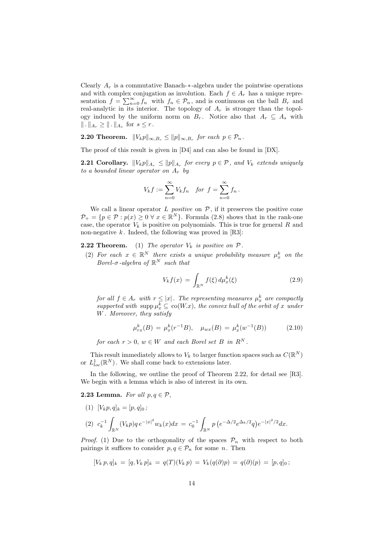Clearly  $A_r$  is a commutative Banach- $*$ -algebra under the pointwise operations and with complex conjugation as involution. Each  $f \in A_r$  has a unique representation  $f = \sum_{n=0}^{\infty} f_n$  with  $f_n \in \mathcal{P}_n$ , and is continuous on the ball  $B_r$  and real-analytic in its interior. The topology of  $A_r$  is stronger than the topology induced by the uniform norm on  $B_r$ . Notice also that  $A_r \subseteq A_s$  with  $\|\,.\,\|_{A_r} \geq \|\,.\,\|_{A_s}$  for  $s \leq r$ .

**2.20 Theorem.**  $||V_k p||_{\infty, B_r} \le ||p||_{\infty, B_r}$  for each  $p \in \mathcal{P}_n$ .

The proof of this result is given in [D4] and can also be found in [DX].

**2.21 Corollary.**  $||V_k p||_{A_r} \le ||p||_{A_r}$  for every  $p \in \mathcal{P}$ , and  $V_k$  extends uniquely to a bounded linear operator on  $A_r$  by

$$
V_k f := \sum_{n=0}^{\infty} V_k f_n \quad \text{for } f = \sum_{n=0}^{\infty} f_n \, .
$$

We call a linear operator  $L$  *positive* on  $P$ , if it preserves the positive cone  $\mathcal{P}_+ = \{p \in \mathcal{P} : p(x) \geq 0 \,\forall \, x \in \mathbb{R}^N\}.$  Formula (2.8) shows that in the rank-one case, the operator  $V_k$  is positive on polynomials. This is true for general R and non-negative  $k$ . Indeed, the following was proved in [R3]:

**2.22 Theorem.** (1) The operator  $V_k$  is positive on  $P$ .

(2) For each  $x \in \mathbb{R}^N$  there exists a unique probability measure  $\mu_x^k$  on the Borel- $\sigma$ -algebra of  $\mathbb{R}^N$  such that

$$
V_k f(x) = \int_{\mathbb{R}^N} f(\xi) d\mu_x^k(\xi)
$$
 (2.9)

for all  $f \in A_r$  with  $r \leq |x|$ . The representing measures  $\mu_x^k$  are compactly supported with  $\text{supp}\,\mu_x^k \subseteq \text{co}(W.x)$ , the convex hull of the orbit of x under W . Moreover, they satisfy

$$
\mu_{rx}^k(B) = \mu_x^k(r^{-1}B), \quad \mu_{wx}(B) = \mu_x^k(w^{-1}(B)) \tag{2.10}
$$

for each  $r > 0$ ,  $w \in W$  and each Borel set B in  $R^N$ .

This result immediately allows to  $V_k$  to larger function spaces such as  $C(\mathbb{R}^N)$ or  $L_{loc}^1(\mathbb{R}^N)$ . We shall come back to extensions later.

In the following, we outline the proof of Theorem 2.22, for detail see [R3]. We begin with a lemma which is also of interest in its own.

**2.23 Lemma.** For all  $p, q \in \mathcal{P}$ ,

(1) 
$$
[V_k p, q]_k = [p, q]_0;
$$
  
\n(2)  $c_k^{-1} \int_{\mathbb{R}^N} (V_k p) q e^{-|x|^2} w_k(x) dx = c_0^{-1} \int_{\mathbb{R}^N} p (e^{-\Delta/2} e^{\Delta_k/2} q) e^{-|x|^2/2} dx.$ 

*Proof.* (1) Due to the orthogonality of the spaces  $P_n$  with respect to both pairings it suffices to consider  $p, q \in \mathcal{P}_n$  for some n. Then

$$
[V_k p, q]_k = [q, V_k p]_k = q(T)(V_k p) = V_k(q(\partial)p) = q(\partial)(p) = [p, q]_0;
$$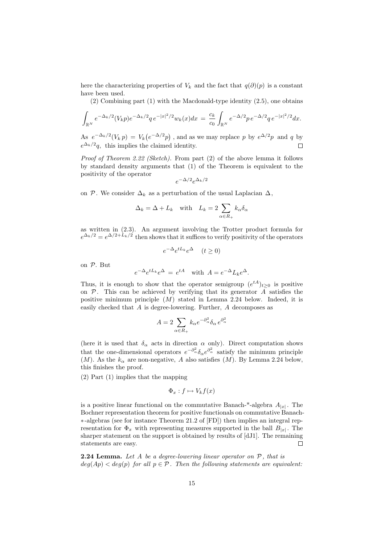here the characterizing properties of  $V_k$  and the fact that  $q(\partial)(p)$  is a constant have been used.

(2) Combining part (1) with the Macdonald-type identity (2.5), one obtains

$$
\int_{\mathbb{R}^N} e^{-\Delta_k/2} (V_k p) e^{-\Delta_k/2} q e^{-|x|^2/2} w_k(x) dx = \frac{c_k}{c_0} \int_{\mathbb{R}^N} e^{-\Delta/2} p e^{-\Delta/2} q e^{-|x|^2/2} dx.
$$

As  $e^{-\Delta_k/2}(V_k p) = V_k(e^{-\Delta/2}p)$ , and as we may replace p by  $e^{\Delta/2}p$  and q by  $e^{\Delta_k/2}q$ , this implies the claimed identity.  $\Box$ 

Proof of Theorem 2.22 (Sketch). From part (2) of the above lemma it follows by standard density arguments that (1) of the Theorem is equivalent to the positivity of the operator

$$
e^{-\Delta/2}e^{\Delta_k/2}
$$

on P. We consider  $\Delta_k$  as a perturbation of the usual Laplacian  $\Delta$ ,

$$
\Delta_k = \Delta + L_k \quad \text{with} \quad L_k = 2 \sum_{\alpha \in R_+} k_\alpha \delta_\alpha
$$

as written in (2.3). An argument involving the Trotter product formula for  $e^{\Delta_k/2} = e^{\Delta/2 + L_k/2}$  then shows that it suffices to verify positivity of the operators

$$
e^{-\Delta}e^{tL_k}e^{\Delta} \quad (t \ge 0)
$$

on P. But

$$
e^{-\Delta}e^{tL_k}e^{\Delta} = e^{tA} \text{ with } A = e^{-\Delta}L_k e^{\Delta}.
$$

Thus, it is enough to show that the operator semigroup  $(e^{tA})_{t\geq 0}$  is positive on  $P$ . This can be achieved by verifying that its generator A satisfies the positive minimum principle  $(M)$  stated in Lemma 2.24 below. Indeed, it is easily checked that A is degree-lowering. Further, A decomposes as

$$
A = 2 \sum_{\alpha \in R_+} k_{\alpha} e^{-\partial_{\alpha}^2} \delta_{\alpha} e^{\partial_{\alpha}^2}
$$

(here it is used that  $\delta_{\alpha}$  acts in direction  $\alpha$  only). Direct computation shows that the one-dimensional operators  $e^{-\partial^2_{\alpha}} \delta_{\alpha} e^{\partial^2_{\alpha}}$  satisfy the minimum principle  $(M)$ . As the  $k_{\alpha}$  are non-negative, A also satisfies  $(M)$ . By Lemma 2.24 below, this finishes the proof.

(2) Part (1) implies that the mapping

$$
\Phi_x: f \mapsto V_k f(x)
$$

is a positive linear functional on the commutative Banach-\*-algebra  $A_{|x|}$ . The Bochner representation theorem for positive functionals on commutative Banach- ∗-algebras (see for instance Theorem 21.2 of [FD]) then implies an integral representation for  $\Phi_x$  with representing measures supported in the ball  $B_{|x|}$ . The sharper statement on the support is obtained by results of [dJ1]. The remaining statements are easy. П

**2.24 Lemma.** Let A be a degree-lowering linear operator on  $P$ , that is  $deg(Ap) < deg(p)$  for all  $p \in \mathcal{P}$ . Then the following statements are equivalent: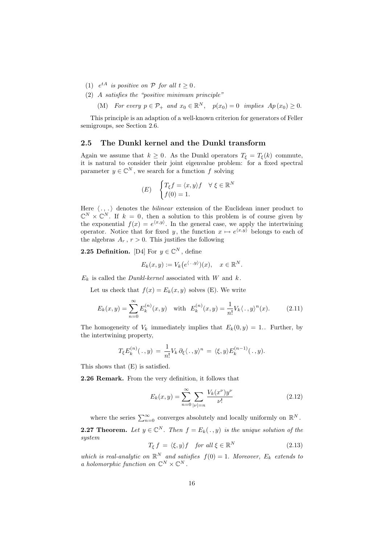- (1)  $e^{tA}$  is positive on P for all  $t \geq 0$ .
- (2) A satisfies the "positive minimum principle"

(M) For every  $p \in \mathcal{P}_+$  and  $x_0 \in \mathbb{R}^N$ ,  $p(x_0) = 0$  implies  $Ap(x_0) \geq 0$ .

This principle is an adaption of a well-known criterion for generators of Feller semigroups, see Section 2.6.

#### 2.5 The Dunkl kernel and the Dunkl transform

Again we assume that  $k \geq 0$ . As the Dunkl operators  $T_{\xi} = T_{\xi}(k)$  commute, it is natural to consider their joint eigenvalue problem: for a fixed spectral parameter  $y \in \mathbb{C}^N$ , we search for a function f solving

$$
(E) \quad \begin{cases} T_{\xi}f = \langle x, y \rangle f & \forall \ \xi \in \mathbb{R}^N \\ f(0) = 1. \end{cases}
$$

Here  $\langle . , . \rangle$  denotes the *bilinear* extension of the Euclidean inner product to  $\mathbb{C}^N \times \mathbb{C}^N$ . If  $k = 0$ , then a solution to this problem is of course given by the exponential  $f(x) = e^{x,y}$ . In the general case, we apply the intertwining operator. Notice that for fixed y, the function  $x \mapsto e^{x,y}$  belongs to each of the algebras  $A_r$ ,  $r > 0$ . This justifies the following

**2.25 Definition.** [D4] For  $y \in \mathbb{C}^N$ , define

$$
E_k(x, y) := V_k(e^{\langle \cdot, y \rangle})(x), \quad x \in \mathbb{R}^N.
$$

 $E_k$  is called the *Dunkl-kernel* associated with W and k.

Let us check that  $f(x) = E_k(x, y)$  solves (E). We write

$$
E_k(x,y) = \sum_{n=0}^{\infty} E_k^{(n)}(x,y) \quad \text{with} \quad E_k^{(n)}(x,y) = \frac{1}{n!} V_k \langle ., y \rangle^n(x). \tag{2.11}
$$

The homogeneity of  $V_k$  immediately implies that  $E_k(0, y) = 1$ . Further, by the intertwining property,

$$
T_{\xi}E_k^{(n)}(\,.\,,y)\,=\,\frac{1}{n!}V_k\,\partial_{\xi}\langle\,.\,,y\rangle^n\,=\,\langle\xi,y\rangle E_k^{(n-1)}(\,.\,,y).
$$

This shows that (E) is satisfied.

2.26 Remark. From the very definition, it follows that

$$
E_k(x,y) = \sum_{n=0}^{\infty} \sum_{|\nu|=n} \frac{V_k(x^{\nu})y^{\nu}}{\nu!}
$$
 (2.12)

where the series  $\sum_{n=0}^{\infty}$  converges absolutely and locally uniformly on  $\mathbb{R}^{N}$ . **2.27 Theorem.** Let  $y \in \mathbb{C}^N$ . Then  $f = E_k(. , y)$  is the unique solution of the system

$$
T_{\xi} f = \langle \xi, y \rangle f \quad \text{for all } \xi \in \mathbb{R}^N \tag{2.13}
$$

which is real-analytic on  $\mathbb{R}^N$  and satisfies  $f(0) = 1$ . Moreover,  $E_k$  extends to a holomorphic function on  $\mathbb{C}^N \times \mathbb{C}^N$ .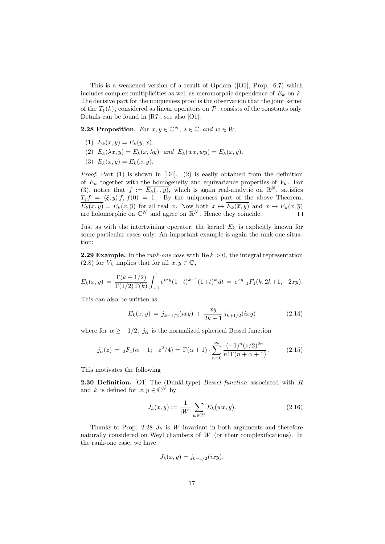This is a weakened version of a result of Opdam ([O1], Prop. 6.7) which includes complex multiplicities as well as meromorphic dependence of  $E_k$  on  $k$ . The decisive part for the uniqueness proof is the observation that the joint kernel of the  $T_{\xi}(k)$ , considered as linear operators on  $P$ , consists of the constants only. Details can be found in [R7], see also [O1].

**2.28 Proposition.** For  $x, y \in \mathbb{C}^N$ ,  $\lambda \in \mathbb{C}$  and  $w \in W$ ,

- (1)  $E_k(x, y) = E_k(y, x)$ .
- (2)  $E_k(\lambda x, y) = E_k(x, \lambda y)$  and  $E_k(wx, wy) = E_k(x, y)$ .
- (3)  $\overline{E_k(x, y)} = E_k(\overline{x}, \overline{y}).$

*Proof.* Part (1) is shown in  $[D4]$ . (2) is easily obtained from the definition of  $E_k$  together with the homogeneity and equivariance properties of  $V_k$ . For (3), notice that  $f := \overline{E_k(.,y)}$ , which is again real-analytic on  $\mathbb{R}^N$ , satisfies  $T_{\xi}f = \langle \xi, \overline{y} \rangle f, f(0) = 1$ . By the uniqueness part of the above Theorem,  $E_k(x, y) = E_k(x, \overline{y})$  for all real x. Now both  $x \mapsto E_k(\overline{x}, y)$  and  $x \mapsto E_k(x, \overline{y})$ are holomorphic on  $\mathbb{C}^N$  and agree on  $\mathbb{R}^N$ . Hence they coincide.

Just as with the intertwining operator, the kernel  $E_k$  is explicitly known for some particular cases only. An important example is again the rank-one situation:

**2.29 Example.** In the *rank-one case* with  $\text{Re } k > 0$ , the integral representation (2.8) for  $V_k$  implies that for all  $x, y \in \mathbb{C}$ ,

$$
E_k(x,y) = \frac{\Gamma(k+1/2)}{\Gamma(1/2)\Gamma(k)} \int_{-1}^1 e^{txy} (1-t)^{k-1} (1+t)^k dt = e^{xy} \cdot {}_1F_1(k, 2k+1, -2xy).
$$

This can also be written as

$$
E_k(x,y) = j_{k-1/2}(ixy) + \frac{xy}{2k+1}j_{k+1/2}(ixy)
$$
 (2.14)

where for  $\alpha \geq -1/2$ ,  $j_{\alpha}$  is the normalized spherical Bessel function

$$
j_{\alpha}(z) = {}_0F_1(\alpha+1; -z^2/4) = \Gamma(\alpha+1) \cdot \sum_{n=0}^{\infty} \frac{(-1)^n (z/2)^{2n}}{n! \Gamma(n+\alpha+1)}.
$$
 (2.15)

This motivates the following

**2.30 Definition.** [O1] The (Dunkl-type) *Bessel function* associated with  $R$ and k is defined for  $x, y \in \mathbb{C}^N$  by

$$
J_k(x, y) := \frac{1}{|W|} \sum_{w \in W} E_k(wx, y).
$$
 (2.16)

Thanks to Prop. 2.28  $J_k$  is W-invariant in both arguments and therefore naturally considered on Weyl chambers of W (or their complexifications). In the rank-one case, we have

$$
J_k(x, y) = j_{k-1/2}(ixy).
$$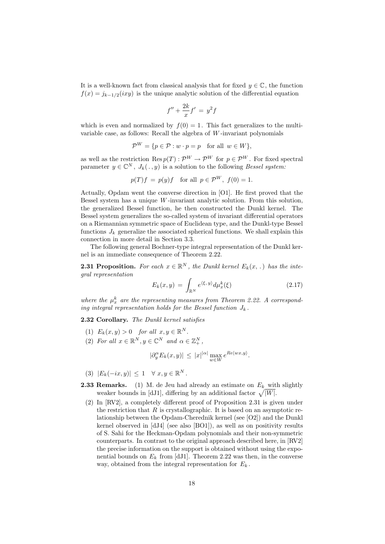It is a well-known fact from classical analysis that for fixed  $y \in \mathbb{C}$ , the function  $f(x) = j_{k-1/2}(ixy)$  is the unique analytic solution of the differential equation

$$
f'' + \frac{2k}{x}f' = y^2f
$$

which is even and normalized by  $f(0) = 1$ . This fact generalizes to the multivariable case, as follows: Recall the algebra of W -invariant polynomials

$$
\mathcal{P}^W = \{ p \in \mathcal{P} : w \cdot p = p \quad \text{for all } w \in W \},
$$

as well as the restriction Res  $p(T): \mathcal{P}^W \to \mathcal{P}^W$  for  $p \in \mathcal{P}^W$ . For fixed spectral parameter  $y \in \mathbb{C}^N$ ,  $J_k(. , y)$  is a solution to the following Bessel system:

$$
p(T)f = p(y)f \quad \text{for all } p \in \mathcal{P}^W, \ f(0) = 1.
$$

Actually, Opdam went the converse direction in [O1]. He first proved that the Bessel system has a unique  $W$ -invariant analytic solution. From this solution, the generalized Bessel function, he then constructed the Dunkl kernel. The Bessel system generalizes the so-called system of invariant differential operators on a Riemannian symmetric space of Euclidean type, and the Dunkl-type Bessel functions  $J_k$  generalize the associated spherical functions. We shall explain this connection in more detail in Section 3.3.

The following general Bochner-type integral representation of the Dunkl kernel is an immediate consequence of Theorem 2.22.

**2.31 Proposition.** For each  $x \in \mathbb{R}^N$ , the Dunkl kernel  $E_k(x,.)$  has the integral representation

$$
E_k(x,y) = \int_{\mathbb{R}^N} e^{\langle \xi, y \rangle} d\mu_x^k(\xi)
$$
 (2.17)

where the  $\mu_x^k$  are the representing measures from Theorem 2.22. A corresponding integral representation holds for the Bessel function  $J_k$ .

2.32 Corollary. The Dunkl kernel satisfies

- (1)  $E_k(x, y) > 0$  for all  $x, y \in \mathbb{R}^N$ .
- (2) For all  $x \in \mathbb{R}^N, y \in \mathbb{C}^N$  and  $\alpha \in \mathbb{Z}_+^N$ ,

$$
|\partial_y^{\alpha} E_k(x, y)| \leq |x|^{|{\alpha}|} \max_{w \in W} e^{Re\langle wx, y \rangle}.
$$

- (3)  $|E_k(-ix, y)| \leq 1 \quad \forall x, y \in \mathbb{R}^N$ .
- **2.33 Remarks.** (1) M. de Jeu had already an estimate on  $E_k$  with slightly weaker bounds in [dJ1], differing by an additional factor  $\sqrt{|W|}$ .
- (2) In [RV2], a completely different proof of Proposition 2.31 is given under the restriction that  $R$  is crystallographic. It is based on an asymptotic relationship between the Opdam-Cherednik kernel (see [O2]) and the Dunkl kernel observed in [dJ4] (see also [BO1]), as well as on positivity results of S. Sahi for the Heckman-Opdam polynomials and their non-symmetric counterparts. In contrast to the original approach described here, in [RV2] the precise information on the support is obtained without using the exponential bounds on  $E_k$  from [dJ1]. Theorem 2.22 was then, in the converse way, obtained from the integral representation for  $E_k$ .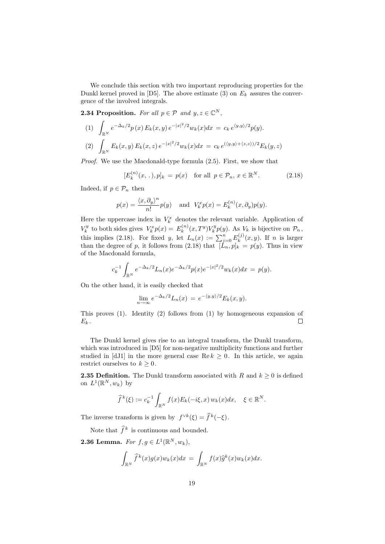We conclude this section with two important reproducing properties for the Dunkl kernel proved in [D5]. The above estimate (3) on  $E_k$  assures the convergence of the involved integrals.

**2.34 Proposition.** For all  $p \in \mathcal{P}$  and  $y, z \in \mathbb{C}^N$ ,

(1) 
$$
\int_{\mathbb{R}^N} e^{-\Delta_k/2} p(x) E_k(x, y) e^{-|x|^2/2} w_k(x) dx = c_k e^{\langle y, y \rangle/2} p(y).
$$
  
\n(2) 
$$
\int_{\mathbb{R}^N} E_k(x, y) E_k(x, z) e^{-|x|^2/2} w_k(x) dx = c_k e^{\langle \langle y, y \rangle + \langle z, z \rangle \rangle/2} E_k(y, z)
$$

Proof. We use the Macdonald-type formula  $(2.5)$ . First, we show that

$$
[E_k^{(n)}(x, .), p]_k = p(x) \text{ for all } p \in \mathcal{P}_n, x \in \mathbb{R}^N. \tag{2.18}
$$

Indeed, if  $p \in \mathcal{P}_n$  then

$$
p(x) = \frac{\langle x, \partial_y \rangle^n}{n!} p(y) \quad \text{and} \quad V_k^x p(x) = E_k^{(n)}(x, \partial_y) p(y).
$$

Here the uppercase index in  $V_k^x$  denotes the relevant variable. Application of  $V_k^y$  to both sides gives  $V_k^x p(x) = E_k^{(n)}$  $k_k^{(n)}(x,T^y)V_k^y p(y)$ . As  $V_k$  is bijective on  $\mathcal{P}_n$ , this implies (2.18). For fixed y, let  $L_n(x) := \sum_{j=0}^n E_k^{(j)}$  $\int_k^{\mathfrak{r}(J)}(x,y)$ . If *n* is larger than the degree of p, it follows from  $(2.18)$  that  $[L_n, p]_k = p(y)$ . Thus in view of the Macdonald formula,

$$
c_k^{-1} \int_{\mathbb{R}^N} e^{-\Delta_k/2} L_n(x) e^{-\Delta_k/2} p(x) e^{-|x|^2/2} w_k(x) dx = p(y).
$$

On the other hand, it is easily checked that

$$
\lim_{n \to \infty} e^{-\Delta_k/2} L_n(x) = e^{-\langle y, y \rangle/2} E_k(x, y).
$$

This proves (1). Identity (2) follows from (1) by homogeneous expansion of  $E_k$ .  $\Box$ 

The Dunkl kernel gives rise to an integral transform, the Dunkl transform, which was introduced in [D5] for non-negative multiplicity functions and further studied in [dJ1] in the more general case  $\text{Re } k \geq 0$ . In this article, we again restrict ourselves to  $k \geq 0$ .

**2.35 Definition.** The Dunkl transform associated with R and  $k \geq 0$  is defined on  $L^1(\mathbb{R}^N, w_k)$  by

$$
\widehat{f}^k(\xi) := c_k^{-1} \int_{\mathbb{R}^N} f(x) E_k(-i\xi, x) w_k(x) dx, \quad \xi \in \mathbb{R}^N.
$$

The inverse transform is given by  $f^{\vee k}(\xi) = \hat{f}^k(-\xi)$ .

Note that  $\hat{f}^k$  is continuous and bounded.

**2.36 Lemma.** For  $f, g \in L^1(\mathbb{R}^N, w_k)$ ,

$$
\int_{\mathbb{R}^N} \widehat{f}^k(x) g(x) w_k(x) dx = \int_{\mathbb{R}^N} f(x) \widehat{g}^k(x) w_k(x) dx.
$$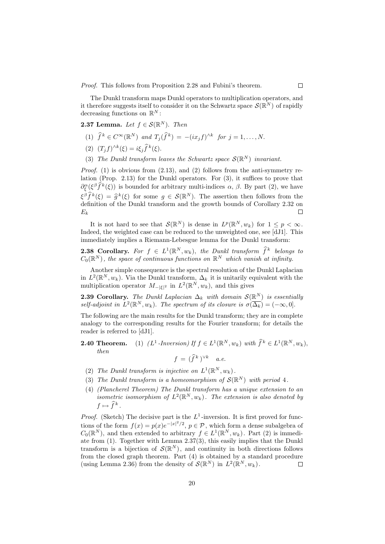Proof. This follows from Proposition 2.28 and Fubini's theorem.

The Dunkl transform maps Dunkl operators to multiplication operators, and it therefore suggests itself to consider it on the Schwartz space  $\mathcal{S}(\mathbb{R}^N)$  of rapidly decreasing functions on  $\mathbb{R}^N$ :

**2.37 Lemma.** Let  $f \in \mathcal{S}(\mathbb{R}^N)$ . Then

- (1)  $\widehat{f}^k \in C^{\infty}(\mathbb{R}^N)$  and  $T_j(\widehat{f}^k) = -(ix_jf)^{\wedge k}$  for  $j = 1, ..., N$ .
- (2)  $(T_j f)^{\wedge k}(\xi) = i\xi_j \widehat{f}^k(\xi).$
- (3) The Dunkl transform leaves the Schwartz space  $\mathcal{S}(\mathbb{R}^N)$  invariant.

*Proof.* (1) is obvious from  $(2.13)$ , and  $(2)$  follows from the anti-symmetry relation (Prop. 2.13) for the Dunkl operators. For (3), it suffices to prove that  $\partial_{\xi}^{\alpha}(\xi^{\beta}\hat{f}^{k}(\xi))$  is bounded for arbitrary multi-indices  $\alpha$ ,  $\beta$ . By part (2), we have  $\xi^{\beta} \hat{f}^{k}(\xi) = \hat{g}^{k}(\xi)$  for some  $g \in \mathcal{S}(\mathbb{R}^{N})$ . The assertion then follows from the definition of the Dunkl transform and the grouth bounds of Corollary 2.32 on definition of the Dunkl transform and the growth bounds of Corollary 2.32 on  $E_k$  $\Box$ 

It is not hard to see that  $\mathcal{S}(\mathbb{R}^N)$  is dense in  $L^p(\mathbb{R}^N, w_k)$  for  $1 \leq p < \infty$ . Indeed, the weighted case can be reduced to the unweighted one, see [dJ1]. This immediately implies a Riemann-Lebesgue lemma for the Dunkl transform:

**2.38 Corollary.** For  $f \in L^1(\mathbb{R}^N, w_k)$ , the Dunkl transform  $\widehat{f}^k$  belongs to  $C_0(\mathbb{R}^N)$ , the space of continuous functions on  $\mathbb{R}^N$  which vanish at infinity.

Another simple consequence is the spectral resolution of the Dunkl Laplacian in  $L^2(\mathbb{R}^N, w_k)$ . Via the Dunkl transform,  $\Delta_k$  it is unitarily equivalent with the multiplication operator  $M_{-|\xi|^2}$  in  $L^2(\mathbb{R}^N, w_k)$ , and this gives

**2.39 Corollary.** The Dunkl Laplacian  $\Delta_k$  with domain  $\mathcal{S}(\mathbb{R}^N)$  is essentially self-adjoint in  $L^2(\mathbb{R}^N, w_k)$ . The spectrum of its closure is  $\sigma(\overline{\Delta_k}) = (-\infty, 0]$ .

The following are the main results for the Dunkl transform; they are in complete analogy to the corresponding results for the Fourier transform; for details the reader is referred to [dJ1].

- **2.40 Theorem.** (1)  $(L^1\text{-}Inversion) \text{ If } f \in L^1(\mathbb{R}^N, w_k) \text{ with } \hat{f}^k \in L^1(\mathbb{R}^N, w_k),$ then  $f = (\widehat{f}^k)^{\vee k}$  a.e.
	- (2) The Dunkl transform is injective on  $L^1(\mathbb{R}^N, w_k)$ .
	- (3) The Dunkl transform is a homeomorphism of  $\mathcal{S}(\mathbb{R}^N)$  with period 4.
	- (4) (Plancherel Theorem) The Dunkl transform has a unique extension to an isometric isomorphism of  $L^2(\mathbb{R}^N, w_k)$ . The extension is also denoted by  $f \mapsto \widehat{f}^k$ .

*Proof.* (Sketch) The decisive part is the  $L^1$ -inversion. It is first proved for functions of the form  $f(x) = p(x)e^{-|x|^2/2}$ ,  $p \in \mathcal{P}$ , which form a dense subalgebra of  $C_0(\mathbb{R}^N)$ , and then extended to arbitrary  $f \in L^1(\mathbb{R}^N, w_k)$ . Part (2) is immediate from (1). Together with Lemma 2.37(3), this easily implies that the Dunkl transform is a bijection of  $\mathcal{S}(\mathbb{R}^N)$ , and continuity in both directions follows from the closed graph theorem. Part (4) is obtained by a standard procedure (using Lemma 2.36) from the density of  $\mathcal{S}(\mathbb{R}^N)$  in  $L^2(\mathbb{R}^N, w_k)$ . Г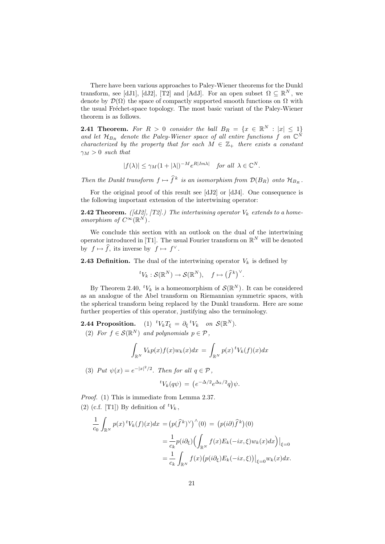There have been various approaches to Paley-Wiener theorems for the Dunkl transform, see [dJ1], [dJ2], [T2] and [AdJ]. For an open subset  $\Omega \subseteq \mathbb{R}^N$ , we denote by  $\mathcal{D}(\Omega)$  the space of compactly supported smooth functions on  $\Omega$  with the usual Fréchet-space topology. The most basic variant of the Paley-Wiener theorem is as follows.

**2.41 Theorem.** For  $R > 0$  consider the ball  $B_R = \{x \in \mathbb{R}^N : |x| \leq 1\}$ and let  $\mathcal{H}_{B_R}$  denote the Paley-Wiener space of all entire functions f on  $\mathbb{C}^{\tilde{N}}$ characterized by the property that for each  $M \in \mathbb{Z}_+$  there exists a constant  $\gamma_M > 0$  such that

$$
|f(\lambda)| \le \gamma_M (1+|\lambda|)^{-M} e^{R|Im\lambda|} \quad \text{for all } \lambda \in \mathbb{C}^N.
$$

Then the Dunkl transform  $f \mapsto \hat{f}^k$  is an isomorphism from  $\mathcal{D}(B_R)$  onto  $\mathcal{H}_{B_R}$ .

For the original proof of this result see [dJ2] or [dJ4]. One consequence is the following important extension of the intertwining operator:

**2.42 Theorem.** ([dJ2], [T2].) The intertwining operator  $V_k$  extends to a homeomorphism of  $C^{\infty}(\mathbb{R}^N)$ .

We conclude this section with an outlook on the dual of the intertwining operator introduced in [T1]. The usual Fourier transform on  $\mathbb{R}^N$  will be denoted by  $f \mapsto \widehat{f}$ , its inverse by  $f \mapsto f^{\vee}$ .

**2.43 Definition.** The dual of the intertwining operator  $V_k$  is defined by

$$
{}^{t}V_{k}:\mathcal{S}(\mathbb{R}^{N})\to\mathcal{S}(\mathbb{R}^{N}),\quad f\mapsto(\widehat{f}^{k})^{\vee}.
$$

By Theorem 2.40,  ${}^tV_k$  is a homeomorphism of  $\mathcal{S}(\mathbb{R}^N)$ . It can be considered as an analogue of the Abel transform on Riemannian symmetric spaces, with the spherical transform being replaced by the Dunkl transform. Here are some further properties of this operator, justifying also the terminology.

**2.44 Proposition.** (1)  ${}^tV_kT_\xi = \partial_\xi {}^tV_k$  on  $\mathcal{S}(\mathbb{R}^N)$ . (2) For  $f \in \mathcal{S}(\mathbb{R}^N)$  and polynomials  $p \in \mathcal{P}$ ,

$$
\int_{\mathbb{R}^N} V_k p(x) f(x) w_k(x) dx = \int_{\mathbb{R}^N} p(x) {^t} V_k(f)(x) dx
$$

(3) Put  $\psi(x) = e^{-|x|^2/2}$ . Then for all  $q \in \mathcal{P}$ ,

$$
{}^tV_k(q\psi) = \left(e^{-\Delta/2}e^{\Delta_k/2}q\right)\psi.
$$

Proof. (1) This is immediate from Lemma 2.37. (2) (c.f. [T1]) By definition of  ${}^tV_k$ ,

$$
\frac{1}{c_0} \int_{\mathbb{R}^N} p(x) {}^t V_k(f)(x) dx = (p(\hat{f}^k)^{\vee})^{\wedge}(0) = (p(i\partial)\hat{f}^k)(0)
$$

$$
= \frac{1}{c_k} p(i\partial_{\xi}) \Bigl(\int_{\mathbb{R}^N} f(x) E_k(-ix,\xi) w_k(x) dx\Bigr)|_{\xi=0}
$$

$$
= \frac{1}{c_k} \int_{\mathbb{R}^N} f(x) (p(i\partial_{\xi}) E_k(-ix,\xi)) \Big|_{\xi=0} w_k(x) dx.
$$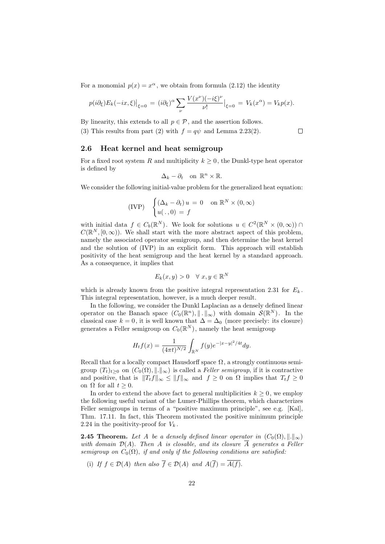For a monomial  $p(x) = x^{\alpha}$ , we obtain from formula (2.12) the identity

$$
p(i\partial_{\xi})E_k(-ix,\xi)\Big|_{\xi=0} = (i\partial_{\xi})^{\alpha} \sum_{\nu} \frac{V(x^{\nu})(-i\xi)^{\nu}}{\nu!}\Big|_{\xi=0} = V_k(x^{\alpha}) = V_k p(x).
$$

By linearity, this extends to all  $p \in \mathcal{P}$ , and the assertion follows.

(3) This results from part (2) with  $f = q\psi$  and Lemma 2.23(2).  $\Box$ 

#### 2.6 Heat kernel and heat semigroup

For a fixed root system R and multiplicity  $k \geq 0$ , the Dunkl-type heat operator is defined by

$$
\Delta_k - \partial_t \quad \text{on } \mathbb{R}^n \times \mathbb{R}.
$$

We consider the following initial-value problem for the generalized heat equation:

$$
\text{(IVP)} \quad \begin{cases} (\Delta_k - \partial_t) u = 0 & \text{on } \mathbb{R}^N \times (0, \infty) \\ u(. , 0) = f \end{cases}
$$

with initial data  $f \in C_b(\mathbb{R}^N)$ . We look for solutions  $u \in C^2(\mathbb{R}^N \times (0,\infty))$  $C(\mathbb{R}^N, [0, \infty))$ . We shall start with the more abstract aspect of this problem, namely the associated operator semigroup, and then determine the heat kernel and the solution of (IVP) in an explicit form. This approach will establish positivity of the heat semigroup and the heat kernel by a standard approach. As a consequence, it implies that

$$
E_k(x, y) > 0 \quad \forall \ x, y \in \mathbb{R}^N
$$

which is already known from the positive integral representation 2.31 for  $E_k$ . This integral representation, however, is a much deeper result.

In the following, we consider the Dunkl Laplacian as a densely defined linear operator on the Banach space  $(C_0(\mathbb{R}^n), \| \cdot \|_{\infty})$  with domain  $\mathcal{S}(\mathbb{R}^N)$ . In the classical case  $k = 0$ , it is well known that  $\Delta = \Delta_0$  (more precisely: its closure) generates a Feller semigroup on  $C_0(\mathbb{R}^N)$ , namely the heat semigroup

$$
H_t f(x) = \frac{1}{(4\pi t)^{N/2}} \int_{\mathbb{R}^N} f(y) e^{-|x-y|^2/4t} dy.
$$

Recall that for a locally compact Hausdorff space  $\Omega$ , a strongly continuous semigroup  $(T_t)_{t\geq0}$  on  $(C_0(\Omega),\|\cdot\|_{\infty})$  is called a Feller semigroup, if it is contractive and positive, that is  $||T_t f||_{\infty} \le ||f||_{\infty}$  and  $f \ge 0$  on  $\Omega$  implies that  $T_t f \ge 0$ on  $\Omega$  for all  $t \geq 0$ .

In order to extend the above fact to general multiplicities  $k \geq 0$ , we employ the following useful variant of the Lumer-Phillips theorem, which characterizes Feller semigroups in terms of a "positive maximum principle", see e.g. [Kal], Thm. 17.11. In fact, this Theorem motivated the positive minimum principle 2.24 in the positivity-proof for  $V_k$ .

**2.45 Theorem.** Let A be a densely defined linear operator in  $(C_0(\Omega), \|\cdot\|_{\infty})$ with domain  $\mathcal{D}(A)$ . Then A is closable, and its closure  $\overline{A}$  generates a Feller semigroup on  $C_0(\Omega)$ , if and only if the following conditions are satisfied:

(i) If  $f \in \mathcal{D}(A)$  then also  $\overline{f} \in \mathcal{D}(A)$  and  $A(\overline{f}) = \overline{A(f)}$ .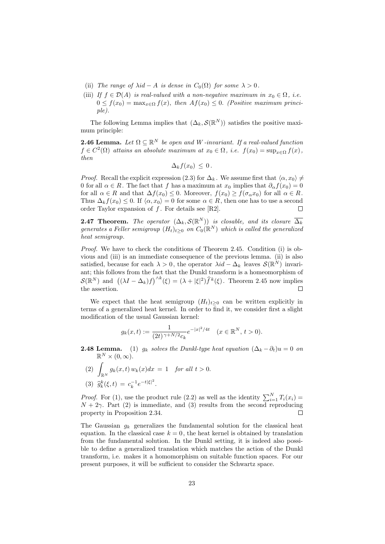- (ii) The range of  $\lambda id A$  is dense in  $C_0(\Omega)$  for some  $\lambda > 0$ .
- (iii) If  $f \in \mathcal{D}(A)$  is real-valued with a non-negative maximum in  $x_0 \in \Omega$ , i.e.  $0 \le f(x_0) = \max_{x \in \Omega} f(x)$ , then  $Af(x_0) \le 0$ . (Positive maximum principle).

The following Lemma implies that  $(\Delta_k, \mathcal{S}(\mathbb{R}^N))$  satisfies the positive maximum principle:

**2.46 Lemma.** Let  $\Omega \subseteq \mathbb{R}^N$  be open and W -invariant. If a real-valued function  $f \in C^2(\Omega)$  attains an absolute maximum at  $x_0 \in \Omega$ , i.e.  $f(x_0) = \sup_{x \in \Omega} f(x)$ , then

$$
\Delta_k f(x_0) \leq 0.
$$

*Proof.* Recall the explicit expression (2.3) for  $\Delta_k$ . We assume first that  $\langle \alpha, x_0 \rangle \neq$ 0 for all  $\alpha \in R$ . The fact that f has a maximum at  $x_0$  implies that  $\partial_{\alpha} f(x_0) = 0$ for all  $\alpha \in R$  and that  $\Delta f(x_0) \leq 0$ . Moreover,  $f(x_0) \geq f(\sigma_\alpha x_0)$  for all  $\alpha \in R$ . Thus  $\Delta_k f(x_0) \leq 0$ . If  $\langle \alpha, x_0 \rangle = 0$  for some  $\alpha \in R$ , then one has to use a second order Taylor expansion of  $f$ . For details see [R2].  $\Box$ 

**2.47 Theorem.** The operator  $(\Delta_k, \mathcal{S}(\mathbb{R}^N))$  is closable, and its closure  $\overline{\Delta_k}$ generates a Feller semigroup  $(H_t)_{t\geq 0}$  on  $C_0(\mathbb{R}^N)$  which is called the generalized heat semigroup.

Proof. We have to check the conditions of Theorem 2.45. Condition (i) is obvious and (iii) is an immediate consequence of the previous lemma. (ii) is also satisfied, because for each  $\lambda > 0$ , the operator  $\lambda id - \Delta_k$  leaves  $\mathcal{S}(\mathbb{R}^N)$  invariant; this follows from the fact that the Dunkl transform is a homeomorphism of  $\mathcal{S}(\mathbb{R}^N)$  and  $((\lambda I - \Delta_k)f)^{\wedge k}(\xi) = (\lambda + |\xi|^2)\widehat{f}^k(\xi)$ . Theorem 2.45 now implies the assertion.  $\Box$ 

We expect that the heat semigroup  $(H_t)_{t>0}$  can be written explicitly in terms of a generalized heat kernel. In order to find it, we consider first a slight modification of the usual Gaussian kernel:

$$
g_k(x,t) := \frac{1}{(2t)^{\gamma + N/2}c_k} e^{-|x|^2/4t} \quad (x \in \mathbb{R}^N, \, t > 0).
$$

- **2.48 Lemma.** (1)  $g_k$  solves the Dunkl-type heat equation  $(\Delta_k \partial_t)u = 0$  on  $\mathbb{R}^N\times(0,\infty).$ 
	- (2)  $\int_{\mathbb{R}^N} g_k(x, t) w_k(x) dx = 1$  for all  $t > 0$ . (3)  $\hat{g}_k^k(\xi, t) = c_k^{-1} e^{-t|\xi|^2}$ .

*Proof.* For (1), use the product rule (2.2) as well as the identity  $\sum_{i=1}^{N} T_i(x_i) =$  $N + 2\gamma$ . Part (2) is immediate, and (3) results from the second reproducing property in Proposition 2.34. Г

The Gaussian  $g_k$  generalizes the fundamental solution for the classical heat equation. In the classical case  $k = 0$ , the heat kernel is obtained by translation from the fundamental solution. In the Dunkl setting, it is indeed also possible to define a generalized translation which matches the action of the Dunkl transform, i.e. makes it a homomorphism on suitable function spaces. For our present purposes, it will be sufficient to consider the Schwartz space.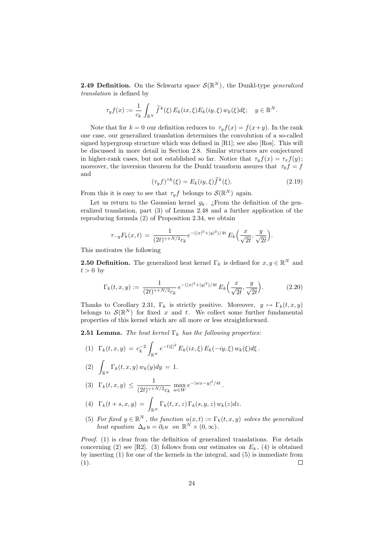**2.49 Definition.** On the Schwartz space  $\mathcal{S}(\mathbb{R}^N)$ , the Dunkl-type generalized translation is defined by

$$
\tau_y f(x) := \frac{1}{c_k} \int_{\mathbb{R}^N} \widehat{f}^k(\xi) E_k(ix, \xi) E_k(iy, \xi) w_k(\xi) d\xi; \quad y \in \mathbb{R}^N.
$$

Note that for  $k = 0$  our definition reduces to  $\tau_y f(x) = f(x+y)$ . In the rank one case, our generalized translation determines the convolution of a so-called signed hypergroup structure which was defined in  $[R1]$ ; see also  $[Ros]$ . This will be discussed in more detail in Section 2.8. Similar structures are conjectured in higher-rank cases, but not established so far. Notice that  $\tau_y f(x) = \tau_x f(y)$ ; moreover, the inversion theorem for the Dunkl transform assures that  $\tau_0 f = f$ and

$$
(\tau_y f)^{\wedge k}(\xi) = E_k(iy, \xi) \widehat{f}^k(\xi). \tag{2.19}
$$

From this it is easy to see that  $\tau_y f$  belongs to  $\mathcal{S}(\mathbb{R}^N)$  again.

Let us return to the Gaussian kernel  $g_k$ . ¿From the definition of the generalized translation, part (3) of Lemma 2.48 and a further application of the reproducing formula (2) of Proposition 2.34, we obtain

$$
\tau_{-y} F_k(x,t) = \frac{1}{(2t)^{\gamma + N/2} c_k} e^{-(|x|^2 + |y|^2)/4t} E_k\left(\frac{x}{\sqrt{2t}}, \frac{y}{\sqrt{2t}}\right).
$$

This motivates the following

**2.50 Definition.** The generalized heat kernel  $\Gamma_k$  is defined for  $x, y \in \mathbb{R}^N$  and  $t > 0$  by

$$
\Gamma_k(t, x, y) := \frac{1}{(2t)^{\gamma + N/2} c_k} e^{-(|x|^2 + |y|^2)/4t} E_k\left(\frac{x}{\sqrt{2t}}, \frac{y}{\sqrt{2t}}\right).
$$
 (2.20)

Thanks to Corollary 2.31,  $\Gamma_k$  is strictly positive. Moreover,  $y \mapsto \Gamma_k(t, x, y)$ belongs to  $\mathcal{S}(\mathbb{R}^N)$  for fixed x and t. We collect some further fundamental properties of this kernel which are all more or less straightforward.

**2.51 Lemma.** The heat kernel  $\Gamma_k$  has the following properties:

(1) 
$$
\Gamma_k(t, x, y) = c_k^{-2} \int_{\mathbb{R}^N} e^{-t|\xi|^2} E_k(ix, \xi) E_k(-iy, \xi) w_k(\xi) d\xi
$$
.

(2)  $\int_{\mathbb{R}^N} \Gamma_k(t, x, y) w_k(y) dy = 1.$ 

$$
(3) \ \Gamma_k(t, x, y) \le \frac{1}{(2t)^{\gamma + N/2} c_k} \max_{w \in W} e^{-|wx - y|^2/4t}
$$

(4) 
$$
\Gamma_k(t+s,x,y) = \int_{\mathbb{R}^N} \Gamma_k(t,x,z) \Gamma_k(s,y,z) w_k(z) dz.
$$

(5) For fixed  $y \in \mathbb{R}^N$ , the function  $u(x,t) := \Gamma_k(t,x,y)$  solves the generalized heat equation  $\Delta_k u = \partial_t u$  on  $\mathbb{R}^N \times (0, \infty)$ .

.

Proof. (1) is clear from the definition of generalized translations. For details concerning (2) see [R2]. (3) follows from our estimates on  $E<sub>k</sub>$ , (4) is obtained by inserting (1) for one of the kernels in the integral, and (5) is immediate from (1).  $\Box$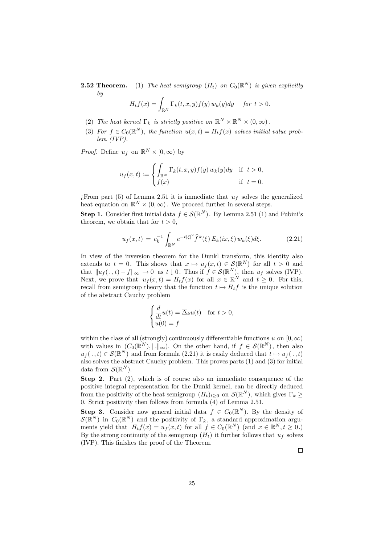**2.52 Theorem.** (1) The heat semigroup  $(H_t)$  on  $C_0(\mathbb{R}^N)$  is given explicitly by

$$
H_t f(x) = \int_{\mathbb{R}^N} \Gamma_k(t, x, y) f(y) w_k(y) dy \quad \text{for } t > 0.
$$

- (2) The heat kernel  $\Gamma_k$  is strictly positive on  $\mathbb{R}^N \times \mathbb{R}^N \times (0, \infty)$ .
- (3) For  $f \in C_0(\mathbb{R}^N)$ , the function  $u(x,t) = H_t f(x)$  solves initial value problem (IVP).

*Proof.* Define  $u_f$  on  $\mathbb{R}^N \times [0, \infty)$  by

$$
u_f(x,t) := \begin{cases} \int_{\mathbb{R}^N} \Gamma_k(t,x,y) f(y) \, w_k(y) dy & \text{if } t > 0, \\ f(x) & \text{if } t = 0. \end{cases}
$$

 $i$ From part (5) of Lemma 2.51 it is immediate that  $u_f$  solves the generalized heat equation on  $\mathbb{R}^N \times (0,\infty)$ . We proceed further in several steps.

**Step 1.** Consider first initial data  $f \in \mathcal{S}(\mathbb{R}^N)$ . By Lemma 2.51 (1) and Fubini's theorem, we obtain that for  $t > 0$ ,

$$
u_f(x,t) = c_k^{-1} \int_{\mathbb{R}^N} e^{-t|\xi|^2} \hat{f}^k(\xi) E_k(ix,\xi) w_k(\xi) d\xi.
$$
 (2.21)

In view of the inversion theorem for the Dunkl transform, this identity also extends to  $t = 0$ . This shows that  $x \mapsto u_f(x, t) \in \mathcal{S}(\mathbb{R}^N)$  for all  $t > 0$  and that  $||u_f(\cdot, t)-f||_{\infty} \to 0$  as  $t \downarrow 0$ . Thus if  $f \in \mathcal{S}(\mathbb{R}^N)$ , then  $u_f$  solves (IVP). Next, we prove that  $u_f(x,t) = H_t f(x)$  for all  $x \in \mathbb{R}^N$  and  $t \geq 0$ . For this, recall from semigroup theory that the function  $t \mapsto H_t f$  is the unique solution of the abstract Cauchy problem

$$
\begin{cases} \frac{d}{dt}u(t) = \overline{\Delta}_k u(t) & \text{for } t > 0, \\ u(0) = f \end{cases}
$$

within the class of all (strongly) continuously differentiable functions u on  $[0, \infty)$ with values in  $(C_0(\mathbb{R}^N),\|\cdot\|_{\infty})$ . On the other hand, if  $f \in \mathcal{S}(\mathbb{R}^N)$ , then also  $u_f(\cdot, t) \in \mathcal{S}(\mathbb{R}^N)$  and from formula (2.21) it is easily deduced that  $t \mapsto u_f(\cdot, t)$ also solves the abstract Cauchy problem. This proves parts (1) and (3) for initial data from  $\mathcal{S}(\mathbb{R}^N)$ .

Step 2. Part  $(2)$ , which is of course also an immediate consequence of the positive integral representation for the Dunkl kernel, can be directly deduced from the positivity of the heat semigroup  $(H_t)_{t\geq0}$  on  $\mathcal{S}(\mathbb{R}^N)$ , which gives  $\Gamma_k \geq$ 0. Strict positivity then follows from formula  $\overline{4}$  of Lemma 2.51.

**Step 3.** Consider now general initial data  $f \in C_0(\mathbb{R}^N)$ . By the density of  $\mathcal{S}(\mathbb{R}^N)$  in  $C_0(\mathbb{R}^N)$  and the positivity of  $\Gamma_k$ , a standard approximation arguments yield that  $H_t f(x) = u_f(x,t)$  for all  $f \in C_0(\mathbb{R}^N)$  (and  $x \in \mathbb{R}^N, t \geq 0$ .) By the strong continuity of the semigroup  $(H_t)$  it further follows that  $u_f$  solves (IVP). This finishes the proof of the Theorem.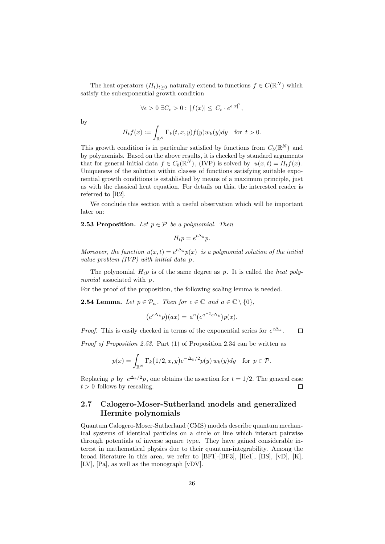The heat operators  $(H_t)_{t\geq 0}$  naturally extend to functions  $f \in C(\mathbb{R}^N)$  which satisfy the subexponential growth condition

$$
\forall \epsilon > 0 \ \exists C_{\epsilon} > 0 : |f(x)| \leq C_{\epsilon} \cdot e^{\epsilon |x|^2},
$$

by

$$
H_t f(x) := \int_{\mathbb{R}^N} \Gamma_k(t, x, y) f(y) w_k(y) dy \quad \text{for } t > 0.
$$

This growth condition is in particular satisfied by functions from  $C_b(\mathbb{R}^N)$  and by polynomials. Based on the above results, it is checked by standard arguments that for general initial data  $f \in C_b(\mathbb{R}^N)$ , (IVP) is solved by  $u(x,t) = H_t f(x)$ . Uniqueness of the solution within classes of functions satisfying suitable exponential growth conditions is established by means of a maximum principle, just as with the classical heat equation. For details on this, the interested reader is referred to [R2].

We conclude this section with a useful observation which will be important later on:

**2.53 Proposition.** Let  $p \in \mathcal{P}$  be a polynomial. Then

$$
H_t p = e^{t\Delta_k} p.
$$

Moreover, the function  $u(x,t) = e^{t\Delta_k} p(x)$  is a polynomial solution of the initial value problem (IVP) with initial data p.

The polynomial  $H_t p$  is of the same degree as p. It is called the heat polynomial associated with p.

For the proof of the proposition, the following scaling lemma is needed.

**2.54 Lemma.** Let  $p \in \mathcal{P}_n$ . Then for  $c \in \mathbb{C}$  and  $a \in \mathbb{C} \setminus \{0\}$ ,

$$
(e^{c\Delta_k}p)(ax) = a^n(e^{a^{-2}c\Delta_k})p(x).
$$

*Proof.* This is easily checked in terms of the exponential series for  $e^{c\Delta_k}$ .  $\Box$ 

Proof of Proposition 2.53. Part (1) of Proposition 2.34 can be written as

$$
p(x) = \int_{\mathbb{R}^N} \Gamma_k(1/2, x, y) e^{-\Delta_k/2} p(y) w_k(y) dy \quad \text{for } p \in \mathcal{P}.
$$

Replacing p by  $e^{\Delta_k/2}p$ , one obtains the assertion for  $t = 1/2$ . The general case  $t > 0$  follows by rescaling.  $\Box$ 

#### 2.7 Calogero-Moser-Sutherland models and generalized Hermite polynomials

Quantum Calogero-Moser-Sutherland (CMS) models describe quantum mechanical systems of identical particles on a circle or line which interact pairwise through potentials of inverse square type. They have gained considerable interest in mathematical physics due to their quantum-integrability. Among the broad literature in this area, we refer to  $[BF1]$ - $[BF3]$ ,  $[He1]$ ,  $[HS]$ ,  $[vD]$ ,  $[K]$ , [LV], [Pa], as well as the monograph [vDV].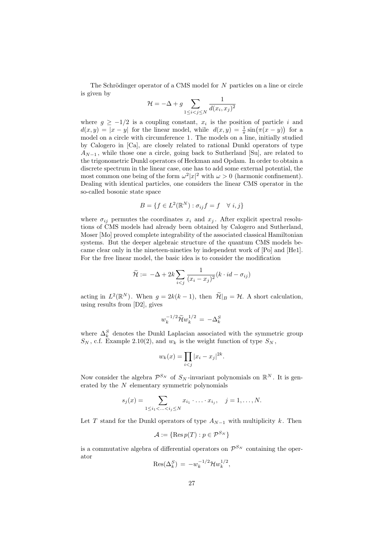The Schrödinger operator of a CMS model for  $N$  particles on a line or circle is given by

$$
\mathcal{H} = -\Delta + g \sum_{1 \le i < j \le N} \frac{1}{d(x_i, x_j)^2}
$$

where  $g \ge -1/2$  is a coupling constant,  $x_i$  is the position of particle i and  $d(x, y) = |x - y|$  for the linear model, while  $d(x, y) = \frac{1}{\pi} \sin(\pi(x - y))$  for a model on a circle with circumference 1. The models on a line, initially studied by Calogero in [Ca], are closely related to rational Dunkl operators of type  $A_{N-1}$ , while those one a circle, going back to Sutherland [Su], are related to the trigonometric Dunkl operators of Heckman and Opdam. In order to obtain a discrete spectrum in the linear case, one has to add some external potential, the most common one being of the form  $\omega^2 |x|^2$  with  $\omega > 0$  (harmonic confinement). Dealing with identical particles, one considers the linear CMS operator in the so-called bosonic state space

$$
B = \{ f \in L^2(\mathbb{R}^N) : \sigma_{ij} f = f \quad \forall \ i, j \}
$$

where  $\sigma_{ij}$  permutes the coordinates  $x_i$  and  $x_j$ . After explicit spectral resolutions of CMS models had already been obtained by Calogero and Sutherland, Moser [Mo] proved complete integrability of the associated classical Hamiltonian systems. But the deeper algebraic structure of the quantum CMS models became clear only in the nineteen-nineties by independent work of [Po] and [He1]. For the free linear model, the basic idea is to consider the modification

$$
\widetilde{\mathcal{H}}:=-\Delta+2k\sum_{i
$$

acting in  $L^2(\mathbb{R}^N)$ . When  $g = 2k(k-1)$ , then  $\widetilde{\mathcal{H}}|_B = \mathcal{H}$ . A short calculation, using results from [D2], gives

$$
w_k^{-1/2}\widetilde{\mathcal{H}} w_k^{1/2}\,=\,-\Delta_k^S
$$

where  $\Delta_k^S$  denotes the Dunkl Laplacian associated with the symmetric group  $S_N$ , c.f. Example 2.10(2), and  $w_k$  is the weight function of type  $S_N$ ,

$$
w_k(x) = \prod_{i < j} |x_i - x_j|^{2k}.
$$

Now consider the algebra  $\mathcal{P}^{S_N}$  of  $S_N$ -invariant polynomials on  $\mathbb{R}^N$ . It is generated by the  $N$  elementary symmetric polynomials

$$
s_j(x) = \sum_{1 \le i_1 < \ldots < i_j \le N} x_{i_1} \cdot \ldots \cdot x_{i_j}, \quad j = 1, \ldots, N.
$$

Let T stand for the Dunkl operators of type  $A_{N-1}$  with multiplicity k. Then

$$
\mathcal{A} := \{ \operatorname{Res} p(T) : p \in \mathcal{P}^{S_N} \}
$$

is a commutative algebra of differential operators on  $\mathcal{P}^{S_N}$  containing the operator  $-1/2$  $1/2$ 

$$
\text{Res}(\Delta_k^S) = -w_k^{-1/2} \mathcal{H} w_k^{1/2},
$$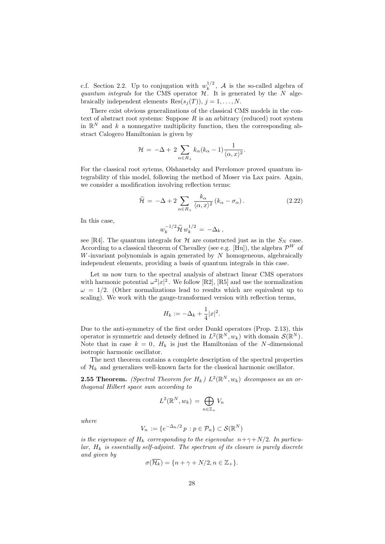c.f. Section 2.2. Up to conjugation with  $w_k^{1/2}$  $\kappa_k^{1/2}$ , A is the so-called algebra of quantum integrals for the CMS operator  $H$ . It is generated by the N algebraically independent elements  $\text{Res}(s_j(T)), j = 1, \ldots, N$ .

There exist obvious generalizations of the classical CMS models in the context of abstract root systems: Suppose  $R$  is an arbitrary (reduced) root system in  $\mathbb{R}^N$  and k a nonnegative multiplicity function, then the corresponding abstract Calogero Hamiltonian is given by

$$
\mathcal{H} = -\Delta + 2 \sum_{\alpha \in R_+} k_{\alpha} (k_{\alpha} - 1) \frac{1}{\langle \alpha, x \rangle^2}.
$$

For the classical root sytems, Olshanetsky and Perelomov proved quantum integrability of this model, following the method of Moser via Lax pairs. Again, we consider a modification involving reflection terms:

$$
\widetilde{\mathcal{H}} = -\Delta + 2 \sum_{\alpha \in R_+} \frac{k_\alpha}{\langle \alpha, x \rangle^2} \left( k_\alpha - \sigma_\alpha \right). \tag{2.22}
$$

In this case,

$$
v_k^{-1/2} \widetilde{\mathcal{H}}\, w_k^{1/2} \,=\, -\Delta_k\,,
$$

w

see [R4]. The quantum integrals for  $\mathcal H$  are constructed just as in the  $S_N$  case. According to a classical theorem of Chevalley (see e.g. [Hu]), the algebra  $\mathcal{P}^W$  of W-invariant polynomials is again generated by  $N$  homogeneous, algebraically independent elements, providing a basis of quantum integrals in this case.

Let us now turn to the spectral analysis of abstract linear CMS operators with harmonic potential  $\omega^2 |x|^2$ . We follow [R2], [R5] and use the normalization  $\omega = 1/2$ . (Other normalizations lead to results which are equivalent up to scaling). We work with the gauge-transformed version with reflection terms,

$$
H_k := -\Delta_k + \frac{1}{4}|x|^2.
$$

Due to the anti-symmetry of the first order Dunkl operators (Prop. 2.13), this operator is symmetric and densely defined in  $L^2(\mathbb{R}^N, w_k)$  with domain  $\mathcal{S}(\mathbb{R}^N)$ . Note that in case  $k = 0$ ,  $H_k$  is just the Hamiltonian of the N-dimensional isotropic harmonic oscillator.

The next theorem contains a complete description of the spectral properties of  $\mathcal{H}_k$  and generalizes well-known facts for the classical harmonic oscillator.

**2.55 Theorem.** (Spectral Theorem for  $H_k$ )  $L^2(\mathbb{R}^N, w_k)$  decomposes as an orthogonal Hilbert space sum according to

$$
L^2(\mathbb{R}^N, w_k) = \bigoplus_{n \in \mathbb{Z}_+} V_n
$$

where

$$
V_n := \{ e^{-\Delta_k/2} p : p \in \mathcal{P}_n \} \subset \mathcal{S}(\mathbb{R}^N)
$$

is the eigenspace of  $H_k$  corresponding to the eigenvalue  $n+\gamma+N/2$ . In particu $lar, H_k$  is essentially self-adjoint. The spectrum of its closure is purely discrete and given by

$$
\sigma(\overline{\mathcal{H}_k}) = \{n + \gamma + N/2, n \in \mathbb{Z}_+\}.
$$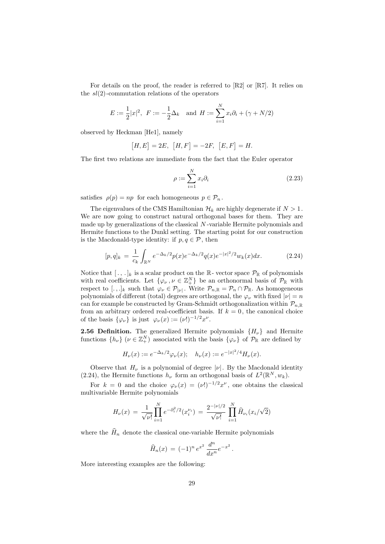For details on the proof, the reader is referred to [R2] or [R7]. It relies on the  $sl(2)$ -commutation relations of the operators

$$
E := \frac{1}{2}|x|^2, \ \ F := -\frac{1}{2}\Delta_k \quad \text{and} \ \ H := \sum_{i=1}^N x_i \partial_i + (\gamma + N/2)
$$

observed by Heckman [He1], namely

$$
[H, E] = 2E, [H, F] = -2F, [E, F] = H.
$$

The first two relations are immediate from the fact that the Euler operator

$$
\rho := \sum_{i=1}^{N} x_i \partial_i \tag{2.23}
$$

satisfies  $\rho(p) = np$  for each homogeneous  $p \in \mathcal{P}_n$ .

The eigenvalues of the CMS Hamiltonian  $\mathcal{H}_k$  are highly degenerate if  $N > 1$ . We are now going to construct natural orthogonal bases for them. They are made up by generalizations of the classical N -variable Hermite polynomials and Hermite functions to the Dunkl setting. The starting point for our construction is the Macdonald-type identity: if  $p, q \in \mathcal{P}$ , then

$$
[p,q]_k = \frac{1}{c_k} \int_{\mathbb{R}^N} e^{-\Delta_k/2} p(x) e^{-\Delta_k/2} q(x) e^{-|x|^2/2} w_k(x) dx.
$$
 (2.24)

Notice that  $[\cdot, \cdot]_k$  is a scalar product on the  $\mathbb{R}$ -vector space  $\mathcal{P}_{\mathbb{R}}$  of polynomials with real coefficients. Let  $\{\varphi_{\nu}, \nu \in \mathbb{Z}_{+}^{N}\}\$ be an orthonormal basis of  $\mathcal{P}_{\mathbb{R}}$  with respect to [.,.]<sub>k</sub> such that  $\varphi_{\nu} \in \mathcal{P}_{|\nu|}$ . Write  $\mathcal{P}_{n,\mathbb{R}} = \mathcal{P}_n \cap \mathcal{P}_{\mathbb{R}}$ . As homogeneous polynomials of different (total) degrees are orthogonal, the  $\varphi_{\nu}$  with fixed  $|\nu| = n$ can for example be constructed by Gram-Schmidt orthogonalization within  $\mathcal{P}_{n,\mathbb{R}}$ from an arbitrary ordered real-coefficient basis. If  $k = 0$ , the canonical choice of the basis  $\{\varphi_{\nu}\}\$ is just  $\varphi_{\nu}(x) := (\nu!)^{-1/2}x^{\nu}$ .

**2.56 Definition.** The generalized Hermite polynomials  $\{H_{\nu}\}\$  and Hermite functions  $\{h_{\nu}\}\ (\nu \in \mathbb{Z}_{+}^{N})$  associated with the basis  $\{\varphi_{\nu}\}\$  of  $\mathcal{P}_{\mathbb{R}}$  are defined by

$$
H_{\nu}(x) := e^{-\Delta_k/2} \varphi_{\nu}(x); \quad h_{\nu}(x) := e^{-|x|^2/4} H_{\nu}(x).
$$

Observe that  $H_{\nu}$  is a polynomial of degree  $|\nu|$ . By the Macdonald identity (2.24), the Hermite functions  $h_{\nu}$  form an orthogonal basis of  $L^2(\mathbb{R}^N, w_k)$ .

For  $k = 0$  and the choice  $\varphi_{\nu}(x) = (\nu!)^{-1/2} x^{\nu}$ , one obtains the classical multivariable Hermite polynomials

$$
H_{\nu}(x) = \frac{1}{\sqrt{\nu!}} \prod_{i=1}^{N} e^{-\partial_i^2/2} (x_i^{\nu_i}) = \frac{2^{-|\nu|/2}}{\sqrt{\nu!}} \prod_{i=1}^{N} \widehat{H}_{\nu_i}(x_i/\sqrt{2})
$$

where the  $\widehat{H}_n$  denote the classical one-variable Hermite polynomials

$$
\widehat{H}_n(x) = (-1)^n e^{x^2} \frac{d^n}{dx^n} e^{-x^2}.
$$

More interesting examples are the following: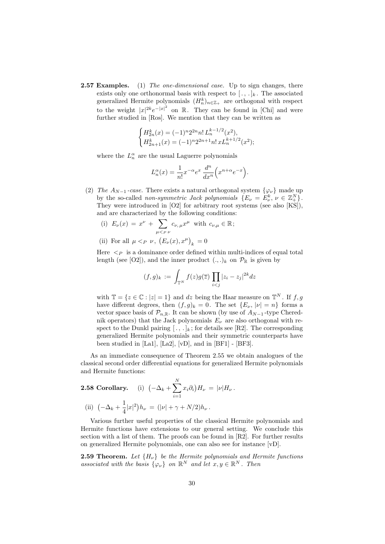**2.57 Examples.** (1) The one-dimensional case. Up to sign changes, there exists only one orthonormal basis with respect to  $[\cdot, \cdot]_k$ . The associated generalized Hermite polynomials  $(H_n^k)_{n \in \mathbb{Z}_+}$  are orthogonal with respect to the weight  $|x|^{2k}e^{-|x|^2}$  on R. They can be found in [Chi] and were further studied in [Ros]. We mention that they can be written as

$$
\begin{cases} H_{2n}^k(x) = (-1)^n 2^{2n} n! L_n^{k-1/2}(x^2), \\ H_{2n+1}^k(x) = (-1)^n 2^{2n+1} n! x L_n^{k+1/2}(x^2); \end{cases}
$$

where the  $L_n^{\alpha}$  are the usual Laguerre polynomials

$$
L_n^{\alpha}(x) = \frac{1}{n!} x^{-\alpha} e^x \frac{d^n}{dx^n} \left( x^{n+\alpha} e^{-x} \right).
$$

- (2) The  $A_{N-1}$ -case. There exists a natural orthogonal system  $\{\varphi_{\nu}\}\$  made up by the so-called *non-symmetric Jack polynomials*  $\{E_{\nu} = E_{\nu}^k, \nu \in \mathbb{Z}_{+}^N\}.$ They were introduced in [O2] for arbitrary root systems (see also [KS]), and are characterized by the following conditions:
	- (i)  $E_{\nu}(x) = x^{\nu} + \sum$  $\mu$  $\lt$ <sub>P</sub>  $\nu$  $c_{\nu,\,\mu}x^{\mu}$  with  $c_{\nu,\mu}\in\mathbb{R}$ ;
	- (ii) For all  $\mu <_P \nu$ ,  $(E_{\nu}(x), x^{\mu})_k = 0$

Here  $\langle \rangle_P$  is a dominance order defined within multi-indices of equal total length (see [O2]), and the inner product  $(.,.)_k$  on  $\mathcal{P}_{\mathbb{R}}$  is given by

$$
(f,g)_k := \int_{\mathbb{T}^N} f(z)g(\overline{z}) \prod_{i < j} |z_i - z_j|^{2k} dz
$$

with  $\mathbb{T} = \{z \in \mathbb{C} : |z| = 1\}$  and dz being the Haar measure on  $\mathbb{T}^N$ . If  $f, g$ have different degrees, then  $(f, g)_k = 0$ . The set  $\{E_\nu, |\nu| = n\}$  forms a vector space basis of  $\mathcal{P}_{n,\mathbb{R}}$ . It can be shown (by use of  $A_{N-1}$ -type Cherednik operators) that the Jack polynomials  $E_{\nu}$  are also orthogonal with respect to the Dunkl pairing  $[., .]_k$ ; for details see [R2]. The corresponding generalized Hermite polynomials and their symmetric counterparts have been studied in [La1], [La2], [vD], and in [BF1] - [BF3].

As an immediate consequence of Theorem 2.55 we obtain analogues of the classical second order differential equations for generalized Hermite polynomials and Hermite functions:

2.58 Corollary. (i) 
$$
(-\Delta_k + \sum_{i=1}^N x_i \partial_i) H_{\nu} = |\nu| H_{\nu}
$$
.  
\n(ii)  $(-\Delta_k + \frac{1}{4} |x|^2) h_{\nu} = (|\nu| + \gamma + N/2) h_{\nu}$ .

Various further useful properties of the classical Hermite polynomials and Hermite functions have extensions to our general setting. We conclude this section with a list of them. The proofs can be found in  $[R2]$ . For further results on generalized Hermite polynomials, one can also see for instance [vD].

**2.59 Theorem.** Let  $\{H_{\nu}\}\$ be the Hermite polynomials and Hermite functions associated with the basis  $\{\varphi_{\nu}\}\$  on  $\mathbb{R}^N$  and let  $x, y \in \mathbb{R}^N$ . Then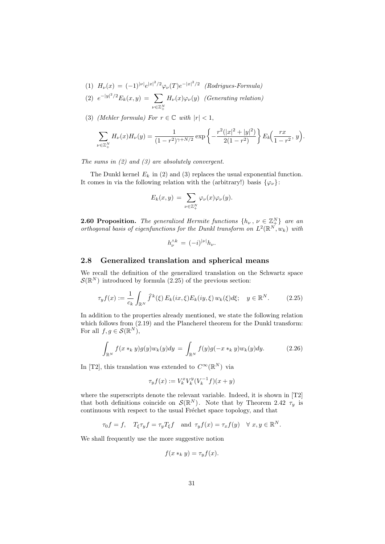(1)  $H_{\nu}(x) = (-1)^{\mid \nu \mid} e^{\mid x \mid^2/2} \varphi_{\nu}(T) e^{-\mid x \mid^2/2}$  (Rodrigues-Formula)

(2) 
$$
e^{-|y|^2/2}E_k(x,y) = \sum_{\nu \in \mathbb{Z}_+^N} H_{\nu}(x)\varphi_{\nu}(y)
$$
 (Generating relation)

(3) (Mehler formula) For  $r \in \mathbb{C}$  with  $|r| < 1$ ,

$$
\sum_{\nu \in \mathbb{Z}_+^N} H_{\nu}(x) H_{\nu}(y) = \frac{1}{(1 - r^2)^{\gamma + N/2}} \exp \left\{-\frac{r^2(|x|^2 + |y|^2)}{2(1 - r^2)}\right\} E_k\left(\frac{rx}{1 - r^2}, y\right).
$$

The sums in (2) and (3) are absolutely convergent.

The Dunkl kernel  $E_k$  in (2) and (3) replaces the usual exponential function. It comes in via the following relation with the (arbitrary!) basis  $\{\varphi_{\nu}\}\$ :

$$
E_k(x,y) = \sum_{\nu \in \mathbb{Z}_+^N} \varphi_{\nu}(x) \varphi_{\nu}(y).
$$

**2.60 Proposition.** The generalized Hermite functions  $\{h_{\nu}, \nu \in \mathbb{Z}_{\pm}^N\}$  are an orthogonal basis of eigenfunctions for the Dunkl transform on  $L^2(\mathbb{R}^{N}, w_k)$  with

$$
h_{\nu}^{\wedge k} = (-i)^{|\nu|} h_{\nu}.
$$

#### 2.8 Generalized translation and spherical means

We recall the definition of the generalized translation on the Schwartz space  $\mathcal{S}(\mathbb{R}^N)$  introduced by formula  $(2.25)$  of the previous section:

$$
\tau_y f(x) := \frac{1}{c_k} \int_{\mathbb{R}^N} \widehat{f}^k(\xi) E_k(ix, \xi) E_k(iy, \xi) w_k(\xi) d\xi; \quad y \in \mathbb{R}^N. \tag{2.25}
$$

In addition to the properties already mentioned, we state the following relation which follows from (2.19) and the Plancherel theorem for the Dunkl transform: For all  $f, g \in \mathcal{S}(\mathbb{R}^N)$ ,

$$
\int_{\mathbb{R}^N} f(x *_k y) g(y) w_k(y) dy = \int_{\mathbb{R}^N} f(y) g(-x *_k y) w_k(y) dy.
$$
 (2.26)

In [T2], this translation was extended to  $C^{\infty}(\mathbb{R}^{N})$  via

$$
\tau_yf(x):=V^x_kV^y_k(V^{-1}_kf)(x+y)
$$

where the superscripts denote the relevant variable. Indeed, it is shown in [T2] that both definitions coincide on  $\mathcal{S}(\mathbb{R}^N)$ . Note that by Theorem 2.42  $\tau_y$  is continuous with respect to the usual Fréchet space topology, and that

$$
\tau_0 f = f, \quad T_{\xi} \tau_y f = \tau_y T_{\xi} f \quad \text{and } \tau_y f(x) = \tau_x f(y) \quad \forall x, y \in \mathbb{R}^N.
$$

We shall frequently use the more suggestive notion

$$
f(x *_{k} y) = \tau_{y} f(x).
$$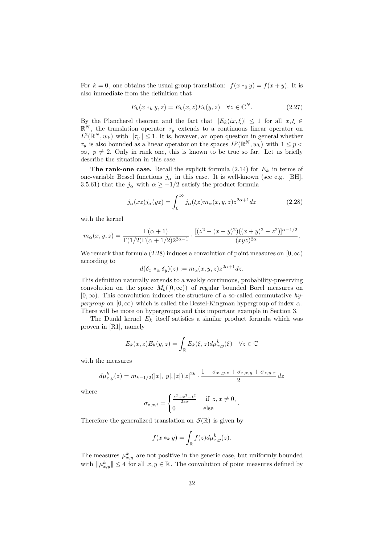For  $k = 0$ , one obtains the usual group translation:  $f(x *_{0} y) = f(x + y)$ . It is also immediate from the definition that

$$
E_k(x *_k y, z) = E_k(x, z) E_k(y, z) \quad \forall z \in \mathbb{C}^N. \tag{2.27}
$$

By the Plancherel theorem and the fact that  $|E_k(ix,\xi)| \leq 1$  for all  $x,\xi \in$  $\mathbb{R}^N$ , the translation operator  $\tau_y$  extends to a continuous linear operator on  $L^2(\mathbb{R}^N, w_k)$  with  $\|\tau_y\| \leq 1$ . It is, however, an open question in general whether  $\tau_y$  is also bounded as a linear operator on the spaces  $L^p(\mathbb{R}^N, w_k)$  with  $1 \leq p$  $\infty, p \neq 2$ . Only in rank one, this is known to be true so far. Let us briefly describe the situation in this case.

The rank-one case. Recall the explicit formula  $(2.14)$  for  $E_k$  in terms of one-variable Bessel functions  $j_{\alpha}$  in this case. It is well-known (see e.g. [BH], 3.5.61) that the  $j_{\alpha}$  with  $\alpha \ge -1/2$  satisfy the product formula

$$
j_{\alpha}(xz)j_{\alpha}(yz) = \int_0^{\infty} j_{\alpha}(\xi z)m_{\alpha}(x, y, z)z^{2\alpha + 1}dz
$$
 (2.28)

with the kernel

$$
m_{\alpha}(x,y,z) = \frac{\Gamma(\alpha+1)}{\Gamma(1/2)\Gamma(\alpha+1/2)2^{2\alpha-1}} \cdot \frac{[(z^2-(x-y)^2)((x+y)^2-z^2)]^{\alpha-1/2}}{(xyz)^{2\alpha}}.
$$

We remark that formula (2.28) induces a convolution of point measures on  $[0, \infty)$ according to

$$
d(\delta_x *_{\alpha} \delta_y)(z) := m_{\alpha}(x, y, z) z^{2\alpha + 1} dz.
$$

This definition naturally extends to a weakly continuous, probability-preserving convolution on the space  $M_b([0,\infty))$  of regular bounded Borel measures on  $[0,\infty)$ . This convolution induces the structure of a so-called commutative hypergroup on  $[0, \infty)$  which is called the Bessel-Kingman hypergroup of index  $\alpha$ . There will be more on hypergroups and this important example in Section 3.

The Dunkl kernel  $E_k$  itself satisfies a similar product formula which was proven in [R1], namely

$$
E_k(x, z)E_k(y, z) = \int_{\mathbb{R}} E_k(\xi, z)d\mu_{x, y}^k(\xi) \quad \forall z \in \mathbb{C}
$$

with the measures

$$
d\mu_{x,y}^k(z) = m_{k-1/2}(|x|, |y|, |z|)|z|^{2k} \cdot \frac{1 - \sigma_{x,y,z} + \sigma_{z,x,y} + \sigma_{z,y,x}}{2} dz
$$

where

$$
\sigma_{z,x,t} = \begin{cases} \frac{z^2 + x^2 - t^2}{2zx} & \text{if } z, x \neq 0, \\ 0 & \text{else} \end{cases}
$$

Therefore the generalized translation on  $\mathcal{S}(\mathbb{R})$  is given by

$$
f(x *_k y) = \int_{\mathbb{R}} f(z) d\mu_{x,y}^k(z).
$$

The measures  $\mu_{x,y}^k$  are not positive in the generic case, but uniformly bounded with  $\|\mu^k_{x,y}\| \leq 4$  for all  $x, y \in \mathbb{R}$ . The convolution of point measures defined by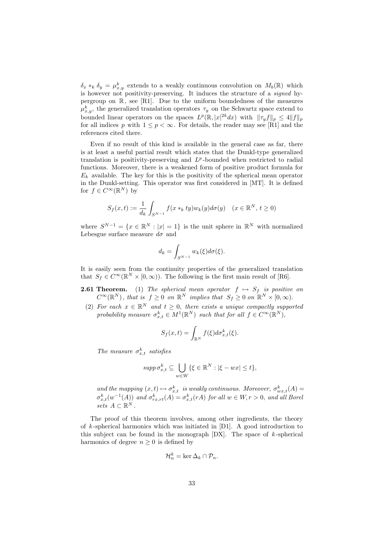$\delta_x *_k \delta_y = \mu^k_{x,y}$  extends to a weakly continuous convolution on  $M_b(\mathbb{R})$  which is however not positivity-preserving. It induces the structure of a signed hypergroup on  $\mathbb{R}$ , see [R1]. Due to the uniform boundedness of the measures  $\mu^k_{x,y}$ , the generalized translation operators  $\tau_y$  on the Schwartz space extend to bounded linear operators on the spaces  $L^p(\mathbb{R}, |x|^{2k}dx)$  with  $||\tau_y f||_p \leq 4||f||_p$ for all indices p with  $1 \leq p < \infty$ . For details, the reader may see [R1] and the references cited there.

Even if no result of this kind is available in the general case as far, there is at least a useful partial result which states that the Dunkl-type generalized translation is positivity-preserving and  $L^p$ -bounded when restricted to radial functions. Moreover, there is a weakened form of positive product formula for  $E_k$  available. The key for this is the positivity of the spherical mean operator in the Dunkl-setting. This operator was first considered in [MT]. It is defined for  $f \in C^{\infty}(\mathbb{R}^N)$  by

$$
S_f(x,t) := \frac{1}{d_k} \int_{S^{N-1}} f(x *_k ty) w_k(y) d\sigma(y) \quad (x \in \mathbb{R}^N, t \ge 0)
$$

where  $S^{N-1} = \{x \in \mathbb{R}^N : |x| = 1\}$  is the unit sphere in  $\mathbb{R}^N$  with normalized Lebesgue surface measure  $d\sigma$  and

$$
d_k = \int_{S^{N-1}} w_k(\xi) d\sigma(\xi).
$$

It is easily seen from the continuity properties of the generalized translation that  $S_f \in C^{\infty}(\mathbb{R}^N \times [0,\infty))$ . The following is the first main result of [R6].

- **2.61 Theorem.** (1) The spherical mean operator  $f \mapsto S_f$  is positive on  $C^{\infty}(\mathbb{R}^{N})$ , that is  $f \geq 0$  on  $\mathbb{R}^{N}$  implies that  $S_{f} \geq 0$  on  $\mathbb{R}^{N} \times [0, \infty)$ .
- (2) For each  $x \in \mathbb{R}^N$  and  $t \geq 0$ , there exists a unique compactly supported probability measure  $\sigma_{x,t}^k \in M^1(\mathbb{R}^N)$  such that for all  $f \in C^\infty(\mathbb{R}^N)$ ,

$$
S_f(x,t) = \int_{\mathbb{R}^N} f(\xi) d\sigma_{x,t}^k(\xi).
$$

The measure  $\sigma_{x,t}^k$  satisfies

$$
supp \sigma_{x,t}^k \subseteq \bigcup_{w \in W} \{ \xi \in \mathbb{R}^N : |\xi - wx| \le t \},\
$$

and the mapping  $(x,t) \mapsto \sigma_{x,t}^k$  is weakly continuous. Moreover,  $\sigma_{wx,t}^k(A) =$  $\sigma_{x,t}^k(w^{-1}(A))$  and  $\sigma_{rx,rt}^k(A) = \sigma_{x,t}^k(rA)$  for all  $w \in W, r > 0$ , and all Borel sets  $A \subset \mathbb{R}^N$ .

The proof of this theorem involves, among other ingredients, the theory of  $k$ -spherical harmonics which was initiated in [D1]. A good introduction to this subject can be found in the monograph  $[DX]$ . The space of  $k$ -spherical harmonics of degree  $n \geq 0$  is defined by

$$
\mathcal{H}_n^k = \ker \Delta_k \cap \mathcal{P}_n.
$$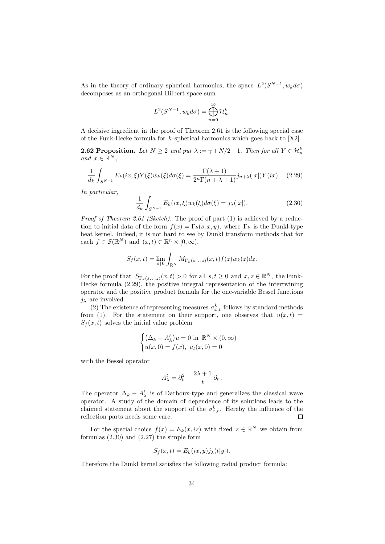As in the theory of ordinary spherical harmonics, the space  $L^2(S^{N-1}, w_k d\sigma)$ decomposes as an orthogonal Hilbert space sum

$$
L^{2}(S^{N-1}, w_{k}d\sigma) = \bigoplus_{n=0}^{\infty} \mathcal{H}_{n}^{k}.
$$

A decisive ingredient in the proof of Theorem 2.61 is the following special case of the Funk-Hecke formula for  $k$ -spherical harmonics which goes back to  $[X2]$ .

**2.62 Proposition.** Let  $N \geq 2$  and put  $\lambda := \gamma + N/2 - 1$ . Then for all  $Y \in \mathcal{H}_n^k$ and  $x \in \mathbb{R}^N$ ,

$$
\frac{1}{d_k} \int_{S^{N-1}} E_k(ix,\xi) Y(\xi) w_k(\xi) d\sigma(\xi) = \frac{\Gamma(\lambda+1)}{2^n \Gamma(n+\lambda+1)} j_{n+\lambda}(|x|) Y(ix). \tag{2.29}
$$

In particular,

$$
\frac{1}{d_k} \int_{S^{N-1}} E_k(ix,\xi) w_k(\xi) d\sigma(\xi) = j_\lambda(|x|). \tag{2.30}
$$

Proof of Theorem 2.61 (Sketch). The proof of part (1) is achieved by a reduction to initial data of the form  $f(x) = \Gamma_k(s, x, y)$ , where  $\Gamma_k$  is the Dunkl-type heat kernel. Indeed, it is not hard to see by Dunkl transform methods that for each  $f \in \mathcal{S}(\mathbb{R}^N)$  and  $(x, t) \in \mathbb{R}^n \times [0, \infty)$ ,

$$
S_f(x,t) = \lim_{s \downarrow 0} \int_{\mathbb{R}^N} M_{\Gamma_k(s,\ldots,z)}(x,t) f(z) w_k(z) dz.
$$

For the proof that  $S_{\Gamma_k(s, \ldots, z)}(x, t) > 0$  for all  $s, t \geq 0$  and  $x, z \in \mathbb{R}^N$ , the Funk-Hecke formula (2.29), the positive integral representation of the intertwining operator and the positive product formula for the one-variable Bessel functions  $j_{\lambda}$  are involved.

(2) The existence of representing measures  $\sigma_{x,t}^k$  follows by standard methods from (1). For the statement on their support, one observes that  $u(x,t) =$  $S_f(x, t)$  solves the initial value problem

$$
\begin{cases} (\Delta_k - A_\lambda^t)u = 0 \text{ in } \mathbb{R}^N \times (0, \infty) \\ u(x, 0) = f(x), u_t(x, 0) = 0 \end{cases}
$$

with the Bessel operator

$$
A^t_\lambda = \partial_t^2 + \frac{2\lambda+1}{t}\,\partial_t\,.
$$

The operator  $\Delta_k - A_\lambda^t$  is of Darboux-type and generalizes the classical wave operator. A study of the domain of dependence of its solutions leads to the claimed statement about the support of the  $\sigma_{x,t}^k$ . Hereby the influence of the reflection parts needs some care.

For the special choice  $f(x) = E_k(x, iz)$  with fixed  $z \in \mathbb{R}^N$  we obtain from formulas (2.30) and (2.27) the simple form

$$
S_f(x,t) = E_k(ix,y)j_\lambda(t|y|).
$$

Therefore the Dunkl kernel satisfies the following radial product formula: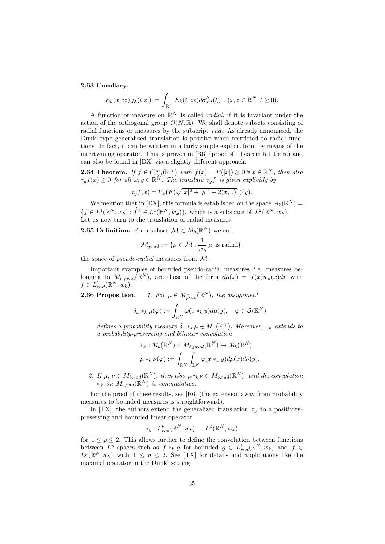#### 2.63 Corollary.

$$
E_k(x, iz) j_{\lambda}(t|z|) = \int_{\mathbb{R}^N} E_k(\xi, iz) d\sigma_{x,t}^k(\xi) \quad (x, z \in \mathbb{R}^N, t \ge 0).
$$

A function or measure on  $\mathbb{R}^N$  is called *radial*, if it is invariant under the action of the orthogonal group  $O(N, \mathbb{R})$ . We shall denote subsets consisting of radial functions or measures by the subscript  $rad$ . As already announced, the Dunkl-type generalized translation is positive when restricted to radial functions. In fact, it can be written in a fairly simple explicit form by means of the intertwining operator. This is proven in  $[R6]$  (proof of Theorem 5.1 there) and can also be found in [DX] via a slightly different approach:

**2.64 Theorem.** If  $f \in C_{rad}^{\infty}(\mathbb{R}^N)$  with  $f(x) = F(|x|) \geq 0 \ \forall x \in \mathbb{R}^N$ , then also  $\tau_y f(x) \geq 0$  for all  $x, y \in \mathbb{R}^N$ . The translate  $\tau_y f$  is given explicitly by

$$
\tau_y f(x) = V_k \big( F(\sqrt{|x|^2 + |y|^2 + 2\langle x, \, . \, \rangle}) \big)(y).
$$

We mention that in [DX], this formula is established on the space  $A_k(\mathbb{R}^N)$  =  $\{f \in L^1(\mathbb{R}^N, w_k) : \widehat{f}^k \in L^1(\mathbb{R}^N, w_k)\},\$  which is a subspace of  $L^2(\mathbb{R}^N, w_k)$ . Let us now turn to the translation of radial measures.

**2.65 Definition.** For a subset  $\mathcal{M} \subset M_b(\mathbb{R}^N)$  we call

$$
\mathcal{M}_{prad} := \{ \mu \in \mathcal{M} : \frac{1}{w_k} \mu \text{ is radial} \},
$$

the space of *pseudo-radial* measures from M.

 $\tau$ 

Important examples of bounded pseudo-radial measures, i.e. measures belonging to  $M_{b, prad}(\mathbb{R}^N)$ , are those of the form  $d\mu(x) = f(x)w_k(x)dx$  with  $f \in L_{rad}^1(\mathbb{R}^N, w_k)$ .

2.66 Proposition.  $p_{rad}(\mathbb{R}^N)$ , the assignment

$$
\delta_x *_k \mu(\varphi) := \int_{\mathbb{R}^N} \varphi(x *_k y) d\mu(y), \quad \varphi \in \mathcal{S}(\mathbb{R}^N)
$$

defines a probability measure  $\delta_x *_k \mu \in M^1(\mathbb{R}^N)$ . Moreover,  $*_k$  extends to a probability-preserving and bilinear convolution

$$
*_k: M_b(\mathbb{R}^N) \times M_{b, prad}(\mathbb{R}^N) \to M_b(\mathbb{R}^N),
$$
  

$$
\mu *_k \nu(\varphi) := \int_{\mathbb{R}^N} \int_{\mathbb{R}^N} \varphi(x *_k y) d\mu(x) d\nu(y).
$$

2. If  $\mu, \nu \in M_{b,rad}(\mathbb{R}^N)$ , then also  $\mu *_{k} \nu \in M_{b,rad}(\mathbb{R}^N)$ , and the convolution  $*_k$  on  $M_{b,rad}(\mathbb{R}^N)$  is commutative.

For the proof of these results, see [R6] (the extension away from probability measures to bounded measures is straightforward).

In [TX], the authors extend the generalized translation  $\tau_y$  to a positivitypreserving and bounded linear operator

$$
_{y}:L_{rad}^{p}(\Bbb{R}^{N},w_{k})\rightarrow L^{p}(\Bbb{R}^{N},w_{k})
$$

for  $1 \leq p \leq 2$ . This allows further to define the convolution between functions between  $L^p$ -spaces such as  $f *_{k} g$  for bounded  $g \in L^1_{rad}(\mathbb{R}^N, w_k)$  and  $f \in$  $L^p(\mathbb{R}^N, w_k)$  with  $1 \leq p \leq 2$ . See [TX] for details and applications like the maximal operator in the Dunkl setting.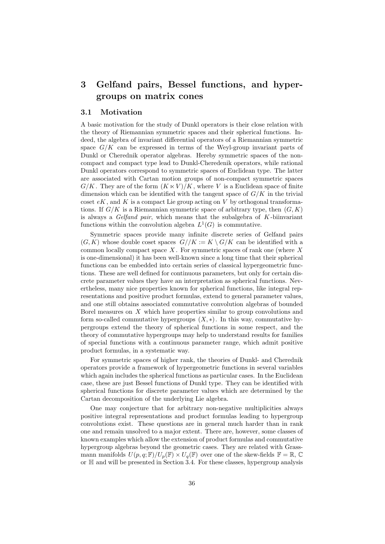## 3 Gelfand pairs, Bessel functions, and hypergroups on matrix cones

#### 3.1 Motivation

A basic motivation for the study of Dunkl operators is their close relation with the theory of Riemannian symmetric spaces and their spherical functions. Indeed, the algebra of invariant differential operators of a Riemannian symmetric space  $G/K$  can be expressed in terms of the Weyl-group invariant parts of Dunkl or Cherednik operator algebras. Hereby symmetric spaces of the noncompact and compact type lead to Dunkl-Cheredenik operators, while rational Dunkl operators correspond to symmetric spaces of Euclidean type. The latter are associated with Cartan motion groups of non-compact symmetric spaces  $G/K$ . They are of the form  $(K \ltimes V)/K$ , where V is a Euclidean space of finite dimension which can be identified with the tangent space of  $G/K$  in the trivial coset  $eK$ , and K is a compact Lie group acting on V by orthogonal transformations. If  $G/K$  is a Riemannian symmetric space of arbitrary type, then  $(G, K)$ is always a *Gelfand pair*, which means that the subalgebra of  $K$ -biinvariant functions within the convolution algebra  $L^1(G)$  is commutative.

Symmetric spaces provide many infinite discrete series of Gelfand pairs  $(G, K)$  whose double coset spaces  $G//K := K \setminus G/K$  can be identified with a common locally compact space  $X$ . For symmetric spaces of rank one (where  $X$ is one-dimensional) it has been well-known since a long time that their spherical functions can be embedded into certain series of classical hypergeometric functions. These are well defined for continuous parameters, but only for certain discrete parameter values they have an interpretation as spherical functions. Nevertheless, many nice properties known for spherical functions, like integral representations and positive product formulas, extend to general parameter values, and one still obtains associated commutative convolution algebras of bounded Borel measures on X which have properties similar to group convolutions and form so-called commutative hypergroups  $(X, *)$ . In this way, commutative hypergroups extend the theory of spherical functions in some respect, and the theory of commutative hypergroups may help to understand results for families of special functions with a continuous parameter range, which admit positive product formulas, in a systematic way.

For symmetric spaces of higher rank, the theories of Dunkl- and Cherednik operators provide a framework of hypergeometric functions in several variables which again includes the spherical functions as particular cases. In the Euclidean case, these are just Bessel functions of Dunkl type. They can be identified with spherical functions for discrete parameter values which are determined by the Cartan decomposition of the underlying Lie algebra.

One may conjecture that for arbitrary non-negative multiplicities always positive integral representations and product formulas leading to hypergroup convolutions exist. These questions are in general much harder than in rank one and remain unsolved to a major extent. There are, however, some classes of known examples which allow the extension of product formulas and commutative hypergroup algebras beyond the geometric cases. They are related with Grassmann manifolds  $U(p,q;\mathbb{F})/U_p(\mathbb{F}) \times U_q(\mathbb{F})$  over one of the skew-fields  $\mathbb{F} = \mathbb{R}, \mathbb{C}$ or H and will be presented in Section 3.4. For these classes, hypergroup analysis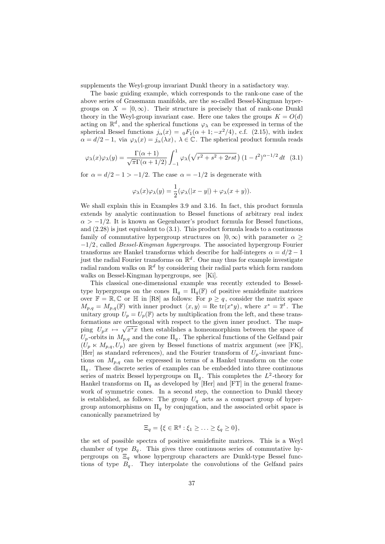supplements the Weyl-group invariant Dunkl theory in a satisfactory way.

The basic guiding example, which corresponds to the rank-one case of the above series of Grassmann manifolds, are the so-called Bessel-Kingman hypergroups on  $X = [0, \infty)$ . Their structure is precisely that of rank-one Dunkl theory in the Weyl-group invariant case. Here one takes the groups  $K = O(d)$ acting on  $\mathbb{R}^d$ , and the spherical functions  $\varphi_\lambda$  can be expressed in terms of the spherical Bessel functions  $j_{\alpha}(x) = {}_0F_1(\alpha + 1; -x^2/4)$ , c.f. (2.15), with index  $\alpha = d/2 - 1$ , via  $\varphi_{\lambda}(x) = j_{\alpha}(\lambda x)$ ,  $\lambda \in \mathbb{C}$ . The spherical product formula reads

$$
\varphi_{\lambda}(x)\varphi_{\lambda}(y) = \frac{\Gamma(\alpha+1)}{\sqrt{\pi}\Gamma(\alpha+1/2)} \int_{-1}^{1} \varphi_{\lambda}\left(\sqrt{r^2 + s^2 + 2rst}\right) (1 - t^2)^{\alpha - 1/2} dt \quad (3.1)
$$

for  $\alpha = d/2 - 1 > -1/2$ . The case  $\alpha = -1/2$  is degenerate with

$$
\varphi_{\lambda}(x)\varphi_{\lambda}(y) = \frac{1}{2}(\varphi_{\lambda}(|x-y|) + \varphi_{\lambda}(x+y)).
$$

We shall explain this in Examples 3.9 and 3.16. In fact, this product formula extends by analytic continuation to Bessel functions of arbitrary real index  $\alpha$  > -1/2. It is known as Gegenbauer's product formula for Bessel functions, and (2.28) is just equivalent to (3.1). This product formula leads to a continuous family of commutative hypergroup structures on  $[0, \infty)$  with parameter  $\alpha$  $-1/2$ , called *Bessel-Kingman hypergroups*. The associated hypergroup Fourier transforms are Hankel transforms which describe for half-integers  $\alpha = d/2 - 1$ just the radial Fourier transforms on  $\mathbb{R}^d$ . One may thus for example investigate radial random walks on  $\mathbb{R}^d$  by considering their radial parts which form random walks on Bessel-Kingman hypergroups, see [Ki].

This classical one-dimensional example was recently extended to Besseltype hypergroups on the cones  $\Pi_q = \Pi_q(\mathbb{F})$  of positive semidefinite matrices over  $\mathbb{F} = \mathbb{R}, \mathbb{C}$  or  $\mathbb{H}$  in [R8] as follows: For  $p \geq q$ , consider the matrix space  $M_{p,q} = M_{p,q}(\mathbb{F})$  with inner product  $\langle x, y \rangle = \text{Re }\text{tr}(x^*y)$ , where  $x^* = \overline{x}^t$ . The unitary group  $U_p = U_p(\mathbb{F})$  acts by multiplication from the left, and these transformations are orthogonal with respect to the given inner product. The mapping  $U_p x \mapsto \sqrt{x^*x}$  then establishes a homeomorphism between the space of  $U_p$ -orbits in  $M_{p,q}$  and the cone  $\Pi_q$ . The spherical functions of the Gelfand pair  $(U_p \ltimes M_{p,q}, U_p)$  are given by Bessel functions of matrix argument (see [FK], [Her] as standard references), and the Fourier transform of  $U_p$ -invariant functions on  $M_{p,q}$  can be expressed in terms of a Hankel transform on the cone  $\Pi_q$ . These discrete series of examples can be embedded into three continuous series of matrix Bessel hypergroups on  $\Pi_q$ . This completes the  $L^2$ -theory for Hankel transforms on  $\Pi_q$  as developed by [Her] and [FT] in the general framework of symmetric cones. In a second step, the connection to Dunkl theory is established, as follows: The group  $U_q$  acts as a compact group of hypergroup automorphisms on  $\Pi_q$  by conjugation, and the associated orbit space is canonically parametrized by

$$
\Xi_q = \{ \xi \in \mathbb{R}^q : \xi_1 \geq \ldots \geq \xi_q \geq 0 \},
$$

the set of possible spectra of positive semidefinite matrices. This is a Weyl chamber of type  $B_q$ . This gives three continuous series of commutative hypergroups on  $\Xi_q$  whose hypergroup characters are Dunkl-type Bessel functions of type  $B_q$ . They interpolate the convolutions of the Gelfand pairs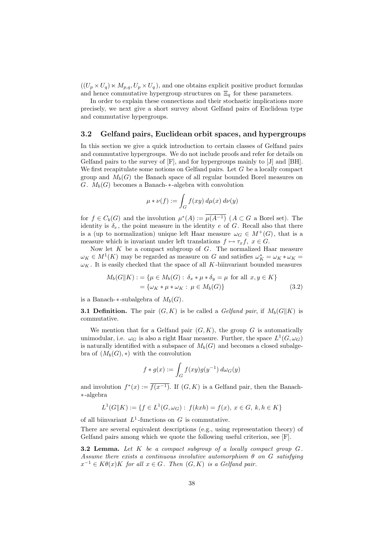$((U_p \times U_q) \times M_{p,q}, U_p \times U_q)$ , and one obtains explicit positive product formulas and hence commutative hypergroup structures on  $\Xi_q$  for these parameters.

In order to explain these connections and their stochastic implications more precisely, we next give a short survey about Gelfand pairs of Euclidean type and commutative hypergroups.

### 3.2 Gelfand pairs, Euclidean orbit spaces, and hypergroups

In this section we give a quick introduction to certain classes of Gelfand pairs and commutative hypergroups. We do not include proofs and refer for details on Gelfand pairs to the survey of [F], and for hypergroups mainly to [J] and [BH]. We first recapitulate some notions on Gelfand pairs. Let  $G$  be a locally compact group and  $M_b(G)$  the Banach space of all regular bounded Borel measures on G.  $M_b(G)$  becomes a Banach- $*$ -algebra with convolution

$$
\mu * \nu(f) := \int_G f(xy) \, d\mu(x) \, d\nu(y)
$$

for  $f \in C_b(G)$  and the involution  $\mu^*(A) := \overline{\mu(A^{-1})}$   $(A \subset G$  a Borel set). The identity is  $\delta_e$ , the point measure in the identity e of G. Recall also that there is a (up to normalization) unique left Haar measure  $\omega_G \in M^+(G)$ , that is a measure which is invariant under left translations  $f \mapsto \tau_x f$ ,  $x \in G$ .

Now let  $K$  be a compact subgroup of  $G$ . The normalized Haar measure  $\omega_K \in M^1(K)$  may be regarded as measure on G and satisfies  $\omega_K^* = \omega_K * \omega_K =$  $\omega_K$ . It is easily checked that the space of all K-biinvariant bounded measures

$$
M_b(G||K) := \{ \mu \in M_b(G) : \delta_x * \mu * \delta_y = \mu \text{ for all } x, y \in K \}
$$
  
=  $\{ \omega_K * \mu * \omega_K : \mu \in M_b(G) \}$  (3.2)

is a Banach- $*$ -subalgebra of  $M_b(G)$ .

**3.1 Definition.** The pair  $(G, K)$  is be called a *Gelfand pair*, if  $M_b(G||K)$  is commutative.

We mention that for a Gelfand pair  $(G, K)$ , the group G is automatically unimodular, i.e.  $\omega_G$  is also a right Haar measure. Further, the space  $L^1(G, \omega_G)$ is naturally identified with a subspace of  $M_b(G)$  and becomes a closed subalgebra of  $(M_b(G),*)$  with the convolution

$$
f * g(x) := \int_G f(xy)g(y^{-1}) d\omega_G(y)
$$

and involution  $f^*(x) := \overline{f(x^{-1})}$ . If  $(G, K)$  is a Gelfand pair, then the Banach-∗-algebra

$$
L^1(G||K) := \{ f \in L^1(G, \omega_G) : f(kxh) = f(x), x \in G, k, h \in K \}
$$

of all biinvariant  $L^1$ -functions on G is commutative.

There are several equivalent descriptions (e.g., using representation theory) of Gelfand pairs among which we quote the following useful criterion, see [F].

**3.2 Lemma.** Let  $K$  be a compact subgroup of a locally compact group  $G$ . Assume there exists a continuous involutive automorphism  $\theta$  on G satisfying  $x^{-1} \in K\theta(x)K$  for all  $x \in G$ . Then  $(G, K)$  is a Gelfand pair.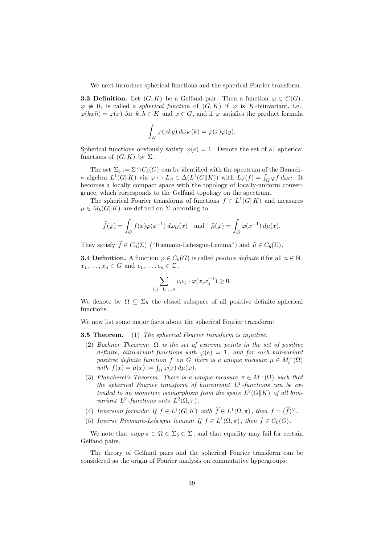We next introduce spherical functions and the spherical Fourier transform.

**3.3 Definition.** Let  $(G, K)$  be a Gelfand pair. Then a function  $\varphi \in C(G)$ ,  $\varphi \not\equiv 0$ , is called a *spherical function* of  $(G, K)$  if  $\varphi$  is K-biinvariant, i.e.,  $\varphi(kxh) = \varphi(x)$  for  $k, h \in K$  and  $x \in G$ , and if  $\varphi$  satisfies the product formula

$$
\int_K \varphi(xky) \, d\omega_K(k) = \varphi(x)\varphi(y).
$$

Spherical functions obviously satisfy  $\varphi(e) = 1$ . Denote the set of all spherical functions of  $(G, K)$  by  $\Sigma$ .

The set  $\Sigma_b := \Sigma \cap C_b(G)$  can be identified with the spectrum of the Banach-∗-algebra  $L^1(G||K)$  via  $\varphi \mapsto L_{\varphi} \in \Delta(L^1(G||K))$  with  $L_{\varphi}(f) = \int_G \varphi f d\omega_G$ . It becomes a locally compact space with the topology of locally-uniform convergence, which corresponds to the Gelfand topology on the spectrum.

The spherical Fourier transforms of functions  $f \in L^1(G||K)$  and measures  $\mu \in M_b(G||K)$  are defined on  $\Sigma$  according to

$$
\widehat{f}(\varphi) = \int_G f(x)\varphi(x^{-1}) d\omega_G(x) \text{ and } \widehat{\mu}(\varphi) = \int_G \varphi(x^{-1}) d\mu(x).
$$

They satisfy  $\hat{f} \in C_0(\Sigma)$  ("Riemann-Lebesgue-Lemma") and  $\hat{\mu} \in C_b(\Sigma)$ .

**3.4 Definition.** A function  $\varphi \in C_b(G)$  is called *positive definite* if for all  $n \in \mathbb{N}$ ,  $x_1, \ldots, x_n \in G$  and  $c_1, \ldots, c_n \in \mathbb{C}$ ,

$$
\sum_{i,j=1,\dots,n} c_i \overline{c}_j \cdot \varphi(x_i x_j^{-1}) \ge 0.
$$

We denote by  $\Omega \subseteq \Sigma_b$  the closed subspace of all positive definite spherical functions.

We now list some major facts about the spherical Fourier transform:

**3.5 Theorem.** (1) The spherical Fourier transform is injective.

- (2) Bochner Theorem:  $\Omega$  is the set of extreme points in the set of positive definite, biinvariant functions with  $\varphi(e) = 1$ , and for each biinvariant positive definite function f on G there is a unique measure  $\mu \in M_b^+(\Omega)$ with  $f(x) = \check{\mu}(x) := \int_{\Omega} \varphi(x) d\mu(\varphi)$ .
- (3) Plancherel's Theorem: There is a unique measure  $\pi \in M^+(\Omega)$  such that the spherical Fourier transform of biinvariant  $L^1$ -functions can be extended to an isometric isomorphism from the space  $L^2(G||K)$  of all biinvariant  $L^2$ -functions onto  $L^2(\Omega, \pi)$ .
- (4) Inversion formula: If  $f \in L^1(G || K)$  with  $\widehat{f} \in L^1(\Omega, \pi)$ , then  $f = (\widehat{f})^{\vee}$ .
- (5) Inverse Riemann-Lebesgue lemma: If  $f \in L^1(\Omega, \pi)$ , then  $\check{f} \in C_0(G)$ .

We note that  $supp \pi \subset \Omega \subset \Sigma_b \subset \Sigma$ , and that equality may fail for certain Gelfand pairs.

The theory of Gelfand pairs and the spherical Fourier transform can be considered as the origin of Fourier analysis on commutative hypergroups: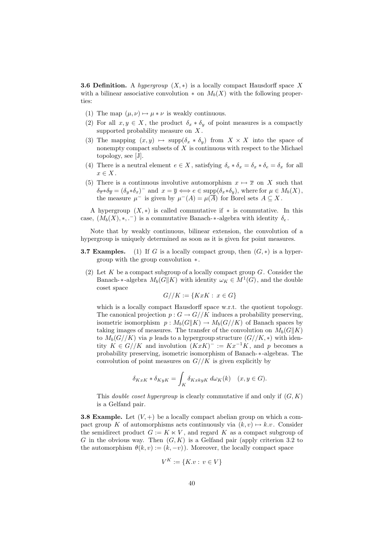**3.6 Definition.** A hypergroup  $(X, *)$  is a locally compact Hausdorff space X with a bilinear associative convolution  $*$  on  $M_b(X)$  with the following properties:

- (1) The map  $(\mu, \nu) \mapsto \mu * \nu$  is weakly continuous.
- (2) For all  $x, y \in X$ , the product  $\delta_x * \delta_y$  of point measures is a compactly supported probability measure on  $X$ .
- (3) The mapping  $(x, y) \mapsto \text{supp}(\delta_x * \delta_y)$  from  $X \times X$  into the space of nonempty compact subsets of  $X$  is continuous with respect to the Michael topology, see [J].
- (4) There is a neutral element  $e \in X$ , satisfying  $\delta_e * \delta_x = \delta_x * \delta_e = \delta_x$  for all  $x \in X$ .
- (5) There is a continuous involutive automorphism  $x \mapsto \overline{x}$  on X such that  $\delta_{\overline{x}} * \delta_{\overline{y}} = (\delta_y * \delta_x)^-$  and  $x = \overline{y} \Longleftrightarrow e \in \text{supp}(\delta_x * \delta_y)$ , where for  $\mu \in M_b(X)$ , the measure  $\mu^-$  is given by  $\mu^-(A) = \mu(\overline{A})$  for Borel sets  $A \subseteq X$ .

A hypergroup  $(X, *)$  is called commutative if  $*$  is commutative. In this case,  $(M_b(X), *, .^-)$  is a commutative Banach- $*$ -algebra with identity  $\delta_e$ .

Note that by weakly continuous, bilinear extension, the convolution of a hypergroup is uniquely determined as soon as it is given for point measures.

- **3.7 Examples.** (1) If G is a locally compact group, then  $(G, *)$  is a hypergroup with the group convolution ∗.
	- (2) Let K be a compact subgroup of a locally compact group  $G$ . Consider the Banach-∗-algebra  $M_b(G||K)$  with identity  $\omega_K \in M^1(G)$ , and the double coset space

$$
G//K := \{KxK : x \in G\}
$$

which is a locally compact Hausdorff space w.r.t. the quotient topology. The canonical projection  $p: G \to G//K$  induces a probability preserving, isometric isomorphism  $p : M_b(G||K) \to M_b(G//K)$  of Banach spaces by taking images of measures. The transfer of the convolution on  $M_b(G||K)$ to  $M_b(G//K)$  via p leads to a hypergroup structure  $(G//K, *)$  with identity  $K \in G//K$  and involution  $(KxK)^{-} := Kx^{-1}K$ , and p becomes a probability preserving, isometric isomorphism of Banach-∗-algebras. The convolution of point measures on  $G//K$  is given explicitly by

$$
\delta_{KxK} * \delta_{KyK} = \int_K \delta_{KxkyK} d\omega_K(k) \quad (x, y \in G).
$$

This *double coset hypergroup* is clearly commutative if and only if  $(G, K)$ is a Gelfand pair.

**3.8 Example.** Let  $(V, +)$  be a locally compact abelian group on which a compact group K of automorphisms acts continuously via  $(k, v) \mapsto k.v$ . Consider the semidirect product  $G := K \ltimes V$ , and regard K as a compact subgroup of G in the obvious way. Then  $(G, K)$  is a Gelfand pair (apply criterion 3.2 to the automorphism  $\theta(k, v) := (k, -v)$ . Moreover, the locally compact space

$$
V^K := \{K.v : v \in V\}
$$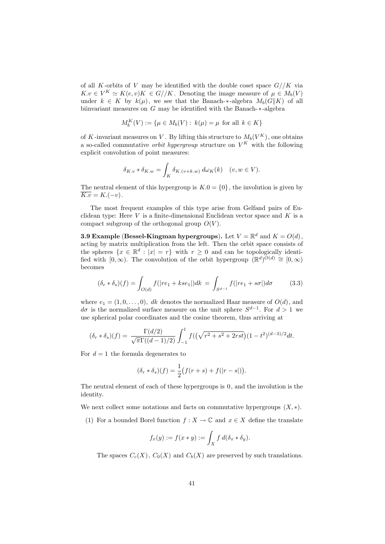of all K-orbits of V may be identified with the double coset space  $G//K$  via  $K.v \in V^K \simeq K(e,v)K \in G//K$ . Denoting the image measure of  $\mu \in M_b(V)$ under  $k \in K$  by  $k(\mu)$ , we see that the Banach-\*-algebra  $M_b(G||K)$  of all biinvariant measures on G may be identified with the Banach-∗-algebra

$$
M_b^K(V) := \{ \mu \in M_b(V) : k(\mu) = \mu \text{ for all } k \in K \}
$$

of K-invariant measures on V. By lifting this structure to  $M_b(V^K)$ , one obtains a so-called commutative *orbit hypergroup* structure on  $V^K$  with the following explicit convolution of point measures:

$$
\delta_{K,v} * \delta_{K,w} = \int_K \delta_{K,(v+k,w)} d\omega_K(k) \quad (v, w \in V).
$$

The neutral element of this hypergroup is  $K.0 = \{0\}$ , the involution is given by  $\overline{K.v} = K.(-v)$ .

The most frequent examples of this type arise from Gelfand pairs of Euclidean type: Here  $V$  is a finite-dimensional Euclidean vector space and  $K$  is a compact subgroup of the orthogonal group  $O(V)$ .

**3.9 Example (Bessel-Kingman hypergroups).** Let  $V = \mathbb{R}^d$  and  $K = O(d)$ , acting by matrix multiplication from the left. Then the orbit space consists of the spheres  $\{x \in \mathbb{R}^d : |x| = r\}$  with  $r \geq 0$  and can be topologically identified with  $[0, \infty)$ . The convolution of the orbit hypergroup  $(\mathbb{R}^d)^{\tilde{O}(d)} \cong [0, \infty)$ becomes

$$
(\delta_r * \delta_s)(f) = \int_{O(d)} f(|re_1 + kse_1|) dk = \int_{S^{d-1}} f(|re_1 + s\sigma|) d\sigma \qquad (3.3)
$$

where  $e_1 = (1, 0, \ldots, 0)$ , dk denotes the normalized Haar measure of  $O(d)$ , and  $d\sigma$  is the normalized surface measure on the unit sphere  $S^{d-1}$ . For  $d > 1$  we use spherical polar coordinates and the cosine theorem, thus arriving at

$$
(\delta_r * \delta_s)(f) = \frac{\Gamma(d/2)}{\sqrt{\pi}\Gamma((d-1)/2)} \int_{-1}^1 f((\sqrt{r^2 + s^2 + 2rst})(1-t^2)^{(d-3)/2}dt).
$$

For  $d = 1$  the formula degenerates to

$$
(\delta_r * \delta_s)(f) = \frac{1}{2} \big( f(r+s) + f(|r-s|) \big).
$$

The neutral element of each of these hypergroups is 0, and the involution is the identity.

We next collect some notations and facts on commutative hypergroups  $(X, *)$ .

(1) For a bounded Borel function  $f : X \to \mathbb{C}$  and  $x \in X$  define the translate

$$
f_x(y) := f(x * y) := \int_X f \, d(\delta_x * \delta_y).
$$

The spaces  $C_c(X)$ ,  $C_0(X)$  and  $C_b(X)$  are preserved by such translations.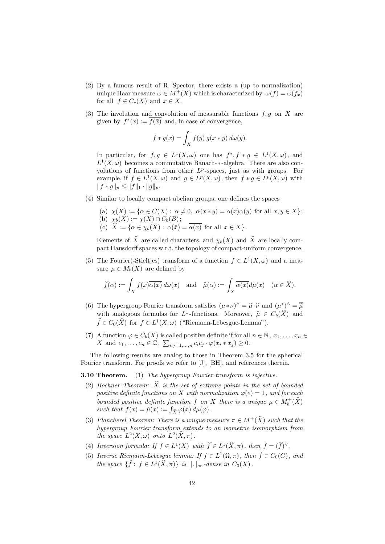- (2) By a famous result of R. Spector, there exists a (up to normalization) unique Haar measure  $\omega \in M^+(X)$  which is characterized by  $\omega(f) = \omega(f_x)$ for all  $f \in C_c(X)$  and  $x \in X$ .
- (3) The involution and convolution of measurable functions  $f, g$  on X are given by  $f^*(x) := \overline{f(\bar{x})}$  and, in case of convergence,

$$
f * g(x) = \int_X f(y) g(x * \bar{y}) d\omega(y).
$$

In particular, for  $f, g \in L^1(X, \omega)$  one has  $f^*, f * g \in L^1(X, \omega)$ , and  $L^1(X, \omega)$  becomes a commutative Banach- $*$ -algebra. There are also convolutions of functions from other  $L^p$ -spaces, just as with groups. For example, if  $f \in L^1(X, \omega)$  and  $g \in L^p(X, \omega)$ , then  $f * g \in L^p(X, \omega)$  with  $||f * g||_p \leq ||f||_1 \cdot ||g||_p.$ 

- (4) Similar to locally compact abelian groups, one defines the spaces
	- (a)  $\chi(X) := {\alpha \in C(X) : \alpha \neq 0, \ \alpha(x * y) = \alpha(x)\alpha(y) \text{ for all } x, y \in X};$ (b)  $\chi_b(X) := \chi(X) \cap C_b(B);$ (c)  $X := {\alpha \in \chi_b(X) : \alpha(\bar{x}) = \alpha(x) \text{ for all } x \in X}.$

Elements of  $\widehat{X}$  are called characters, and  $\chi_b(X)$  and  $\widehat{X}$  are locally compact Hausdorff spaces w.r.t. the topology of compact-uniform convergence.

(5) The Fourier(-Stieltjes) transform of a function  $f \in L^1(X, \omega)$  and a measure  $\mu \in M_b(X)$  are defined by

$$
\widehat{f}(\alpha) := \int_X f(x) \overline{\alpha(x)} \, d\omega(x) \quad \text{and} \quad \widehat{\mu}(\alpha) := \int_X \overline{\alpha(x)} d\mu(x) \quad (\alpha \in \widehat{X}).
$$

- (6) The hypergroup Fourier transform satisfies  $(\mu * \nu)^{\wedge} = \hat{\mu} \cdot \hat{\nu}$  and  $(\mu^*)^{\wedge} = \overline{\hat{\mu}}$ <br>with analogous famulas for L1 functions. Monographic  $G(\hat{\mathbf{x}})$  and with analogous formulas for  $L^1$ -functions. Moreover,  $\hat{\mu} \in C_b(\hat{X})$  and  $\hat{\mathcal{L}} \in C_b(\hat{X})$  for  $f \in L^1(Y, \mu)$  ("Dismann Laborary Lamma")  $\widehat{f} \in C_0(\widehat{X})$  for  $f \in L^1(X, \omega)$  ("Riemann-Lebesgue-Lemma").
- (7) A function  $\varphi \in C_b(X)$  is called positive definite if for all  $n \in \mathbb{N}$ ,  $x_1, \ldots, x_n \in$ X and  $c_1, \ldots, c_n \in \mathbb{C}, \sum_{i,j=1,\ldots,n} c_i \overline{c}_j \cdot \varphi(x_i * \overline{x}_j) \geq 0.$

The following results are analog to those in Theorem 3.5 for the spherical Fourier transform. For proofs we refer to [J], [BH], and references therein.

**3.10 Theorem.** (1) The hypergroup Fourier transform is injective.

- (2) Bochner Theorem:  $\hat{X}$  is the set of extreme points in the set of bounded positive definite functions on X with normalization  $\varphi(e) = 1$ , and for each bounded positive definite function f on X there is a unique  $\mu \in M_b^+(\widehat{X})$ such that  $f(x) = \check{\mu}(x) := \int_{\hat{X}} \varphi(x) d\mu(\varphi)$ .
- (3) Plancherel Theorem: There is a unique measure  $\pi \in M^+(\widehat{X})$  such that the hypergroup Fourier transform extends to an isometric isomorphism from the space  $L^2(X, \omega)$  onto  $L^2(\widehat{X}, \pi)$ .
- (4) Inversion formula: If  $f \in L^1(X)$  with  $\widehat{f} \in L^1(\widehat{X}, \pi)$ , then  $f = (\widehat{f})^{\vee}$ .
- (5) Inverse Riemann-Lebesgue lemma: If  $f \in L^1(\Omega, \pi)$ , then  $\check{f} \in C_0(G)$ , and the space  $\{\check{f}: f \in L^1(\widehat{X}, \pi)\}\$ is  $\|.\|_{\infty}$ -dense in  $C_0(X)$ .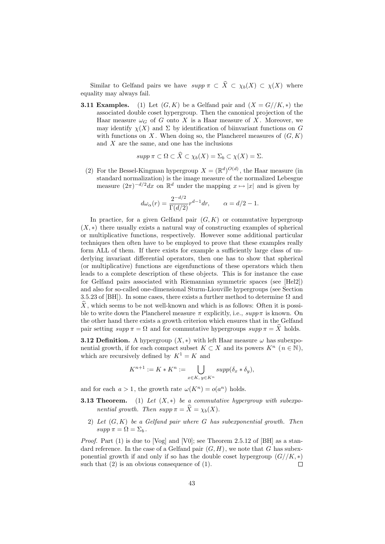Similar to Gelfand pairs we have  $supp \pi \subset \hat{X} \subset \chi_b(X) \subset \chi(X)$  where equality may always fail.

**3.11 Examples.** (1) Let  $(G, K)$  be a Gelfand pair and  $(X = G//K, *)$  the associated double coset hypergroup. Then the canonical projection of the Haar measure  $\omega_G$  of G onto X is a Haar measure of X. Moreover, we may identify  $\chi(X)$  and  $\Sigma$  by identification of biinvariant functions on G with functions on  $X$ . When doing so, the Plancherel measures of  $(G, K)$ and  $X$  are the same, and one has the inclusions

$$
supp \pi \subset \Omega \subset X \subset \chi_b(X) = \Sigma_b \subset \chi(X) = \Sigma.
$$

(2) For the Bessel-Kingman hypergroup  $X = (\mathbb{R}^d)^{O(d)}$ , the Haar measure (in standard normalization) is the image measure of the normalized Lebesgue measure  $(2\pi)^{-d/2}dx$  on  $\mathbb{R}^d$  under the mapping  $x \mapsto |x|$  and is given by

$$
d\omega_{\alpha}(r) = \frac{2^{-d/2}}{\Gamma(d/2)} r^{d-1} dr, \qquad \alpha = d/2 - 1.
$$

In practice, for a given Gelfand pair  $(G, K)$  or commutative hypergroup  $(X, *)$  there usually exists a natural way of constructing examples of spherical or multiplicative functions, respectively. However some additional particular techniques then often have to be employed to prove that these examples really form ALL of them. If there exists for example a sufficiently large class of underlying invariant differential operators, then one has to show that spherical (or multiplicative) functions are eigenfunctions of these operators which then leads to a complete description of these objects. This is for instance the case for Gelfand pairs associated with Riemannian symmetric spaces (see [Hel2]) and also for so-called one-dimensional Sturm-Liouville hypergroups (see Section 3.5.23 of [BH]). In some cases, there exists a further method to determine  $\Omega$  and  $\widehat{X}$ , which seems to be not well-known and which is as follows: Often it is possible to write down the Plancherel measure  $\pi$  explicitly, i.e.,  $\text{supp}\,\pi$  is known. On the other hand there exists a growth criterion which ensures that in the Gelfand pair setting  $supp \pi = \Omega$  and for commutative hypergroups  $supp \pi = \widehat{X}$  holds.

**3.12 Definition.** A hypergroup  $(X, *)$  with left Haar measure  $\omega$  has subexponential growth, if for each compact subset  $K \subset X$  and its powers  $K^n$  ( $n \in \mathbb{N}$ ), which are recursively defined by  $K^1 = K$  and

$$
K^{n+1} := K \ast K^n := \bigcup_{x \in K, y \in K^n} supp(\delta_x \ast \delta_y),
$$

and for each  $a > 1$ , the growth rate  $\omega(K^n) = o(a^n)$  holds.

- **3.13 Theorem.** (1) Let  $(X, *)$  be a commutative hypergroup with subexponential growth. Then  $supp \pi = \widehat{X} = \chi_b(X)$ .
	- 2) Let  $(G, K)$  be a Gelfand pair where G has subexponential growth. Then  $supp \pi = \Omega = \Sigma_b$ .

Proof. Part (1) is due to [Vog] and [V0]; see Theorem 2.5.12 of [BH] as a standard reference. In the case of a Gelfand pair  $(G, H)$ , we note that G has subexponential growth if and only if so has the double coset hypergroup  $(G//K, *)$ such that  $(2)$  is an obvious consequence of  $(1)$ .  $\Box$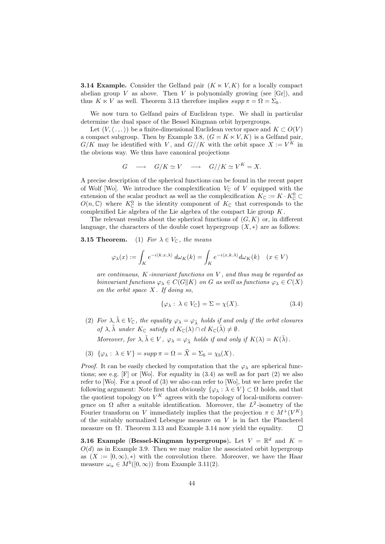**3.14 Example.** Consider the Gelfand pair  $(K \ltimes V, K)$  for a locally compact abelian group V as above. Then V is polynomially growing (see [Gr]), and thus  $K \ltimes V$  as well. Theorem 3.13 therefore implies  $supp \pi = \Omega = \Sigma_b$ .

We now turn to Gelfand pairs of Euclidean type. We shall in particular determine the dual space of the Bessel Kingman orbit hypergroups.

Let  $(V, \langle \ldots \rangle)$  be a finite-dimensional Euclidean vector space and  $K \subset O(V)$ a compact subgroup. Then by Example 3.8,  $(G = K \ltimes V, K)$  is a Gelfand pair,  $G/K$  may be identified with V, and  $G//K$  with the orbit space  $X := V^K$  in the obvious way. We thus have canonical projections

$$
G \quad \longrightarrow \quad G/K \simeq V \quad \longrightarrow \quad G//K \simeq V^K = X.
$$

A precise description of the spherical functions can be found in the recent paper of Wolf [Wo]. We introduce the complexification  $V_{\mathbb{C}}$  of V equipped with the extension of the scalar product as well as the complexification  $K_{\mathbb{C}} := K \cdot K_{\mathbb{C}}^0 \subset$  $O(n,\mathbb{C})$  where  $K_{\mathbb{C}}^{0}$  is the identity component of  $K_{\mathbb{C}}$  that corresponds to the complexified Lie algebra of the Lie algebra of the compact Lie group  $K$ .

The relevant results about the spherical functions of  $(G, K)$  or, in different language, the characters of the double coset hypergroup  $(X, *)$  are as follows:

#### **3.15 Theorem.** (1) For  $\lambda \in V_{\mathbb{C}}$ , the means

$$
\varphi_{\lambda}(x) := \int_{K} e^{-i\langle k.x, \lambda \rangle} d\omega_{K}(k) = \int_{K} e^{-i\langle x, k, \lambda \rangle} d\omega_{K}(k) \quad (x \in V)
$$

are continuous,  $K$ -invariant functions on  $V$ , and thus may be regarded as biinvariant functions  $\varphi_{\lambda} \in C(G||K)$  on G as well as functions  $\varphi_{\lambda} \in C(X)$ on the orbit space  $X$ . If doing so,

$$
\{\varphi_{\lambda} : \lambda \in V_{\mathbb{C}}\} = \Sigma = \chi(X). \tag{3.4}
$$

(2) For  $\lambda, \tilde{\lambda} \in V_{\mathbb{C}}$ , the equality  $\varphi_{\lambda} = \varphi_{\tilde{\lambda}}$  holds if and only if the orbit closures of  $\lambda$ ,  $\tilde{\lambda}$  under  $K_{\mathbb{C}}$  satisfy cl  $K_{\mathbb{C}}(\lambda) \cap cl$   $K_{\mathbb{C}}(\tilde{\lambda}) \neq \emptyset$ .

Moreover, for  $\lambda, \tilde{\lambda} \in V$ ,  $\varphi_{\lambda} = \varphi_{\tilde{\lambda}}$  holds if and only if  $K(\lambda) = K(\tilde{\lambda})$ .

(3)  $\{\varphi_{\lambda} : \lambda \in V\} = supp \pi = \Omega = \widehat{X} = \Sigma_b = \chi_b(X).$ 

*Proof.* It can be easily checked by computation that the  $\varphi_{\lambda}$  are spherical functions; see e.g.  $[F]$  or  $[Wo]$ . For equality in  $(3.4)$  as well as for part  $(2)$  we also refer to [Wo]. For a proof of (3) we also can refer to [Wo], but we here prefer the following argument: Note first that obviously  $\{\varphi_{\lambda} : \lambda \in V\} \subset \Omega$  holds, and that the quotient topology on  $V^K$  agrees with the topology of local-uniform convergence on  $\Omega$  after a suitable identification. Moreover, the  $L^2$ -isometry of the Fourier transform on V immediately implies that the projection  $\pi \in M^+(V^K)$ of the suitably normalized Lebesgue measure on  $V$  is in fact the Plancherel measure on  $\Omega$ . Theorem 3.13 and Example 3.14 now yield the equality. Г

**3.16 Example (Bessel-Kingman hypergroups).** Let  $V = \mathbb{R}^d$  and  $K =$  $O(d)$  as in Example 3.9. Then we may realize the associated orbit hypergroup as  $(X := [0, \infty), *)$  with the convolution there. Moreover, we have the Haar measure  $\omega_{\alpha} \in M^b([0,\infty))$  from Example 3.11(2).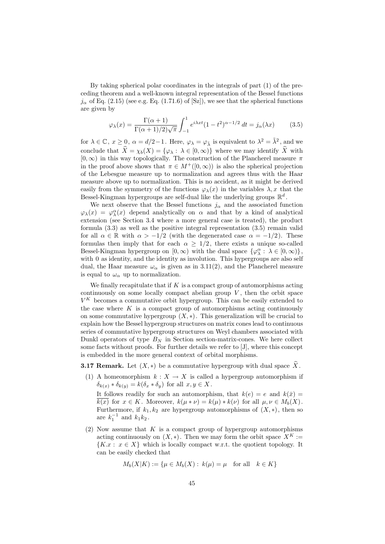By taking spherical polar coordinates in the integrals of part (1) of the preceding theorem and a well-known integral representation of the Bessel functions  $j_{\alpha}$  of Eq. (2.15) (see e.g. Eq. (1.71.6) of [Sz]), we see that the spherical functions are given by

$$
\varphi_{\lambda}(x) = \frac{\Gamma(\alpha+1)}{\Gamma(\alpha+1)/2\sqrt{\pi}} \int_{-1}^{1} e^{i\lambda x t} (1-t^2)^{\alpha-1/2} dt = j_{\alpha}(\lambda x)
$$
(3.5)

for  $\lambda \in \mathbb{C}$ ,  $x \ge 0$ ,  $\alpha = d/2 - 1$ . Here,  $\varphi_{\lambda} = \varphi_{\tilde{\lambda}}$  is equivalent to  $\lambda^2 = \tilde{\lambda}^2$ , and we conclude that  $\hat{X} = \chi_b(X) = {\varphi_\lambda : \lambda \in [0, \infty)}$  where we may identify  $\hat{X}$  with  $[0, \infty)$  in this way topologically. The construction of the Plancherel measure  $\pi$ in the proof above shows that  $\pi \in M^+([0,\infty))$  is also the spherical projection of the Lebesgue measure up to normalization and agrees thus with the Haar measure above up to normalization. This is no accident, as it might be derived easily from the symmetry of the functions  $\varphi_{\lambda}(x)$  in the variables  $\lambda, x$  that the Bessel-Kingman hypergroups are self-dual like the underlying groups  $\mathbb{R}^d$ .

We next observe that the Bessel functions  $j_{\alpha}$  and the associated function  $\varphi_{\lambda}(x) = \varphi_{\lambda}^{\alpha}(x)$  depend analytically on  $\alpha$  and that by a kind of analytical extension (see Section 3.4 where a more general case is treated), the product formula (3.3) as well as the positive integral representation (3.5) remain valid for all  $\alpha \in \mathbb{R}$  with  $\alpha > -1/2$  (with the degenerated case  $\alpha = -1/2$ ). These formulas then imply that for each  $\alpha \geq 1/2$ , there exists a unique so-called Bessel-Kingman hypergroup on  $[0, \infty)$  with the dual space  $\{\varphi_\lambda^\alpha : \lambda \in [0, \infty)\},\$ with 0 as identity, and the identity as involution. This hypergroups are also self dual, the Haar measure  $\omega_{\alpha}$  is given as in 3.11(2), and the Plancherel measure is equal to  $\omega_{\alpha}$  up to normalization.

We finally recapitulate that if  $K$  is a compact group of automorphisms acting continuously on some locally compact abelian group  $V$ , then the orbit space  $V^K$  becomes a commutative orbit hypergroup. This can be easily extended to the case where  $K$  is a compact group of automorphisms acting continuously on some commutative hypergroup  $(X, *)$ . This generalization will be crucial to explain how the Bessel hypergroup structures on matrix cones lead to continuous series of commutative hypergroup structures on Weyl chambers associated with Dunkl operators of type  $B_N$  in Section section-matrix-cones. We here collect some facts without proofs. For further details we refer to [J], where this concept is embedded in the more general context of orbital morphisms.

**3.17 Remark.** Let  $(X, *)$  be a commutative hypergroup with dual space  $\widehat{X}$ .

- (1) A homeomorphism  $k : X \to X$  is called a hypergroup automorphism if  $\delta_{k(x)} * \delta_{k(y)} = k(\delta_x * \delta_y)$  for all  $x, y \in X$ . It follows readily for such an automorphism, that  $k(e) = e$  and  $k(\bar{x}) =$  $\overline{k(x)}$  for  $x \in K$ . Moreover,  $k(\mu * \nu) = k(\mu) * k(\nu)$  for all  $\mu, \nu \in M_b(X)$ . Furthermore, if  $k_1, k_2$  are hypergroup automorphisms of  $(X, *)$ , then so are  $k_1^{-1}$  and  $k_1 k_2$ .
- (2) Now assume that  $K$  is a compact group of hypergroup automorphisms acting continuously on  $(X, *)$ . Then we may form the orbit space  $X^K :=$  ${K.x : x \in X}$  which is locally compact w.r.t. the quotient topology. It can be easily checked that

$$
M_b(X|K) := \{ \mu \in M_b(X) : k(\mu) = \mu \text{ for all } k \in K \}
$$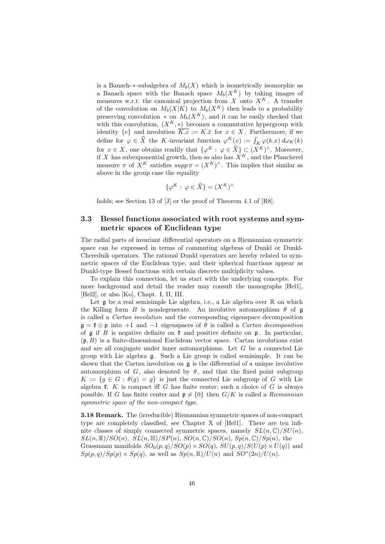is a Banach-∗-subalgebra of  $M_b(X)$  which is isometrically isomorphic as a Banach space with the Banach space  $M_b(X^K)$  by taking images of measures w.r.t. the canonical projection from  $X$  onto  $X^K$ . A transfer of the convolution on  $M_b(X|K)$  to  $M_b(X^K)$  then leads to a probability preserving convolution  $*$  on  $M_b(X^K)$ , and it can be easily checked that with this convolution,  $(X^K, *)$  becomes a commutative hypergroup with identity  $\{e\}$  and involution  $\overline{K.x} := K.\overline{x}$  for  $x \in X$ . Furthermore, if we define for  $\varphi \in \hat{X}$  the K-invariant function  $\varphi^K(x) := \int_K \varphi(k,x) d\omega_K(k)$ for  $x \in X$ , one obtains readily that  $\{\varphi^K : \varphi \in \widehat{X}\} \subset (X^K)^{\wedge}$ . Moreover, if X has subexponential growth, then so also has  $X^K$ , and the Plancherel measure  $\pi$  of  $X^K$  satisfies  $supp \pi = (X^K)^{\wedge}$ . This implies that similar as above in the group case the equality

$$
\{\varphi^K: \varphi \in \widehat{X}\} = (X^K)^\wedge
$$

holds; see Section 13 of [J] or the proof of Theorem 4.1 of [R8].

## 3.3 Bessel functions associated with root systems and symmetric spaces of Euclidean type

The radial parts of invariant differential operators on a Riemannian symmetric space can be expressed in terms of commuting algebras of Dunkl or Dunkl-Cherednik operators. The rational Dunkl operators are hereby related to symmetric spaces of the Euclidean type, and their spherical functions appear as Dunkl-type Bessel functions with certain discrete multiplicity values.

To explain this connection, let us start with the underlying concepts. For more background and detail the reader may consult the monographs [Hel1], [Hel2], or also [Ko], Chapt. I, II, III.

Let  $\frak g$  be a real semisimple Lie algebra, i.e., a Lie algebra over  $\mathbb R$  on which the Killing form B is nondegenerate. An involutive automorphism  $\theta$  of g is called a Cartan involution and the corresponding eigenspace decomposition  $\mathfrak{g} = \mathfrak{k} \oplus \mathfrak{p}$  into  $+1$  and  $-1$  eigenspaces of  $\theta$  is called a *Cartan decomposition* of  $\mathfrak g$  if B is negative definite on  $\mathfrak k$  and positive definite on  $\mathfrak p$ . In particular,  $(p, B)$  is a finite-dimensional Euclidean vector space. Cartan involutions exist and are all conjugate under inner automorphisms. Let G be a connected Lie group with Lie algebra g. Such a Lie group is called semisimple. It can be shown that the Cartan involution on  $\mathfrak g$  is the differential of a unique involutive automorphism of G, also denoted by  $\theta$ , and that the fixed point subgroup  $K := \{g \in G : \theta(g) = g\}$  is just the connected Lie subgroup of G with Lie algebra  $k$ . K is compact iff G has finite center; such a choice of G is always possible. If G has finite center and  $p \neq \{0\}$  then  $G/K$  is called a Riemannian symmetric space of the non-compact type.

3.18 Remark. The (irreducible) Riemannian symmetric spaces of non-compact type are completely classified, see Chapter X of [Hel1]. There are ten infinite classes of simply connected symmetric spaces, namely  $SL(n,\mathbb{C})/SU(n)$ ,  $SL(n,\mathbb{R})/SO(n)$ ,  $SL(n,\mathbb{H})/SP(n)$ ,  $SO(n,\mathbb{C})/SO(n)$ ,  $Sp(n,\mathbb{C})/Sp(n)$ , the Grassmann manifolds  $SO_0(p,q)/SO(p) \times SO(q)$ ,  $SU(p,q)/S(U(p) \times U(q))$  and  $Sp(p,q)/Sp(p) \times Sp(q)$ , as well as  $Sp(n,\mathbb{R})/U(n)$  and  $SO^*(2n)/U(n)$ .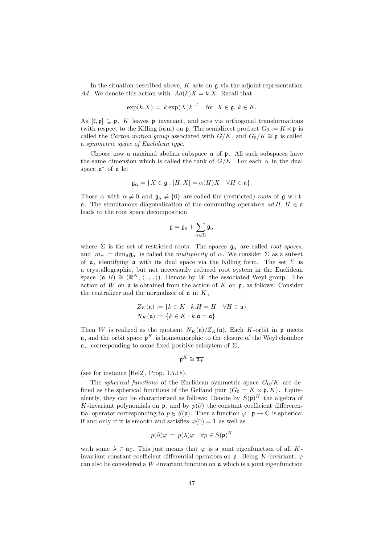In the situation described above,  $K$  acts on  $\mathfrak g$  via the adjoint representation Ad. We denote this action with  $Ad(k)X = k.X$ . Recall that

$$
\exp(k.X) = k \exp(X) k^{-1} \text{ for } X \in \mathfrak{g}, k \in K.
$$

As  $[\mathfrak{k},\mathfrak{p}] \subseteq \mathfrak{p}$ , K leaves p invariant, and acts via orthogonal transformations (with respect to the Killing form) on **p**. The semidirect product  $G_0 := K \times \mathfrak{p}$  is called the *Cartan motion group* associated with  $G/K$ , and  $G_0/K \cong \mathfrak{p}$  is called a symmetric space of Euclidean type.

Choose now a maximal abelian subspace  $\alpha$  of  $\beta$ . All such subspaces have the same dimension which is called the rank of  $G/K$ . For each  $\alpha$  in the dual space  $\mathfrak{a}^*$  of  $\mathfrak a$  let

$$
\mathfrak{g}_{\alpha} = \{ X \in \mathfrak{g} : [H, X] = \alpha(H)X \quad \forall H \in \mathfrak{a} \}.
$$

Those  $\alpha$  with  $\alpha \neq 0$  and  $\mathfrak{g}_{\alpha} \neq \{0\}$  are called the (restricted) roots of g w.r.t. **a**. The simultanous diagonalization of the commuting operators  $ad H$ ,  $H \in \mathfrak{a}$ leads to the root space decomposition

$$
\mathfrak{g}=\mathfrak{g}_0+\sum_{\alpha\in\Sigma}\mathfrak{g}_{\alpha}
$$

where  $\Sigma$  is the set of restricted roots. The spaces  $\mathfrak{g}_{\alpha}$  are called *root spaces*, and  $m_{\alpha} := \dim_{\mathbb{R}} \mathfrak{g}_{\alpha}$  is called the *multiplicity* of  $\alpha$ . We consider  $\Sigma$  as a subset of  $\alpha$ , identifying  $\alpha$  with its dual space via the Killing form. The set  $\Sigma$  is a crystallographic, but not neccesarily reduced root system in the Euclidean space  $(a, B) \cong (\mathbb{R}^N, \langle \cdot, \cdot \rangle)$ . Denote by W the associated Weyl group. The action of W on  $\alpha$  is obtained from the action of K on  $\mathfrak p$ , as follows: Consider the centralizer and the normalizer of  $a$  in  $K$ ,

$$
Z_K(\mathfrak{a}) := \{ k \in K : k.H = H \quad \forall H \in \mathfrak{a} \}
$$

$$
N_K(\mathfrak{a}) := \{ k \in K : k.\mathfrak{a} = \mathfrak{a} \}
$$

Then W is realized as the quotient  $N_K(\mathfrak{a})/Z_K(\mathfrak{a})$ . Each K-orbit in p meets  $\mathfrak{a}$ , and the orbit space  $\mathfrak{p}^K$  is homeomorphic to the closure of the Weyl chamber  $a_+$  corresponding to some fixed positive subsytem of  $\Sigma$ ,

$$
\mathfrak{p}^K \cong \overline{\mathfrak{a}_+}
$$

(see for instance [Hel2], Prop. I.5.18).

The *spherical functions* of the Euclidean symmetric space  $G_0/K$  are defined as the spherical functions of the Gelfand pair  $(G_0 = K \times \mathfrak{p}, K)$ . Equivalently, they can be characterized as follows: Denote by  $S(\mathfrak{p})^K$  the algebra of K-invariant polynomials on  $\mathfrak{p}$ , and by  $p(\partial)$  the constant coefficient differerential operator corresponding to  $p \in S(\mathfrak{p})$ . Then a function  $\varphi : \mathfrak{p} \to \mathbb{C}$  is spherical if and only if it is smooth and satisfies  $\varphi(0) = 1$  as well as

$$
p(\partial)\varphi = p(\lambda)\varphi \quad \forall p \in S(\mathfrak{p})^K
$$

with some  $\lambda \in \mathfrak{a}_{\mathbb{C}}$ . This just means that  $\varphi$  is a joint eigenfunction of all Kinvariant constant coefficient differential operators on  $\mathfrak{p}$ . Being K-invariant,  $\varphi$ can also be considered a W-invariant function on  $\alpha$  which is a joint eigenfunction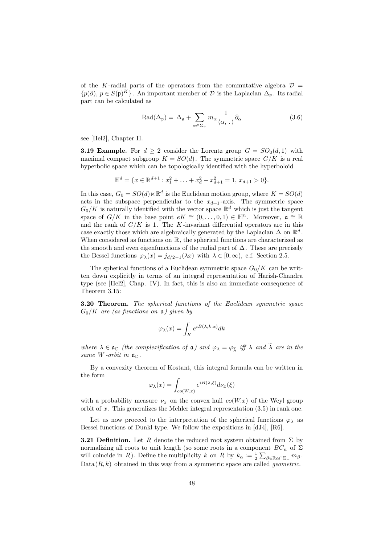of the K-radial parts of the operators from the commutative algebra  $\mathcal{D} =$  ${p(\partial), p \in S(\mathfrak{p})^K}$ . An important member of  $D$  is the Laplacian  $\Delta_{\mathfrak{p}}$ . Its radial part can be calculated as

$$
\text{Rad}(\Delta_{\mathfrak{p}}) = \Delta_{\mathfrak{a}} + \sum_{\alpha \in \Sigma_{+}} m_{\alpha} \frac{1}{\langle \alpha, . \rangle} \partial_{\alpha}
$$
 (3.6)

see [Hel2], Chapter II.

**3.19 Example.** For  $d \geq 2$  consider the Lorentz group  $G = SO_0(d, 1)$  with maximal compact subgroup  $K = SO(d)$ . The symmetric space  $G/K$  is a real hyperbolic space which can be topologically identified with the hyperboloid

$$
\mathbb{H}^d = \{x \in \mathbb{R}^{d+1} : x_1^2 + \ldots + x_d^2 - x_{d+1}^2 = 1, x_{d+1} > 0\}.
$$

In this case,  $G_0 = SO(d) \ltimes \mathbb{R}^d$  is the Euclidean motion group, where  $K = SO(d)$ acts in the subspace perpendicular to the  $x_{d+1}$ -axis. The symmetric space  $G_0/K$  is naturally identified with the vector space  $\mathbb{R}^d$  which is just the tangent space of  $G/K$  in the base point  $eK \cong (0,\ldots,0,1) \in \mathbb{H}^n$ . Moreover,  $\mathfrak{a} \cong \mathbb{R}$ and the rank of  $G/K$  is 1. The K-invariant differential operators are in this case exactly those which are algebraically generated by the Laplacian  $\Delta$  on  $\mathbb{R}^d$ . When considered as functions on  $\mathbb R$ , the spherical functions are characterized as the smooth and even eigenfunctions of the radial part of  $\Delta$ . These are precisely the Bessel functions  $\varphi_{\lambda}(x) = j_{d/2-1}(\lambda x)$  with  $\lambda \in [0, \infty)$ , c.f. Section 2.5.

The spherical functions of a Euclidean symmetric space  $G_0/K$  can be written down explicitly in terms of an integral representation of Harish-Chandra type (see [Hel2], Chap. IV). In fact, this is also an immediate consequence of Theorem 3.15:

3.20 Theorem. The spherical functions of the Euclidean symmetric space  $G_0/K$  are (as functions on  $\mathfrak{a}$ ) given by

$$
\varphi_{\lambda}(x)=\int_K e^{iB(\lambda,k.x)}dk
$$

where  $\lambda \in \mathfrak{a}_{\mathbb{C}}$  (the complexification of  $\mathfrak{a}$ ) and  $\varphi_{\lambda} = \varphi_{\tilde{\lambda}}$  iff  $\lambda$  and  $\tilde{\lambda}$  are in the same W-orbit in  $a_{\mathbb{C}}$ .

By a convexity theorem of Kostant, this integral formula can be written in the form

$$
\varphi_{\lambda}(x) = \int_{co(W,x)} e^{iB(\lambda,\xi)} d\nu_x(\xi)
$$

with a probability measure  $\nu_x$  on the convex hull  $co(W.x)$  of the Weyl group orbit of  $x$ . This generalizes the Mehler integral representation  $(3.5)$  in rank one.

Let us now proceed to the interpretation of the spherical functions  $\varphi_{\lambda}$  as Bessel functions of Dunkl type. We follow the expositions in [dJ4], [R6].

**3.21 Definition.** Let R denote the reduced root system obtained from  $\Sigma$  by normalizing all roots to unit length (so some roots in a component  $BC_n$  of  $\Sigma$ will coincide in R). Define the multiplicity k on R by  $k_{\alpha} := \frac{1}{2} \sum_{\beta \in \mathbb{R}} \sum_{\alpha \cap \Sigma_+} m_{\beta}$ .  $Data(R, k)$  obtained in this way from a symmetric space are called *geometric*.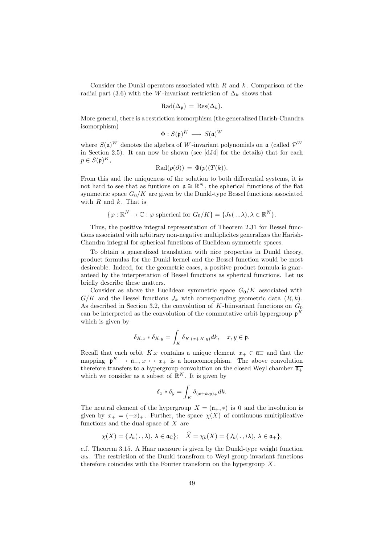Consider the Dunkl operators associated with  $R$  and  $k$ . Comparison of the radial part (3.6) with the W-invariant restriction of  $\Delta_k$  shows that

$$
\mathrm{Rad}(\Delta_{\mathfrak{p}})=\mathrm{Res}(\Delta_{k}).
$$

More general, there is a restriction isomorphism (the generalized Harish-Chandra isomorphism)

$$
\Phi: S(\mathfrak{p})^K \longrightarrow S(\mathfrak{a})^W
$$

where  $S(\mathfrak{a})^W$  denotes the algebra of W-invariant polynomials on  $\mathfrak{a}$  (called  $\mathcal{P}^W$ in Section 2.5). It can now be shown (see [dJ4] for the details) that for each  $p \in S(\mathfrak{p})^K,$ 

$$
\mathrm{Rad}(p(\partial)) = \Phi(p)(T(k)).
$$

From this and the uniqueness of the solution to both differential systems, it is not hard to see that as funtions on  $\mathfrak{a} \cong \mathbb{R}^N$ , the spherical functions of the flat symmetric space  $G_0/K$  are given by the Dunkl-type Bessel functions associated with  $R$  and  $k$ . That is

$$
\{\varphi : \mathbb{R}^N \to \mathbb{C} : \varphi \text{ spherical for } G_0/K\} = \{J_k(.,\lambda), \lambda \in \mathbb{R}^N\}.
$$

Thus, the positive integral representation of Theorem 2.31 for Bessel functions associated with arbitrary non-negative multiplicites generalizes the Harish-Chandra integral for spherical functions of Euclidean symmetric spaces.

To obtain a generalized translation with nice properties in Dunkl theory, product formulas for the Dunkl kernel and the Bessel function would be most desireable. Indeed, for the geometric cases, a positive product formula is guaranteed by the interpretation of Bessel functions as spherical functions. Let us briefly describe these matters.

Consider as above the Euclidean symmetric space  $G_0/K$  associated with  $G/K$  and the Bessel functions  $J_k$  with corresponding geometric data  $(R, k)$ . As described in Section 3.2, the convolution of K-biinvariant functions on  $G_0$ can be interpreted as the convolution of the commutative orbit hypergroup  $\mathfrak{p}^K$ which is given by

$$
\delta_{K,x} * \delta_{K,y} = \int_K \delta_{K,(x+K,y)} dk, \quad x, y \in \mathfrak{p}.
$$

Recall that each orbit K.x contains a unique element  $x_+ \in \overline{\mathfrak{a}_+}$  and that the mapping  $\mathfrak{p}^K \to \overline{\mathfrak{a}_+}, x \mapsto x_+$  is a homeomorphism. The above convolution therefore transfers to a hypergroup convolution on the closed Weyl chamber  $\overline{\mathfrak{a}_+}$ which we consider as a subset of  $\mathbb{R}^N$ . It is given by

$$
\delta_x * \delta_y = \int_K \delta_{(x+k.y)_+} dk.
$$

The neutral element of the hypergroup  $X = (\overline{\mathfrak{a}_{+}}, *)$  is 0 and the involution is given by  $\overline{x_+} = (-x)_+$ . Further, the space  $\chi(X)$  of continuous multiplicative functions and the dual space of  $X$  are

$$
\chi(X) = \{J_k(.,\lambda), \lambda \in \mathfrak{a}_{\mathbb{C}}\}; \quad \widehat{X} = \chi_b(X) = \{J_k(.,i\lambda), \lambda \in \mathfrak{a}_+\},
$$

c.f. Theorem 3.15. A Haar measure is given by the Dunkl-type weight function  $w_k$ . The restriction of the Dunkl transfrom to Weyl group invariant functions therefore coincides with the Fourier transform on the hypergroup  $X$ .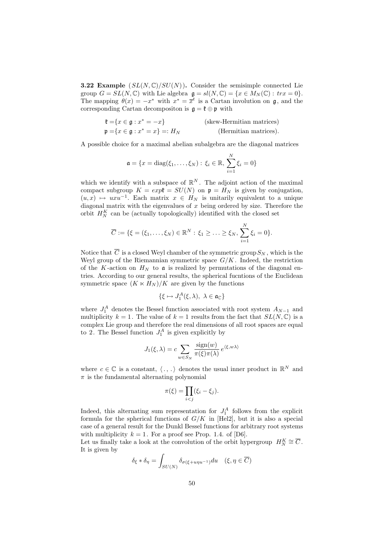**3.22 Example**  $(SL(N, \mathbb{C})/SU(N))$ . Consider the semisimple connected Lie group  $G = SL(N, \mathbb{C})$  with Lie algebra  $\mathfrak{g} = sl(N, \mathbb{C}) = \{x \in M_N(\mathbb{C}) : \text{tr}x = 0\}.$ The mapping  $\theta(x) = -x^*$  with  $x^* = \overline{x}^t$  is a Cartan involution on  $\mathfrak{g}$ , and the corresponding Cartan decompositon is  $\mathfrak{g} = \mathfrak{k} \oplus \mathfrak{p}$  with

| $\mathfrak{k} = \{x \in \mathfrak{g} : x^* = -x\}$       | (skew-Hermitian matrices) |
|----------------------------------------------------------|---------------------------|
| $\mathfrak{p} = \{x \in \mathfrak{g} : x^* = x\} =: H_N$ | (Hermitian matrices).     |

A possible choice for a maximal abelian subalgebra are the diagonal matrices

$$
\mathfrak{a} = \{x = \text{diag}(\xi_1, ..., \xi_N) : \xi_i \in \mathbb{R}, \sum_{i=1}^N \xi_i = 0\}
$$

which we identify with a subspace of  $\mathbb{R}^N$ . The adjoint action of the maximal compact subgroup  $K = exp\mathfrak{k} = SU(N)$  on  $\mathfrak{p} = H_N$  is given by conjugation,  $(u, x) \mapsto uxu^{-1}$ . Each matrix  $x \in H_N$  is unitarily equivalent to a unique diagonal matrix with the eigenvalues of  $x$  being ordered by size. Therefore the orbit  $H_N^K$  can be (actually topologically) identified with the closed set

$$
\overline{C} := \{ \xi = (\xi_1, \ldots, \xi_N) \in \mathbb{R}^N : \, \xi_1 \geq \ldots \geq \xi_N, \, \sum_{i=1}^N \xi_i = 0 \}.
$$

Notice that  $\overline{C}$  is a closed Weyl chamber of the symmetric group  $S_N$ , which is the Weyl group of the Riemannian symmetric space  $G/K$ . Indeed, the restriction of the K-action on  $H_N$  to  $\mathfrak a$  is realized by permutations of the diagonal entries. According to our general results, the spherical fucntions of the Euclidean symmetric space  $(K \ltimes H_N)/K$  are given by the functions

$$
\{\xi\mapsto J_1^A(\xi,\lambda),\ \lambda\in\mathfrak{a}_\mathbb{C}\}
$$

where  $J_1^A$  denotes the Bessel function associated with root system  $A_{N-1}$  and multiplicity  $k = 1$ . The value of  $k = 1$  results from the fact that  $SL(N, \mathbb{C})$  is a complex Lie group and therefore the real dimensions of all root spaces are equal to 2. The Bessel function  $J_1^A$  is given explicitly by

$$
J_1(\xi,\lambda) = c \sum_{w \in S_N} \frac{\text{sign}(w)}{\pi(\xi)\pi(\lambda)} e^{\langle \xi, w \lambda \rangle}
$$

where  $c \in \mathbb{C}$  is a constant,  $\langle ., . \rangle$  denotes the usual inner product in  $\mathbb{R}^N$  and  $\pi$  is the fundamental alternating polynomial

$$
\pi(\xi) = \prod_{i < j} (\xi_i - \xi_j).
$$

Indeed, this alternating sum representation for  $J_1^A$  follows from the explicit formula for the spherical functions of  $G/K$  in [Hel2], but it is also a special case of a general result for the Dunkl Bessel functions for arbitrary root systems with multiplicity  $k = 1$ . For a proof see Prop. 1.4. of [D6].

Let us finally take a look at the convolution of the orbit hypergroup  $H_N^K \cong \overline{C}$ . It is given by

$$
\delta_{\xi} * \delta_{\eta} = \int_{SU(N)} \delta_{\sigma(\xi + u\eta u^{-1})} du \quad (\xi, \eta \in \overline{C})
$$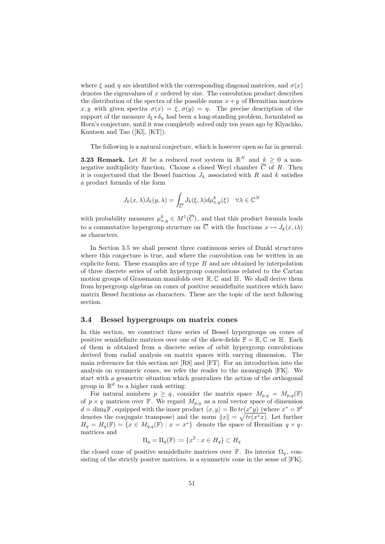where  $\xi$  and  $\eta$  are identified with the corresponding diagonal matrices, and  $\sigma(x)$ denotes the eigenvalues of  $x$  ordered by size. The convolution product describes the distribution of the spectra of the possible sums  $x+y$  of Hermitian matrices x, y with given spectra  $\sigma(x) = \xi$ ,  $\sigma(y) = \eta$ . The precise description of the support of the measure  $\delta_{\xi} * \delta_{\eta}$  had been a long-standing problem, formulated as Horn's conjecture, until it was completely solved only ten years ago by Klyachko, Knutson and Tao ([Kl], [KT]).

The following is a natural conjecture, which is however open so far in general:

**3.23 Remark.** Let R be a reduced root system in  $\mathbb{R}^N$  and  $k \geq 0$  a nonnegative multiplicity function. Choose a closed Weyl chamber  $\overline{C}$  of R. Then it is conjectured that the Bessel function  $J_k$  associated with R and k satisfies a product formula of the form

$$
J_k(x,\lambda)J_k(y,\lambda) = \int_{\overline{C}} J_k(\xi,\lambda)d\mu_{x,y}^k(\xi) \quad \forall \lambda \in \mathbb{C}^N
$$

with probability measures  $\mu_{x,y}^k \in M^1(\overline{C})$ , and that this product formula leads to a commutative hypergroup structure on  $\overline{C}$  with the functions  $x \mapsto J_k(x, i\lambda)$ as characters.

In Section 3.5 we shall present three continuous series of Dunkl structures where this conjecture is true, and where the convolution can be written in an explicite form. These examples are of type  $B$  and are obtained by interpolation of three discrete series of orbit hypergroup convolutions related to the Cartan motion groups of Grassmann manifolds over  $\mathbb{R}, \mathbb{C}$  and  $\mathbb{H}$ . We shall derive them from hypergroup algebras on cones of positive semidefinite matrices which have matrix Bessel fucntions as characters. These are the topic of the next following section.

### 3.4 Bessel hypergroups on matrix cones

In this section, we construct three series of Bessel hypergroups on cones of positive semidefinite matrices over one of the skew-fields  $\mathbb{F} = \mathbb{R}, \mathbb{C}$  or  $\mathbb{H}$ . Each of them is obtained from a discrete series of orbit hypergroup convolutions derived from radial analysis on matrix spaces with varying dimension. The main references for this section are [R8] and [FT]. For an introduction into the analysis on symmeric cones, we refer the reader to the monograph [FK]. We start with a geometric situation which generalizes the action of the orthogonal group in  $\mathbb{R}^d$  to a higher rank setting:

For natural numbers  $p \geq q$ , consider the matrix space  $M_{p,q} = M_{p,q}(\mathbb{F})$ of  $p \times q$  matrices over F. We regard  $M_{p,q}$  as a real vector space of dimension  $d = \dim_{\mathbb{R}} \mathbb{F}$ , equipped with the inner product  $\langle x, y \rangle = \text{Re}\,tr(x^*y)$  (where  $x^* = \overline{x}^t$ denotes the conjugate transpose) and the norm  $||x|| = \sqrt{tr(x^*x)}$ . Let further  $H_q = H_q(\mathbb{F}) = \{x \in M_{q,q}(\mathbb{F}) : x = x^*\}\$  denote the space of Hermitian  $q \times q$ matrices and

$$
\Pi_q = \Pi_q(\mathbb{F}) := \{x^2 : x \in H_q\} \subset H_q
$$

the closed cone of positive semidefinite matrices over  $\mathbb{F}$ . Its interior  $\Omega_q$ , consisting of the strictly positve matrices, is a symmetric cone in the sense of [FK].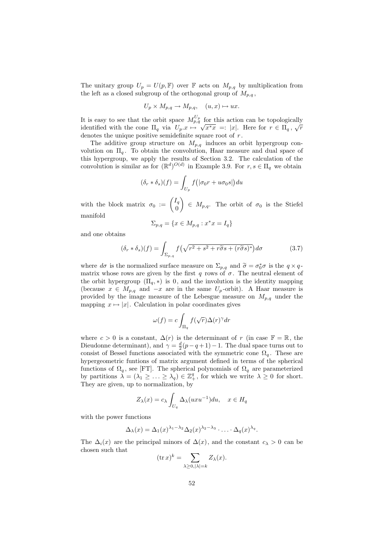The unitary group  $U_p = U(p, \mathbb{F})$  over  $\mathbb{F}$  acts on  $M_{p,q}$  by multiplication from the left as a closed subgroup of the orthogonal group of  $M_{p,q}$ ,

$$
U_p \times M_{p,q} \to M_{p,q}, \quad (u, x) \mapsto ux.
$$

It is easy to see that the orbit space  $M_{p,q}^{U_p}$  for this action can be topologically identified with the cone  $\Pi_q$  via  $U_p.x \mapsto$ √ or this action can be topologically<br> $\overline{x^*x}$  =: |x|. Here for  $r \in \Pi_q$ ,  $\sqrt{r}$ denotes the unique positive semidefinite square root of r.

The additive group structure on  $M_{p,q}$  induces an orbit hypergroup convolution on  $\Pi_q$ . To obtain the convolution, Haar measure and dual space of this hypergroup, we apply the results of Section 3.2. The calculation of the convolution is similar as for  $(\mathbb{R}^d)^{O(d)}$  in Example 3.9. For  $r, s \in \Pi_q$  we obtain

$$
(\delta_r * \delta_s)(f) = \int_{U_p} f(|\sigma_0 r + u \sigma_0 s|) du
$$

with the block matrix  $\sigma_0 := \begin{pmatrix} I_q \\ 0 \end{pmatrix}$ 0  $\Big) \in M_{p,q}$ . The orbit of  $\sigma_0$  is the Stiefel manifold

$$
\Sigma_{p,q} = \{ x \in M_{p,q} : x^*x = I_q \}
$$

and one obtains

$$
(\delta_r * \delta_s)(f) = \int_{\Sigma_{p,q}} f\left(\sqrt{r^2 + s^2 + r\tilde{\sigma}s + (r\tilde{\sigma}s)^*}\right) d\sigma \tag{3.7}
$$

where  $d\sigma$  is the normalized surface measure on  $\Sigma_{p,q}$  and  $\widetilde{\sigma} = \sigma_0^* \sigma$  is the  $q \times q$ -<br>matrix whose rows are given by the first g rows of  $\sigma$ . The noutral element of matrix whose rows are given by the first q rows of  $\sigma$ . The neutral element of the orbit hypergroup  $(\Pi_q, *)$  is 0, and the involution is the identity mapping (because  $x \in M_{p,q}$  and  $-x$  are in the same  $U_p$ -orbit). A Haar measure is provided by the image measure of the Lebesgue measure on  $M_{p,q}$  under the mapping  $x \mapsto |x|$ . Calculation in polar coordinates gives

$$
\omega(f) = c \int_{\Pi_q} f(\sqrt{r}) \Delta(r)^\gamma dr
$$

where  $c > 0$  is a constant,  $\Delta(r)$  is the determinant of r (in case  $\mathbb{F} = \mathbb{R}$ , the Dieudonne determinant), and  $\gamma = \frac{d}{2}(p-q+1)-1$ . The dual space turns out to consist of Bessel functions associated with the symmetric cone  $\Omega_q$ . These are hypergeometric funtions of matrix argument defined in terms of the spherical functions of  $\Omega_q$ , see [FT]. The spherical polynomials of  $\Omega_q$  are parameterized by partitions  $\lambda = (\lambda_1 \geq \ldots \geq \lambda_q) \in \mathbb{Z}_+^q$ , for which we write  $\lambda \geq 0$  for short. They are given, up to normalization, by

$$
Z_{\lambda}(x) = c_{\lambda} \int_{U_q} \Delta_{\lambda}(uxu^{-1}) du, \quad x \in H_q
$$

with the power functions

$$
\Delta_{\lambda}(x) = \Delta_1(x)^{\lambda_1 - \lambda_2} \Delta_2(x)^{\lambda_2 - \lambda_3} \cdot \ldots \cdot \Delta_q(x)^{\lambda_q}.
$$

The  $\Delta_i(x)$  are the principal minors of  $\Delta(x)$ , and the constant  $c_\lambda > 0$  can be chosen such that

$$
(\operatorname{tr} x)^k = \sum_{\lambda \ge 0, |\lambda| = k} Z_{\lambda}(x).
$$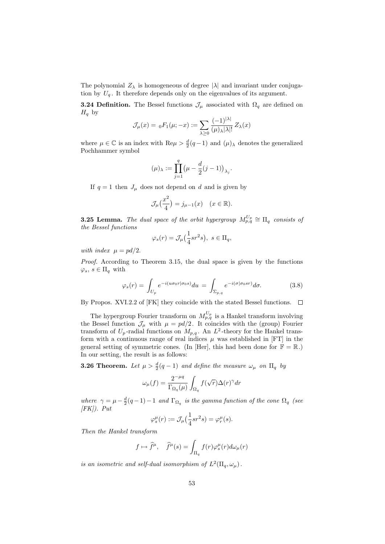The polynomial  $Z_{\lambda}$  is homogeneous of degree  $|\lambda|$  and invariant under conjugation by  $U_q$ . It therefore depends only on the eigenvalues of its argument.

**3.24 Definition.** The Bessel functions  $\mathcal{J}_{\mu}$  associated with  $\Omega_{q}$  are defined on  $H<sub>q</sub>$  by

$$
\mathcal{J}_{\mu}(x) = {}_0F_1(\mu; -x) := \sum_{\lambda \geq 0} \frac{(-1)^{\vert \lambda \vert}}{(\mu)_{\lambda} \vert \lambda \vert!} Z_{\lambda}(x)
$$

where  $\mu \in \mathbb{C}$  is an index with  $\text{Re}\mu > \frac{d}{2}(q-1)$  and  $(\mu)_{\lambda}$  denotes the generalized Pochhammer symbol

$$
(\mu)_\lambda:=\prod_{j=1}^q\bigl(\mu-\frac{d}{2}(j-1)\bigr)_{\lambda_j}.
$$

If  $q = 1$  then  $J_{\mu}$  does not depend on d and is given by

$$
\mathcal{J}_{\mu}\left(\frac{x^2}{4}\right) = j_{\mu-1}(x) \quad (x \in \mathbb{R}).
$$

**3.25 Lemma.** The dual space of the orbit hypergroup  $M_{p,q}^{U_p} \cong \Pi_q$  consists of the Bessel functions

$$
\varphi_s(r) = \mathcal{J}_{\mu}\left(\frac{1}{4}sr^2s\right), \ s \in \Pi_q,
$$

with index  $\mu = pd/2$ .

Proof. According to Theorem 3.15, the dual space is given by the functions  $\varphi_s, s \in \Pi_q$  with

$$
\varphi_s(r) = \int_{U_p} e^{-i(u\sigma_0 r|\sigma_0 s)} du = \int_{\Sigma_{p,q}} e^{-i(\sigma|\sigma_0 s r)} d\sigma.
$$
 (3.8)

By Propos. XVI.2.2 of [FK] they coincide with the stated Bessel functions.  $\Box$ 

The hypergroup Fourier transform on  $M_{p,q}^{U_p}$  is a Hankel transform involving the Bessel function  $\mathcal{J}_{\mu}$  with  $\mu = pd/2$ . It coincides with the (group) Fourier transform of  $U_p$ -radial functions on  $M_{p,q}$ . An  $L^2$ -theory for the Hankel transform with a continuous range of real indices  $\mu$  was established in [FT] in the general setting of symmetric cones. (In [Her], this had been done for  $\mathbb{F} = \mathbb{R}$ .) In our setting, the result is as follows:

**3.26 Theorem.** Let  $\mu > \frac{d}{2}(q-1)$  and define the measure  $\omega_{\mu}$  on  $\Pi_q$  by

$$
\omega_{\mu}(f) = \frac{2^{-\mu q}}{\Gamma_{\Omega_q}(\mu)} \int_{\Omega_q} f(\sqrt{r}) \Delta(r)^{\gamma} dr
$$

where  $\gamma = \mu - \frac{d}{2}(q-1) - 1$  and  $\Gamma_{\Omega_q}$  is the gamma function of the cone  $\Omega_q$  (see  $|FK|$ ). Put

$$
\varphi_s^{\mu}(r) := \mathcal{J}_{\mu}\left(\frac{1}{4}sr^2s\right) = \varphi_r^{\mu}(s).
$$

Then the Hankel transform

$$
f \mapsto \hat{f}^{\mu}, \quad \hat{f}^{\mu}(s) = \int_{\Pi_q} f(r) \varphi_s^{\mu}(r) d\omega_{\mu}(r)
$$

is an isometric and self-dual isomorphism of  $L^2(\Pi_q, \omega_\mu)$ .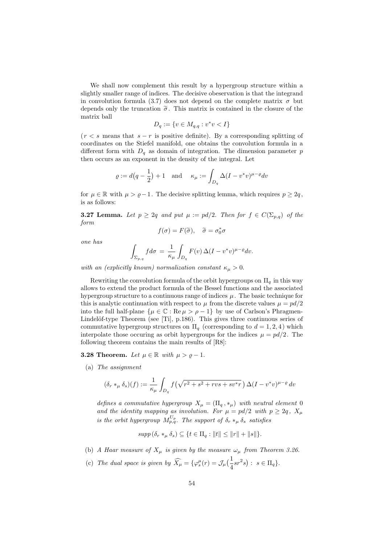We shall now complement this result by a hypergroup structure within a slightly smaller range of indices. The decisive obeservation is that the integrand in convolution formula (3.7) does not depend on the complete matrix  $\sigma$  but depends only the truncation  $\tilde{\sigma}$ . This matrix is contained in the closure of the matrix ball

$$
D_q := \{ v \in M_{q,q} : v^*v < I \}
$$

 $(r < s$  means that  $s - r$  is positive definite). By a corresponding splitting of coordinates on the Stiefel manifold, one obtains the convolution formula in a different form with  $D_q$  as domain of integration. The dimension parameter p then occurs as an exponent in the density of the integral. Let

$$
\varrho := d\left(q - \frac{1}{2}\right) + 1 \quad \text{and} \quad \kappa_{\mu} := \int_{D_q} \Delta (I - v^* v)^{\mu - \varrho} dv
$$

for  $\mu \in \mathbb{R}$  with  $\mu > \rho - 1$ . The decisive splitting lemma, which requires  $p \geq 2q$ , is as follows:

**3.27 Lemma.** Let  $p \geq 2q$  and put  $\mu := pd/2$ . Then for  $f \in C(\Sigma_{p,q})$  of the form

$$
f(\sigma) = F(\widetilde{\sigma}), \quad \widetilde{\sigma} = \sigma_0^* \sigma
$$

one has

$$
\int_{\Sigma_{p,q}} f d\sigma = \frac{1}{\kappa_{\mu}} \int_{D_q} F(v) \,\Delta (I - v^*v)^{\mu - \varrho} dv.
$$

with an (explicitly known) normalization constant  $\kappa_{\mu} > 0$ .

Rewriting the convolution formula of the orbit hypergroups on  $\Pi_q$  in this way allows to extend the product formula of the Bessel functions and the associated hypergroup structure to a continuous range of indices  $\mu$ . The basic technique for this is analytic continuation with respect to  $\mu$  from the discrete values  $\mu = pd/2$ into the full half-plane  $\{\mu \in \mathbb{C} : \text{Re}\,\mu > \rho - 1\}$  by use of Carlson's Phragmen-Lindelöf-type Theorem (see [Ti], p.186). This gives three continuous series of commutative hypergroup structures on  $\Pi_q$  (corresponding to  $d = 1, 2, 4$ ) which interpolate those occuring as orbit hypergroups for the indices  $\mu = pd/2$ . The following theorem contains the main results of [R8]:

### **3.28 Theorem.** Let  $\mu \in \mathbb{R}$  with  $\mu > \varrho - 1$ .

(a) The assignment

$$
(\delta_r *_\mu \delta_s)(f) := \frac{1}{\kappa_\mu} \int_{D_q} f(\sqrt{r^2 + s^2 + rvs + sv^*r}) \Delta(I - v^*v)^{\mu - \varrho} dv
$$

defines a commutative hypergroup  $X_{\mu} = (\Pi_q, *_{\mu})$  with neutral element 0 and the identity mapping as involution. For  $\mu = pd/2$  with  $p \geq 2q$ ,  $X_{\mu}$ is the orbit hypergroup  $M_{p,q}^{U_p}$ . The support of  $\delta_r *_{\mu} \delta_s$  satisfies

$$
supp (\delta_r *_\mu \delta_s) \subseteq \{ t \in \Pi_q : ||t|| \le ||r|| + ||s|| \}.
$$

- (b) A Haar measure of  $X_u$  is given by the measure  $\omega_u$  from Theorem 3.26.
- (c) The dual space is given by  $\widehat{X}_{\mu} = {\varphi_s^{\mu}(r) = \mathcal{J}_{\mu}(\frac{1}{4}sr^2s) : s \in \Pi_q}.$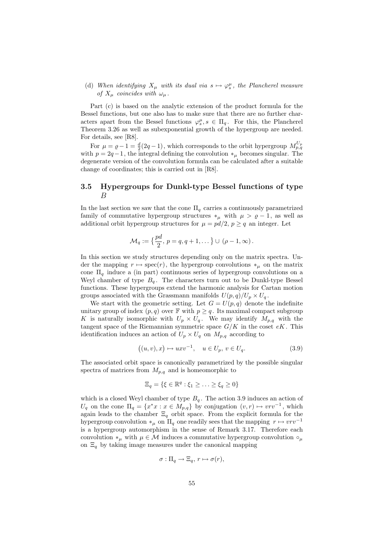## (d) When identifying  $X_{\mu}$  with its dual via  $s \mapsto \varphi_s^{\mu}$ , the Plancherel measure of  $X_\mu$  coincides with  $\omega_\mu$ .

Part (c) is based on the analytic extension of the product formula for the Bessel functions, but one also has to make sure that there are no further characters apart from the Bessel functions  $\varphi_s^{\mu}, s \in \Pi_q$ . For this, the Plancherel Theorem 3.26 as well as subexponential growth of the hypergroup are needed. For details, see [R8].

For  $\mu = \varrho - 1 = \frac{d}{2}(2q - 1)$ , which corresponds to the orbit hypergroup  $M_{p,q}^{U_p}$ with  $p = 2q-1$ , the integral defining the convolution  $*_\mu$  becomes singular. The degenerate version of the convolution formula can be calculated after a suitable change of coordinates; this is carried out in [R8].

## 3.5 Hypergroups for Dunkl-type Bessel functions of type B

In the last section we saw that the cone  $\Pi_q$  carries a continuously parametrized family of commutative hypergroup structures  $*_\mu$  with  $\mu > \varrho - 1$ , as well as additional orbit hypergroup structures for  $\mu = pd/2$ ,  $p \geq q$  an integer. Let

$$
\mathcal{M}_q := \left\{ \frac{pd}{2}, \, p = q, q+1, \dots \right\} \cup (\rho - 1, \infty).
$$

In this section we study structures depending only on the matrix spectra. Under the mapping  $r \mapsto \text{spec}(r)$ , the hypergroup convolutions  $*_\mu$  on the matrix cone  $\Pi_q$  induce a (in part) continuous series of hypergroup convolutions on a Weyl chamber of type  $B_q$ . The characters turn out to be Dunkl-type Bessel functions. These hypergroups extend the harmonic analysis for Cartan motion groups associated with the Grassmann manifolds  $U(p,q)/U_p \times U_q$ .

We start with the geometric setting. Let  $G = U(p,q)$  denote the indefinite unitary group of index  $(p, q)$  over  $\mathbb{F}$  with  $p \geq q$ . Its maximal compact subgroup K is naturally isomorphic with  $U_p \times U_q$ . We may identify  $M_{p,q}$  with the tangent space of the Riemannian symmetric space  $G/K$  in the coset  $eK$ . This identification induces an action of  $U_p \times U_q$  on  $M_{p,q}$  according to

$$
((u,v),x) \mapsto uxv^{-1}, \quad u \in U_p, \, v \in U_q. \tag{3.9}
$$

The associated orbit space is canonically parametrized by the possible singular spectra of matrices from  $M_{p,q}$  and is homeomorphic to

$$
\Xi_q = \{ \xi \in \mathbb{R}^q : \xi_1 \geq \ldots \geq \xi_q \geq 0 \}
$$

which is a closed Weyl chamber of type  $B_q$ . The action 3.9 induces an action of  $U_q$  on the cone  $\Pi_q = \{x^*x : x \in M_{p,q}\}\$  by conjugation  $(v,r) \mapsto vrv^{-1}$ , which again leads to the chamber  $\Xi_q$  orbit space. From the explicit formula for the hypergroup convolution  $*_\mu$  on  $\Pi_q$  one readily sees that the mapping  $r \mapsto vrv^{-1}$ is a hypergroup automorphism in the sense of Remark 3.17. Therefore each convolution  $*_\mu$  with  $\mu \in \mathcal{M}$  induces a commutative hypergroup convolution  $\circ_\mu$ on  $\Xi_q$  by taking image measures under the canonical mapping

$$
\sigma: \Pi_q \to \Xi_q, r \mapsto \sigma(r),
$$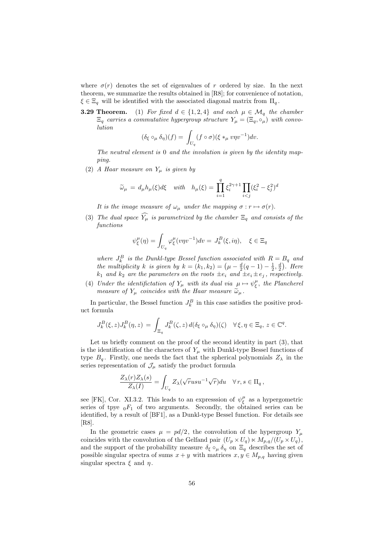where  $\sigma(r)$  denotes the set of eigenvalues of r ordered by size. In the next theorem, we summarize the results obtained in [R8]; for convenience of notation,  $\xi \in \Xi_q$  will be identified with the associated diagonal matrix from  $\Pi_q$ .

**3.29 Theorem.** (1) For fixed  $d \in \{1,2,4\}$  and each  $\mu \in \mathcal{M}_q$  the chamber  $\Xi_q$  carries a commutative hypergroup structure  $Y_\mu = (\Xi_q, \circ_\mu)$  with convolution

$$
(\delta_{\xi} \circ_{\mu} \delta_{\eta})(f) = \int_{U_q} (f \circ \sigma)(\xi *_{\mu} v \eta v^{-1}) dv.
$$

The neutral element is 0 and the involution is given by the identity mapping.

(2) A Haar measure on  $Y_\mu$  is given by

$$
\widetilde{\omega}_{\mu} = d_{\mu} h_{\mu}(\xi) d\xi \quad with \quad h_{\mu}(\xi) = \prod_{i=1}^{q} \xi_i^{2\gamma+1} \prod_{i < j} (\xi_i^2 - \xi_j^2)^d
$$

It is the image measure of  $\omega_{\mu}$  under the mapping  $\sigma : r \mapsto \sigma(r)$ .

(3) The dual space  $\widehat{Y}_{\mu}$  is parametrized by the chamber  $\Xi_q$  and consists of the functions

$$
\psi_{\xi}^{\mu}(\eta) = \int_{U_q} \varphi_{\xi}^{\mu}(v\eta v^{-1}) dv = J_k^B(\xi, i\eta), \quad \xi \in \Xi_q
$$

where  $J_k^B$  is the Dunkl-type Bessel function associated with  $R = B_q$  and the multiplicity k is given by  $k = (k_1, k_2) = (\mu - \frac{d}{2}(q-1) - \frac{1}{2}, \frac{d}{2})$ . Here  $k_1$  and  $k_2$  are the parameters on the roots  $\pm e_i$  and  $\pm e_i \pm e_j$ , respectively.

(4) Under the identifictation of  $Y_\mu$  with its dual via  $\mu \mapsto \psi_{\xi}^{\mu}$ , the Plancherei measure of  $Y_\mu$  coincides with the Haar measure  $\tilde{\omega}_\mu$ .

In particular, the Bessel function  $J_k^B$  in this case satisfies the positive product formula

$$
J_k^B(\xi, z) J_k^B(\eta, z) = \int_{\Xi_q} J_k^B(\zeta, z) d(\delta_\xi \circ_\mu \delta_\eta)(\zeta) \quad \forall \xi, \eta \in \Xi_q, \, z \in \mathbb{C}^q.
$$

Let us briefly comment on the proof of the second identity in part (3), that is the identification of the characters of  $Y_\mu$  with Dunkl-type Bessel functions of type  $B_q$ . Firstly, one needs the fact that the spherical polynomials  $Z_\lambda$  in the series representation of  $\mathcal{J}_\mu$  satisfy the product formula

$$
\frac{Z_{\lambda}(r)Z_{\lambda}(s)}{Z_{\lambda}(I)} = \int_{U_q} Z_{\lambda}(\sqrt{r}usu^{-1}\sqrt{r})du \quad \forall r, s \in \Pi_q,
$$

see [FK], Cor. XI.3.2. This leads to an expresssion of  $\psi_{\xi}^{\mu}$  as a hypergometric series of tpye  $_0F_1$  of two arguments. Secondly, the obtained series can be identified, by a result of [BF1], as a Dunkl-type Bessel function. For details see [R8].

In the geometric cases  $\mu = pd/2$ , the convolution of the hypergroup  $Y_\mu$ coincides with the convolution of the Gelfand pair  $(U_p \times U_q) \times M_{p,q}/(U_p \times U_q)$ , and the support of the probability measure  $\delta_{\xi} \circ_{\mu} \delta_{\eta}$  on  $\Xi_{q}$  describes the set of possible singular spectra of sums  $x + y$  with matrices  $x, y \in M_{p,q}$  having given singular spectra  $\xi$  and  $\eta$ .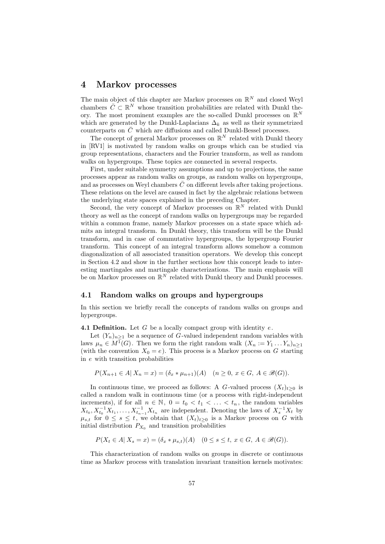## 4 Markov processes

The main object of this chapter are Markov processes on  $\mathbb{R}^N$  and closed Weyl chambers  $\overline{C} \subset \mathbb{R}^N$  whose transition probabilities are related with Dunkl theory. The most prominent examples are the so-called Dunkl processes on  $\mathbb{R}^N$ which are generated by the Dunkl-Laplacians  $\Delta_k$  as well as their symmetrized counterparts on  $\bar{C}$  which are diffusions and called Dunkl-Bessel processes.

The concept of general Markov processes on  $\mathbb{R}^N$  related with Dunkl theory in [RV1] is motivated by random walks on groups which can be studied via group representations, characters and the Fourier transform, as well as random walks on hypergroups. These topics are connected in several respects.

First, under suitable symmetry assumptions and up to projections, the same processes appear as random walks on groups, as random walks on hypergroups, and as processes on Weyl chambers  $\bar{C}$  on different levels after taking projections. These relations on the level are caused in fact by the algebraic relations between the underlying state spaces explained in the preceding Chapter.

Second, the very concept of Markov processes on  $\mathbb{R}^N$  related with Dunkl theory as well as the concept of random walks on hypergroups may be regarded within a common frame, namely Markov processes on a state space which admits an integral transform. In Dunkl theory, this transform will be the Dunkl transform, and in case of commutative hypergroups, the hypergroup Fourier transform. This concept of an integral transform allows somehow a common diagonalization of all associated transition operators. We develop this concept in Section 4.2 and show in the further sections how this concept leads to interesting martingales and martingale characterizations. The main emphasis will be on Markov processes on  $\mathbb{R}^N$  related with Dunkl theory and Dunkl processes.

### 4.1 Random walks on groups and hypergroups

In this section we briefly recall the concepts of random walks on groups and hypergroups.

**4.1 Definition.** Let G be a locally compact group with identity  $e$ .

Let  $(Y_n)_{n>1}$  be a sequence of G-valued independent random variables with laws  $\mu_n \in M^1(G)$ . Then we form the right random walk  $(X_n := Y_1 \dots Y_n)_{n \geq 1}$ (with the convention  $X_0 = e$ ). This process is a Markov process on G starting in e with transition probabilities

$$
P(X_{n+1} \in A | X_n = x) = (\delta_x * \mu_{n+1})(A) \quad (n \ge 0, x \in G, A \in \mathcal{B}(G)).
$$

In continuous time, we proceed as follows: A G-valued process  $(X_t)_{t\geq0}$  is called a random walk in continuous time (or a process with right-independent increments), if for all  $n \in \mathbb{N}$ ,  $0 = t_0 < t_1 < \ldots < t_n$ , the random variables  $X_{t_0}, X_{t_0}^{-1}X_{t_1}, \ldots, X_{t_{n-1}}^{-1}X_{t_n}$  are independent. Denoting the laws of  $X_s^{-1}X_t$  by  $\mu_{s,t}$  for  $0 \leq s \leq t$ , we obtain that  $(X_t)_{t>0}$  is a Markov process on G with initial distribution  $P_{X_0}$  and transition probabilities

$$
P(X_t \in A \mid X_s = x) = (\delta_x * \mu_{s,t})(A) \quad (0 \le s \le t, x \in G, A \in \mathcal{B}(G)).
$$

This characterization of random walks on groups in discrete or continuous time as Markov process with translation invariant transition kernels motivates: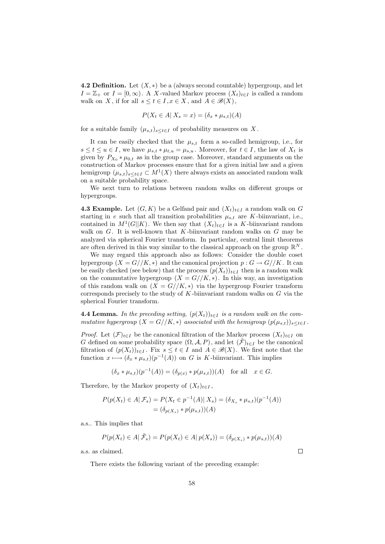**4.2 Definition.** Let  $(X, *)$  be a (always second countable) hypergroup, and let  $I = \mathbb{Z}_+$  or  $I = [0, \infty)$ . A X-valued Markov process  $(X_t)_{t \in I}$  is called a random walk on X, if for all  $s \le t \in I, x \in X$ , and  $A \in \mathcal{B}(X)$ ,

$$
P(X_t \in A | X_s = x) = (\delta_x * \mu_{s,t})(A)
$$

for a suitable family  $(\mu_{s,t})_{s\leq t\in I}$  of probability measures on X.

It can be easily checked that the  $\mu_{s,t}$  form a so-called hemigroup, i.e., for  $s \le t \le u \in I$ , we have  $\mu_{s,t} * \mu_{t,u} = \mu_{s,u}$ . Moreover, for  $t \in I$ , the law of  $X_t$  is given by  $P_{X_0} * \mu_{0,t}$  as in the group case. Moreover, standard arguments on the construction of Markov processes ensure that for a given initial law and a given hemigroup  $(\mu_{s,t})_{s\leq t\in I}\subset M^1(X)$  there always exists an associated random walk on a suitable probability space.

We next turn to relations between random walks on different groups or hypergroups.

**4.3 Example.** Let  $(G, K)$  be a Gelfand pair and  $(X_t)_{t \in I}$  a random walk on G starting in e such that all transition probabilities  $\mu_{s,t}$  are K-biinvariant, i.e., contained in  $M^1(G||K)$ . We then say that  $(X_t)_{t\in I}$  is a K-biinvariant random walk on  $G$ . It is well-known that K-biinvariant random walks on  $G$  may be analyzed via spherical Fourier transform. In particular, central limit theorems are often derived in this way similar to the classical approach on the group  $\mathbb{R}^N$ .

We may regard this approach also as follows: Consider the double coset hypergroup  $(X = G//K, *)$  and the canonical projection  $p : G \to G//K$ . It can be easily checked (see below) that the process  $(p(X_t))_{t\in I}$  then is a random walk on the commutative hypergroup  $(X = G//K, *)$ . In this way, an investigation of this random walk on  $(X = G//K, *)$  via the hypergroup Fourier transform corresponds precisely to the study of  $K$ -biinvariant random walks on  $G$  via the spherical Fourier transform.

**4.4 Lemma.** In the preceding setting,  $(p(X_t))_{t\in I}$  is a random walk on the commutative hypergroup  $(X = G//K, *)$  associated with the hemigroup  $(p(\mu_{s,t}))_{s \le t \in I}$ .

*Proof.* Let  $(\mathcal{F})_{t\in I}$  be the canonical filtration of the Markov process  $(X_t)_{t\in I}$  on G defined on some probability space  $(\Omega, \mathcal{A}, P)$ , and let  $(\mathcal{F})_{t \in I}$  be the canonical filtration of  $(p(X_t))_{t\in I}$ . Fix  $s \le t \in I$  and  $A \in \mathcal{B}(X)$ . We first note that the function  $x \longmapsto (\delta_x * \mu_{s,t})(p^{-1}(A))$  on G is K-biinvariant. This implies

$$
(\delta_x * \mu_{s,t})(p^{-1}(A)) = (\delta_{p(x)} * p(\mu_{s,t}))(A) \text{ for all } x \in G.
$$

Therefore, by the Markov property of  $(X_t)_{t\in I}$ ,

$$
P(p(X_t) \in A | \mathcal{F}_s) = P(X_t \in p^{-1}(A) | X_s) = (\delta_{X_s} * \mu_{s,t})(p^{-1}(A))
$$
  
=  $(\delta_{p(X_s)} * p(\mu_{s,t}))(A)$ 

a.s.. This implies that

$$
P(p(X_t) \in A | \tilde{\mathcal{F}}_s) = P(p(X_t) \in A | p(X_s)) = (\delta_{p(X_s)} * p(\mu_{s,t}))
$$

a.s. as claimed.

There exists the following variant of the preceding example:

 $\Box$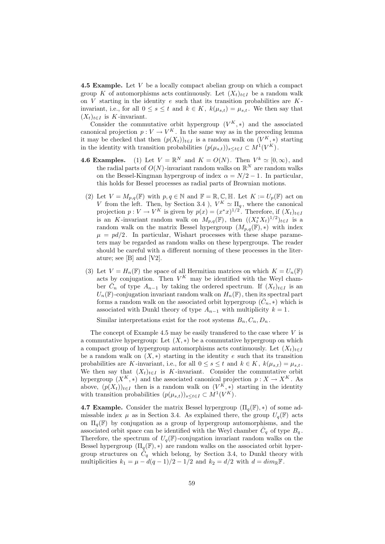**4.5 Example.** Let  $V$  be a locally compact abelian group on which a compact group K of automorphisms acts continuously. Let  $(X_t)_{t\in I}$  be a random walk on  $V$  starting in the identity  $e$  such that its transition probabilities are  $K$ invariant, i.e., for all  $0 \le s \le t$  and  $k \in K$ ,  $k(\mu_{s,t}) = \mu_{s,t}$ . We then say that  $(X_t)_{t\in I}$  is K-invariant.

Consider the commutative orbit hypergroup  $(V^K, *)$  and the associated canonical projection  $p: V \to V^K$ . In the same way as in the preceding lemma it may be checked that then  $(p(X_t))_{t \in I}$  is a random walk on  $(V^K, *)$  starting in the identity with transition probabilities  $(p(\mu_{s,t}))_{s \le t \in I} \subset M^1(V^K)$ .

- **4.6 Examples.** (1) Let  $V = \mathbb{R}^N$  and  $K = O(N)$ . Then  $V^k \simeq [0, \infty)$ , and the radial parts of  $O(N)$ -invariant random walks on  $\mathbb{R}^N$  are random walks on the Bessel-Kingman hypergroup of index  $\alpha = N/2 - 1$ . In particular, this holds for Bessel processes as radial parts of Brownian motions.
- (2) Let  $V = M_{p,q}(\mathbb{F})$  with  $p, q \in \mathbb{N}$  and  $\mathbb{F} = \mathbb{R}, \mathbb{C}, \mathbb{H}$ . Let  $K := U_p(\mathbb{F})$  act on V from the left. Then, by Section 3.4 ),  $V^K \simeq \Pi_q$ , where the canonical projection  $p: V \to V^K$  is given by  $p(x) = (x^*x)^{1/2}$ . Therefore, if  $(X_t)_{t \in I}$ is an K-invariant random walk on  $M_{p,q}(\mathbb{F})$ , then  $((X_t^*X_t)^{1/2})_{t\in I}$  is a random walk on the matrix Bessel hypergroup  $(M_{p,q}(\mathbb{F}), *)$  with index  $\mu = pd/2$ . In particular, Wishart processes with these shape parameters may be regarded as random walks on these hypergroups. The reader should be careful with a different norming of these processes in the literature; see [B] and [V2].
- (3) Let  $V = H_n(\mathbb{F})$  the space of all Hermitian matrices on which  $K = U_n(\mathbb{F})$ acts by conjugation. Then  $V^K$  may be identified with the Weyl chamber  $\overline{C}_n$  of type  $A_{n-1}$  by taking the ordered spectrum. If  $(X_t)_{t\in I}$  is an  $U_n(\mathbb{F})$ -conjugation invariant random walk on  $H_n(\mathbb{F})$ , then its spectral part forms a random walk on the associated orbit hypergroup  $(\bar{C}_n, *)$  which is associated with Dunkl theory of type  $A_{n-1}$  with multiplicity  $k = 1$ .

Similar interpretations exist for the root systems  $B_n, C_n, D_n$ .

The concept of Example 4.5 may be easily transferred to the case where  $V$  is a commutative hypergroup: Let  $(X, *)$  be a commutative hypergroup on which a compact group of hypergroup automorphisms acts continuously. Let  $(X_t)_{t\in I}$ be a random walk on  $(X, *)$  starting in the identity e such that its transition probabilities are K-invariant, i.e., for all  $0 \le s \le t$  and  $k \in K$ ,  $k(\mu_{s,t}) = \mu_{s,t}$ . We then say that  $(X_t)_{t\in I}$  is K-invariant. Consider the commutative orbit hypergroup  $(X^K, *)$  and the associated canonical projection  $p : X \to X^K$ . As above,  $(p(X_t))_{t\in I}$  then is a random walk on  $(V^K, *)$  starting in the identity with transition probabilities  $(p(\mu_{s,t}))_{s\leq t\in I} \subset M^1(V^K)$ .

**4.7 Example.** Consider the matrix Bessel hypergroup  $(\Pi_a(\mathbb{F}), *)$  of some admissable index  $\mu$  as in Section 3.4. As explained there, the group  $U_{\alpha}(\mathbb{F})$  acts on  $\Pi_q(\mathbb{F})$  by conjugation as a group of hypergroup automorphisms, and the associated orbit space can be identified with the Weyl chamber  $\bar{C}_q$  of type  $B_q$ . Therefore, the spectrum of  $U_q(\mathbb{F})$ -conjugation invariant random walks on the Bessel hypergroup  $(\Pi_q(\mathbb{F}),*)$  are random walks on the associated orbit hypergroup structures on  $\overline{C}_q$  which belong, by Section 3.4, to Dunkl theory with multiplicities  $k_1 = \mu - d(q-1)/2 - 1/2$  and  $k_2 = d/2$  with  $d = dim_{\mathbb{R}} \mathbb{F}$ .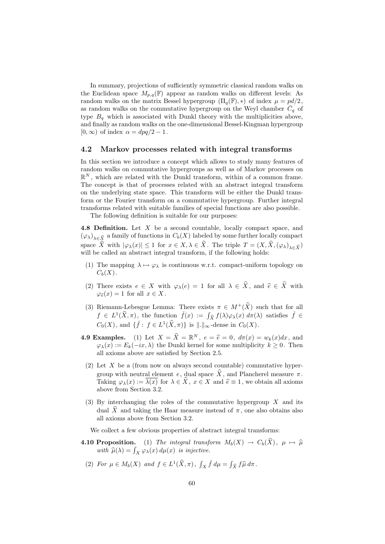In summary, projections of sufficiently symmetric classical random walks on the Euclidean space  $M_{p,q}(\mathbb{F})$  appear as random walks on different levels: As random walks on the matrix Bessel hypergroup  $(\Pi_q(\mathbb{F}), *)$  of index  $\mu = pd/2$ , as random walks on the commutative hypergroup on the Weyl chamber  $\overline{C}_q$  of type  $B_q$  which is associated with Dunkl theory with the multiplicities above, and finally as random walks on the one-dimensional Bessel-Kingman hypergroup  $[0,\infty)$  of index  $\alpha = dpq/2 - 1$ .

### 4.2 Markov processes related with integral transforms

In this section we introduce a concept which allows to study many features of random walks on commutative hypergroups as well as of Markov processes on  $\mathbb{R}^N$ , which are related with the Dunkl transform, within of a common frame. The concept is that of processes related with an abstract integral transform on the underlying state space. This transform will be either the Dunkl transform or the Fourier transform on a commutative hypergroup. Further integral transforms related with suitable families of special functions are also possible.

The following definition is suitable for our purposes:

4.8 Definition. Let X be a second countable, locally compact space, and  $(\varphi_{\lambda})_{\lambda \in \widehat{X}}$  a family of functions in  $C_b(X)$  labeled by some further locally compact space  $\widehat{X}$  with  $|\varphi_{\lambda}(x)| \leq 1$  for  $x \in X, \lambda \in \widehat{X}$ . The triple  $T = (X, \widehat{X}, (\varphi_{\lambda})_{\lambda \in \widehat{X}})$ will be called an abstract integral transform, if the following holds:

- (1) The mapping  $\lambda \mapsto \varphi_{\lambda}$  is continuous w.r.t. compact-uniform topology on  $C_b(X)$ .
- (2) There exists  $e \in X$  with  $\varphi_{\lambda}(e) = 1$  for all  $\lambda \in \hat{X}$ , and  $\hat{e} \in \hat{X}$  with  $\varphi_{\widehat{e}}(x) = 1$  for all  $x \in X$ .
- (3) Riemann-Lebesgue Lemma: There exists  $\pi \in M^+(\widehat{X})$  such that for all  $f \in L^1(\widehat{X}, \pi)$ , the function  $\check{f}(x) := \int_{\widehat{X}} f(\lambda) \varphi_\lambda(x) d\pi(\lambda)$  satisfies  $\check{f} \in$  $C_0(X)$ , and  $\{\check{f} : f \in L^1(\hat{X}, \pi)\}\$ is  $\|.\|_{\infty}$ -dense in  $C_0(X)$ .
- **4.9 Examples.** (1) Let  $X = \hat{X} = \mathbb{R}^N$ ,  $e = \hat{e} = 0$ ,  $d\pi(x) = w_k(x)dx$ , and  $(x, (x) := F_k(-ix))$  the Dunkl kernel for some multiplicity  $k > 0$ . Then  $\varphi_{\lambda}(x) := E_k(-ix, \lambda)$  the Dunkl kernel for some multiplicity  $k \geq 0$ . Then all axioms above are satisfied by Section 2.5.
- (2) Let X be a (from now on always second countable) commutative hypergroup with neutral element e, dual space  $\hat{X}$ , and Plancherel measure  $\pi$ . Taking  $\varphi_{\lambda}(x) := \overline{\lambda(x)}$  for  $\lambda \in \widehat{X}$ ,  $x \in X$  and  $\widehat{e} \equiv 1$ , we obtain all axioms above from Section 3.2.
- (3) By interchanging the roles of the commutative hypergroup  $X$  and its dual  $\hat{X}$  and taking the Haar measure instead of  $\pi$ , one also obtains also all axioms above from Section 3.2.

We collect a few obvious properties of abstract integral transforms:

- **4.10 Proposition.** (1) The integral transform  $M_b(X) \to C_b(\widehat{X})$ ,  $\mu \mapsto \widehat{\mu}$ with  $\widehat{\mu}(\lambda) = \int_X \varphi_\lambda(x) d\mu(x)$  is injective.
	- (2) For  $\mu \in M_b(X)$  and  $f \in L^1(\widehat{X}, \pi)$ ,  $\int_X \check{f} d\mu = \int_{\widehat{X}} f \widehat{\mu} d\pi$ .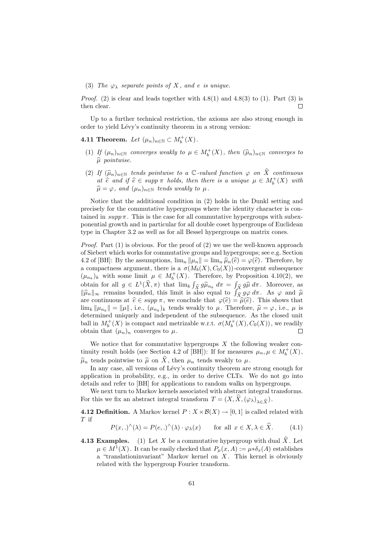#### (3) The  $\varphi_{\lambda}$  separate points of X, and e is unique.

*Proof.* (2) is clear and leads together with  $4.8(1)$  and  $4.8(3)$  to (1). Part (3) is then clear. П

Up to a further technical restriction, the axioms are also strong enough in order to yield Lévy's continuity theorem in a strong version:

# **4.11 Theorem.** Let  $(\mu_n)_{n \in \mathbb{N}} \subset M_b^+(X)$ .

- (1) If  $(\mu_n)_{n \in \mathbb{N}}$  converges weakly to  $\mu \in M_b^+(X)$ , then  $(\widehat{\mu}_n)_{n \in \mathbb{N}}$  converges to  $\widehat{\mu}$  pointwise.
- (2) If  $(\widehat{\mu}_n)_{n\in\mathbb{N}}$  tends pointwise to a  $\mathbb C$ -valued function  $\varphi$  on  $\widehat{X}$  continuous at  $\hat{e}$  and if  $\hat{e} \in supp \pi$  holds, then there is a unique  $\mu \in M_b^+(X)$  with  $\widehat{\mu} = \varphi$ , and  $(\mu_n)_{n \in \mathbb{N}}$  tends weakly to  $\mu$ .

Notice that the additional condition in (2) holds in the Dunkl setting and precisely for the commutative hypergroups where the identity character is contained in  $supp \pi$ . This is the case for all commutative hypergroups with subexponential growth and in particular for all double coset hypergroups of Euclidean type in Chapter 3.2 as well as for all Bessel hypergroups on matrix cones.

*Proof.* Part  $(1)$  is obvious. For the proof of  $(2)$  we use the well-known approach of Siebert which works for commutative groups and hypergroups; see e.g. Section 4.2 of [BH]: By the assumptions,  $\lim_n ||\mu_n|| = \lim_n \hat{\mu}_n(\hat{e}) = \varphi(\hat{e})$ . Therefore, by a compactness argument, there is a  $\sigma(M_b(X), C_0(X))$ -convergent subsequence  $(\mu_{n_k})_k$  with some limit  $\mu \in M_b^+(X)$ . Therefore, by Proposition 4.10(2), we obtain for all  $g \in L^1(\hat{X}, \pi)$  that  $\lim_k \int_{\hat{X}} g \hat{\mu}_{n_k} d\pi = \int_{\hat{X}} g \hat{\mu} d\pi$ . Moreover, as  $\|\widehat{\mu}_n\|_{\infty}$  remains bounded, this limit is also equal to  $\int_{\widehat{X}} g\varphi \,d\pi$ . As  $\varphi$  and  $\widehat{\mu}$ <br>are continuous at  $\widehat{\varepsilon} \in \operatorname{sum} \pi$ , we conclude that  $\varphi(\widehat{\varepsilon}) = \widehat{\mu}(\widehat{\varepsilon})$ . This shows that are continuous at  $\hat{e} \in supp \pi$ , we conclude that  $\varphi(\hat{e}) = \hat{\mu}(\hat{e})$ . This shows that  $\lim_{k} ||\mu_{n_k}|| = ||\mu||$ , i.e.,  $(\mu_{n_k})_k$  tends weakly to  $\mu$ . Therefore,  $\hat{\mu} = \varphi$ , i.e.,  $\mu$  is determined uniqually and independent of the subsequence. As the eleccion determined uniquely and independent of the subsequence. As the closed unit ball in  $M_b^+(X)$  is compact and metrizable w.r.t.  $\sigma(M_b^+(X), C_0(X))$ , we readily obtain that  $(\mu_n)_n$  converges to  $\mu$ .  $\Box$ 

We notice that for commutative hypergroups  $X$  the following weaker continuity result holds (see Section 4.2 of [BH]): If for measures  $\mu_n, \mu \in M_b^+(X)$ ,  $\hat{\mu}_n$  tends pointwise to  $\hat{\mu}$  on  $\hat{X}$ , then  $\mu_n$  tends weakly to  $\mu$ .

In any case, all versions of Lévy's continuity theorem are strong enough for application in probability, e.g., in order to derive CLTs. We do not go into details and refer to [BH] for applications to random walks on hypergroups.

We next turn to Markov kernels associated with abstract integral transforms. For this we fix an abstract integral transform  $T = (X, \hat{X}, (\varphi_\lambda)_{\lambda \in \hat{X}})$ .

**4.12 Definition.** A Markov kernel  $P: X \times \mathcal{B}(X) \to [0,1]$  is called related with  ${\cal T}$  if

$$
P(x,.)^{()}(\lambda) = P(e,.)^{()}(\lambda) \cdot \varphi_{\lambda}(x) \quad \text{for all } x \in X, \lambda \in \widehat{X}.
$$
 (4.1)

**4.13 Examples.** (1) Let X be a commutative hypergroup with dual  $\hat{X}$ . Let  $\mu \in M^1(X)$ . It can be easily checked that  $P_\mu(x, A) := \mu * \delta_x(A)$  establishes a "translationinvariant" Markov kernel on  $X$ . This kernel is obviously related with the hypergroup Fourier transform.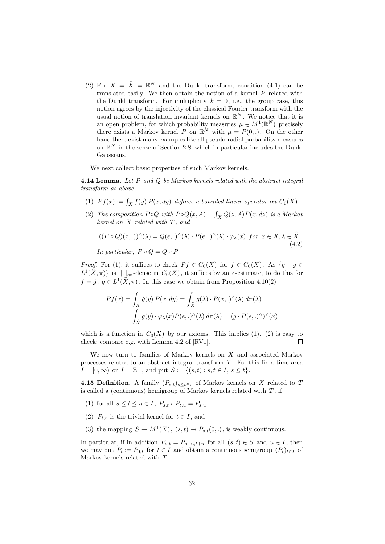(2) For  $X = \hat{X} = \mathbb{R}^N$  and the Dunkl transform, condition (4.1) can be translated easily. We then obtain the notion of a kernel  $P$  related with the Dunkl transform. For multiplicity  $k = 0$ , i.e., the group case, this notion agrees by the injectivity of the classical Fourier transform with the usual notion of translation invariant kernels on  $\mathbb{R}^N$ . We notice that it is an open problem, for which probability measures  $\mu \in M^1(\mathbb{R}^N)$  precisely there exists a Markov kernel P on  $\mathbb{R}^N$  with  $\mu = P(0, .)$ . On the other hand there exist many examples like all pseudo-radial probability measures on  $\mathbb{R}^N$  in the sense of Section 2.8, which in particular includes the Dunkl Gaussians.

We next collect basic properties of such Markov kernels.

**4.14 Lemma.** Let P and Q be Markov kernels related with the abstract integral transform as above.

- (1)  $Pf(x) := \int_X f(y) P(x, dy)$  defines a bounded linear operator on  $C_0(X)$ .
- (2) The composition  $P \circ Q$  with  $P \circ Q(x, A) = \int_X Q(z, A) P(x, dz)$  is a Markov  $kernel$  on  $X$  related with  $T$ , and

$$
((P \circ Q)(x,.))^{\wedge}(\lambda) = Q(e,.)^{\wedge}(\lambda) \cdot P(e,.)^{\wedge}(\lambda) \cdot \varphi_{\lambda}(x) \text{ for } x \in X, \lambda \in \widehat{X}. \tag{4.2}
$$

In particular,  $P \circ Q = Q \circ P$ .

*Proof.* For (1), it suffices to check  $P f \in C_0(X)$  for  $f \in C_0(X)$ . As  $\{ \check{g} : g \in C_0(X) \}$  $L^1(\hat{X}, \pi)$  is  $\|\cdot\|_{\infty}$ -dense in  $C_0(X)$ , it suffices by an  $\epsilon$ -estimate, to do this for  $f = \check{g}, g \in L^1(\hat{X}, \pi)$ . In this case we obtain from Proposition 4.10(2)

$$
Pf(x) = \int_X \check{g}(y) P(x, dy) = \int_{\widehat{X}} g(\lambda) \cdot P(x,.)^\wedge(\lambda) d\pi(\lambda)
$$

$$
= \int_{\widehat{X}} g(y) \cdot \varphi_\lambda(x) P(e,.)^\wedge(\lambda) d\pi(\lambda) = (g \cdot P(e,.)^\wedge)^\vee(x)
$$

which is a function in  $C_0(X)$  by our axioms. This implies (1). (2) is easy to check; compare e.g. with Lemma 4.2 of [RV1]. Г

We now turn to families of Markov kernels on X and associated Markov processes related to an abstract integral transform  $T$ . For this fix a time area  $I = [0, \infty)$  or  $I = \mathbb{Z}_+$ , and put  $S := \{(s, t) : s, t \in I, s \le t\}.$ 

**4.15 Definition.** A family  $(P_{s,t})_{s\leq t\in I}$  of Markov kernels on X related to T is called a (continuous) hemigroup of Markov kernels related with  $T$ , if

- (1) for all  $s \leq t \leq u \in I$ ,  $P_{s,t} \circ P_{t,u} = P_{s,u}$ ,
- (2)  $P_{t,t}$  is the trivial kernel for  $t \in I$ , and
- (3) the mapping  $S \to M^1(X)$ ,  $(s,t) \mapsto P_{s,t}(0,.)$ , is weakly continuous.

In particular, if in addition  $P_{s,t} = P_{s+u,t+u}$  for all  $(s,t) \in S$  and  $u \in I$ , then we may put  $P_t := P_{0,t}$  for  $t \in I$  and obtain a continuous semigroup  $(P_t)_{t \in I}$  of Markov kernels related with  $T$ .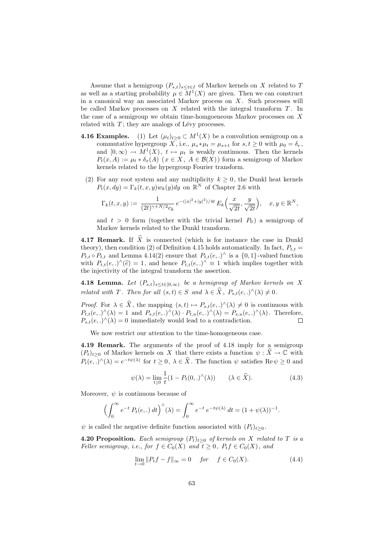Assume that a hemigroup  $(P_{s,t})_{s\leq t\in I}$  of Markov kernels on X related to T as well as a starting probability  $\mu \in M^1(X)$  are given. Then we can construct in a canonical way an associated Markov process on  $X$ . Such processes will be called Markov processes on  $X$  related with the integral transform  $T$ . In the case of a semigroup we obtain time-homgoeneous Markov processes on  $X$ related with  $T$ ; they are analogs of Lévy processes.

- **4.16 Examples.** (1) Let  $(\mu_t)_{t\geq 0} \subset M^1(X)$  be a convolution semigroup on a commutative hypergroup X, i.e.,  $\mu_s * \mu_t = \mu_{s+t}$  for  $s, t \geq 0$  with  $\mu_0 = \delta_e$ , and  $[0, \infty) \to M^1(X)$ ,  $t \mapsto \mu_t$  is weakly continuous. Then the kernels  $P_t(x, A) := \mu_t * \delta_x(A)$  ( $x \in X$ ,  $A \in \mathcal{B}(X)$ ) form a semigroup of Markov kernels related to the hypergroup Fourier transform.
	- (2) For any root system and any multiplicity  $k \geq 0$ , the Dunkl heat kernels  $P_t(x, dy) = \Gamma_k(t, x, y) w_k(y) dy$  on  $\mathbb{R}^N$  of Chapter 2.6 with

$$
\Gamma_k(t, x, y) := \frac{1}{(2t)^{\gamma + N/2} c_k} e^{-(|x|^2 + |y|^2)/4t} E_k\left(\frac{x}{\sqrt{2t}}, \frac{y}{\sqrt{2t}}\right), \quad x, y \in \mathbb{R}^N,
$$

and  $t > 0$  form (together with the trivial kernel  $P_0$ ) a semigroup of Markov kernels related to the Dunkl transform.

**4.17 Remark.** If  $\widehat{X}$  is connected (which is for instance the case in Dunkl theory), then condition (2) of Definition 4.15 holds automatically. In fact,  $P_{t,t} =$  $P_{t,t} \circ P_{t,t}$  and Lemma 4.14(2) ensure that  $P_{t,t}(e,.)^{\wedge}$  is a  $\{0,1\}$ -valued function with  $P_{t,t}(e,.)^{\wedge}(\hat{e}) = 1$ , and hence  $P_{t,t}(e,.)^{\wedge} \equiv 1$  which implies together with the injectivity of the integral transform the assertion.

**4.18 Lemma.** Let  $(P_{s,t})_{s\leq t\in[0,\infty)}$  be a hemigroup of Markov kernels on X related with T. Then for all  $(s,t) \in S$  and  $\lambda \in \hat{X}$ ,  $P_{s,t}(e,.)^{\wedge}(\lambda) \neq 0$ .

*Proof.* For  $\lambda \in \hat{X}$ , the mapping  $(s, t) \mapsto P_{s,t}(e,.)^{\wedge}(\lambda) \neq 0$  is continuous with  $P_{t,t}(e,.)\hat{ }(\lambda) = 1$  and  $P_{s,t}(e,.)\hat{ }(\lambda) \cdot P_{t,u}(e,.)\hat{ }(\lambda) = P_{s,u}(e,.)\hat{ }(\lambda)$ . Therefore,  $P_{s,t}(e,.)^{\wedge}(\lambda) = 0$  immediately would lead to a contradiction.  $\Box$ 

We now restrict our attention to the time-homogeneous case.

4.19 Remark. The arguments of the proof of 4.18 imply for a semigroup  $(P_t)_{t>0}$  of Markov kernels on X that there exists a function  $\psi : \widehat{X} \to \mathbb{C}$  with  $P_t(e,.)^{\hat{ }}(\lambda) = e^{-t\psi(\lambda)}$  for  $t \geq 0$ ,  $\lambda \in \hat{X}$ . The function  $\psi$  satisfies  $\text{Re}\,\psi \geq 0$  and

$$
\psi(\lambda) = \lim_{t \downarrow 0} \frac{1}{t} (1 - P_t(0,.)^\wedge(\lambda)) \qquad (\lambda \in \widehat{X}). \tag{4.3}
$$

Moreover,  $\psi$  is continuous because of

$$
\left(\int_0^\infty e^{-t} P_t(e,.) dt\right)^\wedge(\lambda) = \int_0^\infty e^{-t} e^{-t\psi(\lambda)} dt = (1 + \psi(\lambda))^{-1}.
$$

 $\psi$  is called the negative definite function associated with  $(P_t)_{t>0}$ .

**4.20 Proposition.** Each semigroup  $(P_t)_{t\geq0}$  of kernels on X related to T is a Feller semigroup, i.e., for  $f \in C_0(X)$  and  $t \geq 0$ ,  $P_t f \in C_0(X)$ , and

$$
\lim_{t \to 0} \|P_t f - f\|_{\infty} = 0 \quad \text{for} \quad f \in C_0(X). \tag{4.4}
$$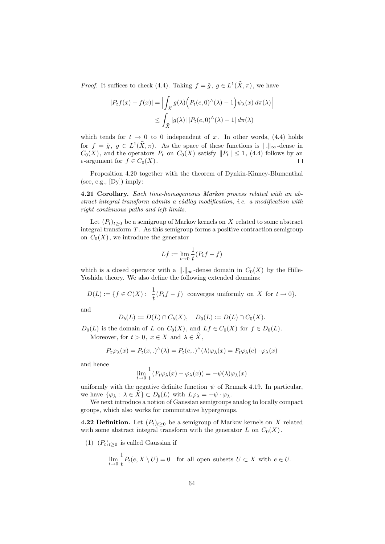*Proof.* It suffices to check (4.4). Taking  $f = \check{g}$ ,  $g \in L^1(\check{X}, \pi)$ , we have

$$
|P_t f(x) - f(x)| = \left| \int_{\widehat{X}} g(\lambda) \left( P_t(e, 0)^\wedge(\lambda) - 1 \right) \psi_\lambda(x) \, d\pi(\lambda) \right|
$$
  

$$
\leq \int_{\widehat{X}} |g(\lambda)| \, |P_t(e, 0)^\wedge(\lambda) - 1| \, d\pi(\lambda)
$$

which tends for  $t \to 0$  to 0 independent of x. In other words, (4.4) holds for  $f = \check{g}$ ,  $g \in L^1(\hat{X}, \pi)$ . As the space of these functions is  $\|.\|_{\infty}$ -dense in  $C_0(X)$ , and the operators  $P_t$  on  $C_0(X)$  satisfy  $||P_t|| \leq 1$ , (4.4) follows by an  $\epsilon$ -argument for  $f \in C_0(X)$ .  $\Box$ 

Proposition 4.20 together with the theorem of Dynkin-Kinney-Blumenthal (see, e.g.,  $[Dy]$ ) imply:

4.21 Corollary. Each time-homogeneous Markov process related with an ab $stract$  integral transform admits a càdlàg modification, i.e. a modification with right continuous paths and left limits.

Let  $(P_t)_{t>0}$  be a semigroup of Markov kernels on X related to some abstract integral transform  $T$ . As this semigroup forms a positive contraction semigroup on  $C_0(X)$ , we introduce the generator

$$
Lf := \lim_{t \to 0} \frac{1}{t} (P_t f - f)
$$

which is a closed operator with a  $\|.\|_{\infty}$ -dense domain in  $C_0(X)$  by the Hille-Yoshida theory. We also define the following extended domains:

 $D(L) := \{ f \in C(X) : \frac{1}{t}(P_t f - f) \text{ converges uniformly on } X \text{ for } t \to 0 \},$ 

and

$$
D_b(L) := D(L) \cap C_b(X), \quad D_0(L) := D(L) \cap C_0(X).
$$

 $D_0(L)$  is the domain of L on  $C_0(X)$ , and  $Lf \in C_0(X)$  for  $f \in D_0(L)$ . Moreover, for  $t > 0$ ,  $x \in X$  and  $\lambda \in \widehat{X}$ ,

$$
P_t \varphi_\lambda(x) = P_t(x,.)^\wedge(\lambda) = P_t(e,.)^\wedge(\lambda) \varphi_\lambda(x) = P_t \varphi_\lambda(e) \cdot \varphi_\lambda(x)
$$

and hence

$$
\lim_{t \to 0} \frac{1}{t} (P_t \varphi_\lambda(x) - \varphi_\lambda(x)) = -\psi(\lambda) \varphi_\lambda(x)
$$

uniformly with the negative definite function  $\psi$  of Remark 4.19. In particular, we have  $\{\varphi_{\lambda} : \lambda \in \widehat{X}\}\subset D_b(L)$  with  $L\varphi_{\lambda} = -\psi \cdot \varphi_{\lambda}$ .

We next introduce a notion of Gaussian semigroups analog to locally compact groups, which also works for commutative hypergroups.

**4.22 Definition.** Let  $(P_t)_{t>0}$  be a semigroup of Markov kernels on X related with some abstract integral transform with the generator  $L$  on  $C_0(X)$ .

(1)  $(P_t)_{t>0}$  is called Gaussian if

$$
\lim_{t \to 0} \frac{1}{t} P_t(e, X \setminus U) = 0 \quad \text{for all open subsets } U \subset X \text{ with } e \in U.
$$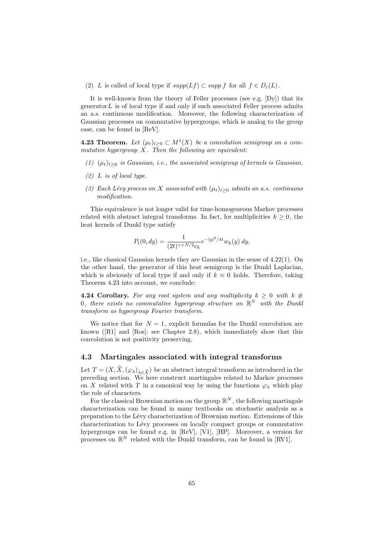(2) L is called of local type if  $supp(Lf) \subset supp f$  for all  $f \in D_c(L)$ .

It is well-known from the theory of Feller processes (see e.g. [Dy]) that its generator  $L$  is of local type if and only if each associated Feller process admits an a.s. continuous modification. Moreover, the following characterization of Gaussian processes on commutative hypergroups, which is analog to the group case, can be found in [ReV].

**4.23 Theorem.** Let  $(\mu_t)_{t\geq0} \subset M^1(X)$  be a convolution semigroup on a commutative hypergroup  $X$ . Then the following are equivalent:

- (1)  $(\mu_t)_{t\geq0}$  is Gaussian, i.e., the associated semigroup of kernels is Gaussian.
- $(2)$  L is of local type.
- (3) Each Lévy process on X associated with  $(\mu_t)_{t>0}$  admits an a.s. continuous modification.

This equivalence is not longer valid for time-homogeneous Markov processes related with abstract integral transforms. In fact, for multiplicities  $k \geq 0$ , the heat kernels of Dunkl type satisfy

$$
P_t(0, dy) = \frac{1}{(2t)^{\gamma + N/2} c_k} e^{-|y|^2/4t} w_k(y) dy,
$$

i.e., like classical Gaussian kernels they are Gaussian in the sense of 4.22(1). On the other hand, the generator of this heat semigroup is the Dunkl Laplacian, which is obviously of local type if and only if  $k \equiv 0$  holds. Therefore, taking Theorem 4.23 into account, we conclude:

**4.24 Corollary.** For any root system and any multiplicity  $k \geq 0$  with  $k \neq$ 0, there exists no commutative hypergroup structure on  $\mathbb{R}^N$  with the Dunkl transform as hypergroup Fourier transform.

We notice that for  $N = 1$ , explicit formulas for the Dunkl convolution are known ([R1] and [Ros]; see Chapter 2.8), which immediately show that this convolution is not positivity preserving.

### 4.3 Martingales associated with integral transforms

Let  $T = (X, \hat{X}, (\varphi_\lambda)_{\lambda \in \hat{X}})$  be an abstract integral transform as introduced in the preceding section. We here construct martingales related to Markov processes on X related with T in a canonical way by using the functions  $\varphi_{\lambda}$  which play the role of characters.

For the classical Brownian motion on the group  $\mathbb{R}^N$ , the following martingale characterization can be found in many textbooks on stochastic analysis as a preparation to the Lévy characterization of Brownian motion. Extensions of this characterization to Lévy processes on locally compact groups or commutative hypergroups can be found e.g. in [ReV], [V1], [HP]. Moreover, a version for processes on  $\mathbb{R}^N$  related with the Dunkl transform, can be found in [RV1].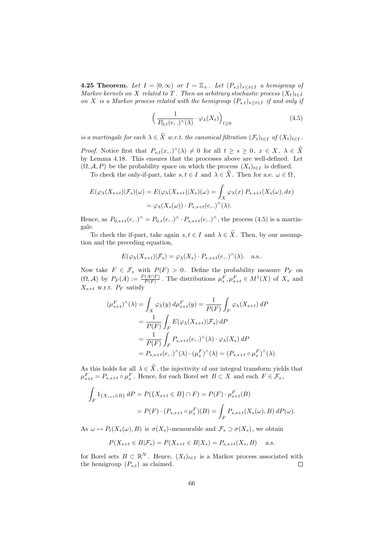**4.25 Theorem.** Let  $I = [0, \infty)$  or  $I = \mathbb{Z}_+$ . Let  $(P_{s,t})_{s \le t \in I}$  a hemigroup of Markov kernels on X related to T. Then an arbitrary stochastic process  $(X_t)_{t\in I}$ on X is a Markov process related with the hemigroup  $(P_{s,t})_{s\leq t\in I}$  if and only if

$$
\left(\frac{1}{P_{0,t}(e,.)^\wedge(\lambda)} \cdot \varphi_\lambda(X_t)\right)_{t \ge 0} \tag{4.5}
$$

is a martingale for each  $\lambda \in \widehat{X}$  w.r.t. the canonical filtration  $(\mathcal{F}_t)_{t\in I}$  of  $(X_t)_{t\in I}$ .

*Proof.* Notice first that  $P_{s,t}(x,.)^{\wedge}(\lambda) \neq 0$  for all  $t \geq s \geq 0$ ,  $x \in X, \lambda \in \widehat{X}$ by Lemma 4.18. This ensures that the processes above are well-defined. Let  $(\Omega, \mathcal{A}, P)$  be the probability space on which the process  $(X_t)_{t \in I}$  is defined.

To check the only-if-part, take  $s, t \in I$  and  $\lambda \in \widehat{X}$ . Then for a.e.  $\omega \in \Omega$ ,

$$
E(\varphi_{\lambda}(X_{s+t})|\mathcal{F}_s)(\omega) = E(\varphi_{\lambda}(X_{s+t})|X_s)(\omega) = \int_X \varphi_{\lambda}(x) P_{s,s+t}(X_s(\omega), dx)
$$
  
=  $\varphi_{\lambda}(X_s(\omega)) \cdot P_{s,s+t}(e,.)^{\wedge}(\lambda).$ 

Hence, as  $P_{0,s+t}(e,.)^{\wedge} = P_{0,s}(e,.)^{\wedge} \cdot P_{s,s+t}(e,.)^{\wedge}$ , the process (4.5) is a martingale.

To check the if-part, take again  $s, t \in I$  and  $\lambda \in \hat{X}$ . Then, by our assumption and the preceding equation,

$$
E(\varphi_{\lambda}(X_{s+t})|\mathcal{F}_s) = \varphi_{\lambda}(X_s) \cdot P_{s,s+t}(e,.)^{\wedge}(\lambda). \quad \text{a.s..}
$$

Now take  $F \in \mathcal{F}_s$  with  $P(F) > 0$ . Define the probability measure  $P_F$  on  $(\Omega, \mathcal{A})$  by  $P_F(A) := \frac{P(A \cap F)}{P(F)}$ . The distributions  $\mu_s^F, \mu_{s+t}^F \in M^1(X)$  of  $X_s$  and  $X_{s+t}$  w.r.t.  $P_F$  satisfy

$$
(\mu_{s+t}^F)^\wedge(\lambda) = \int_X \varphi_\lambda(y) \, d\mu_{s+t}^F(y) = \frac{1}{P(F)} \int_F \varphi_\lambda(X_{s+t}) \, dP
$$
  
= 
$$
\frac{1}{P(F)} \int_F E(\varphi_\lambda(X_{s+t}) | \mathcal{F}_s) \, dP
$$
  
= 
$$
\frac{1}{P(F)} \int_F P_{s,s+t}(e,.)^\wedge(\lambda) \cdot \varphi_\lambda(X_s) \, dP
$$
  
= 
$$
P_{s,s+t}(e,.)^\wedge(\lambda) \cdot (\mu_s^F)^\wedge(\lambda) = (P_{s,s+t} \circ \mu_s^F)^\wedge(\lambda).
$$

As this holds for all  $\lambda \in X$ , the injectivity of our integral transform yields that  $\mu_{s+t}^F = P_{s,s+t} \circ \mu_s^F$ . Hence, for each Borel set  $B \subset X$  and each  $F \in \mathcal{F}_s$ ,

$$
\int_{F} 1_{\{X_{s+t} \in B\}} dP = P(\{X_{s+t} \in B\} \cap F) = P(F) \cdot \mu_{s+t}^{F}(B)
$$

$$
= P(F) \cdot (P_{s,s+t} \circ \mu_{s}^{F})(B) = \int_{F} P_{s,s+t}(X_{s}(\omega), B) dP(\omega).
$$

As  $\omega \mapsto P_t(X_s(\omega), B)$  is  $\sigma(X_s)$ -measurable and  $\mathcal{F}_s \supset \sigma(X_s)$ , we obtain

$$
P(X_{s+t} \in B | \mathcal{F}_s) = P(X_{s+t} \in B | X_s) = P_{s,s+t}(X_s, B)
$$
 a.s.

for Borel sets  $B \subset \mathbb{R}^N$ . Hence,  $(X_t)_{t \in I}$  is a Markov process associated with the hemigroup  $(P_{s,t})$  as claimed.  $\Box$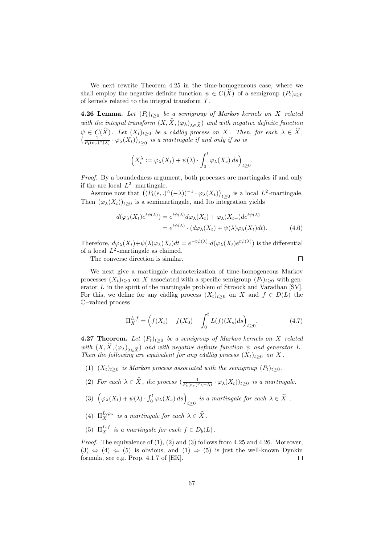We next rewrite Theorem 4.25 in the time-homogeneous case, where we shall employ the negative definite function  $\psi \in C(X)$  of a semigroup  $(P_t)_{t\geq 0}$ of kernels related to the integral transform T .

**4.26 Lemma.** Let  $(P_t)_{t\geq 0}$  be a semigroup of Markov kernels on X related with the integral transform  $(X, \hat{X}, (\varphi_{\lambda})_{\lambda \in \hat{X}})$  and with negative definite function  $\psi \in C(X)$ . Let  $(X_t)_{t>0}$  be a càdlàg process on X. Then, for each  $\lambda \in \hat{X}$ ,  $\left(\frac{1}{P_t(e,.)^{\wedge}(\lambda)}\cdot\varphi_{\lambda}(X_t)\right)_{t\geq 0}$  is a martingale if and only if so is

$$
\left(X_t^{\lambda} := \varphi_{\lambda}(X_t) + \psi(\lambda) \cdot \int_0^t \varphi_{\lambda}(X_s) \, ds\right)_{t \ge 0}.
$$

Proof. By a boundedness argument, both processes are martingales if and only if the are local  $L^2$ -martingale.

Assume now that  $((P_t(e,.)^{\wedge}(-\lambda))^{-1} \cdot \varphi_{\lambda}(X_t))_{t \geq 0}$  is a local  $L^2$ -martingale. Then  $(\varphi_{\lambda}(X_t))_{t>0}$  is a semimartingale, and Ito integration yields

$$
d(\varphi_{\lambda}(X_t)e^{t\psi(\lambda)}) = e^{t\psi(\lambda)}d\varphi_{\lambda}(X_t) + \varphi_{\lambda}(X_{t-})de^{t\psi(\lambda)}
$$
  
=  $e^{t\psi(\lambda)} \cdot (d\varphi_{\lambda}(X_t) + \psi(\lambda)\varphi_{\lambda}(X_t)dt).$  (4.6)

Therefore,  $d\varphi_\lambda(X_t)+\psi(\lambda)\varphi_\lambda(X_t)dt=e^{-t\psi(\lambda)}\cdot d(\varphi_\lambda(X_t)e^{t\psi(\lambda)})$  is the differential of a local  $L^2$ -martingale as claimed.  $\Box$ 

The converse direction is similar.

We next give a martingale characterization of time-homogeneous Markov processes  $(X_t)_{t\geq0}$  on X associated with a specific semigroup  $(P_t)_{t\geq0}$  with generator L in the spirit of the martingale problem of Stroock and Varadhan [SV]. For this, we define for any càdlàg process  $(X_t)_{t\geq0}$  on X and  $f\in D(L)$  the C–valued process

$$
\Pi_X^{L,f} = \left(f(X_t) - f(X_0) - \int_0^t L(f)(X_s)ds\right)_{t \ge 0}.\tag{4.7}
$$

**4.27 Theorem.** Let  $(P_t)_{t>0}$  be a semigroup of Markov kernels on X related with  $(X, X, (\varphi_{\lambda})_{\lambda \in \widehat{X}})$  and with negative definite function  $\psi$  and generator L.<br>Then the following are equivalent for any càdlàg process  $(X_t)_{t \geq 0}$  on X.

- (1)  $(X_t)_{t\geq0}$  is Markov process associated with the semigroup  $(P_t)_{t\geq0}$ .
- (2) For each  $\lambda \in \hat{X}$ , the process  $\left( \frac{1}{P_t(e,.)^{\wedge}(-\lambda)} \cdot \varphi_{\lambda}(X_t) \right)_{t \geq 0}$  is a martingale.
- (3)  $(\varphi_\lambda(X_t) + \psi(\lambda) \cdot \int_0^t \varphi_\lambda(X_s) ds)_{t \geq 0}$  is a martingale for each  $\lambda \in \widehat{X}$ .
- (4)  $\Pi_X^{L,\varphi_\lambda}$  is a martingale for each  $\lambda \in \widehat{X}$ .
- (5)  $\Pi_X^{L,f}$  is a martingale for each  $f \in D_b(L)$ .

*Proof.* The equivalence of  $(1)$ ,  $(2)$  and  $(3)$  follows from 4.25 and 4.26. Moreover,  $(3) \Leftrightarrow (4) \Leftarrow (5)$  is obvious, and  $(1) \Rightarrow (5)$  is just the well-known Dynkin formula, see e.g. Prop. 4.1.7 of [EK]. П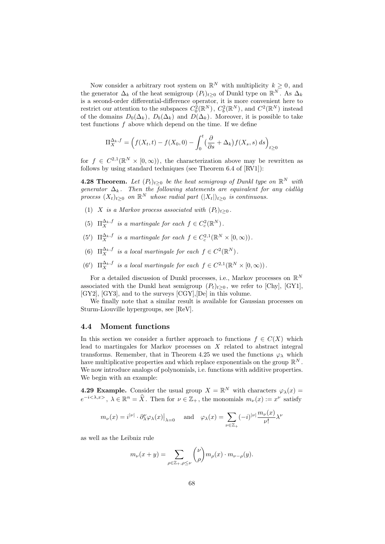Now consider a arbitrary root system on  $\mathbb{R}^N$  with multiplicity  $k \geq 0$ , and the generator  $\Delta_k$  of the heat semigroup  $(P_t)_{t\geq0}$  of Dunkl type on  $\mathbb{R}^N$ . As  $\Delta_k$ is a second-order differential-difference operator, it is more convenient here to restrict our attention to the subspaces  $C_0^2(\mathbb{R}^N)$ ,  $C_b^2(\mathbb{R}^N)$ , and  $C^2(\mathbb{R}^N)$  instead of the domains  $D_0(\Delta_k)$ ,  $D_b(\Delta_k)$  and  $D(\Delta_k)$ . Moreover, it is possible to take test functions  $f$  above which depend on the time. If we define

$$
\Pi_X^{\Delta_k, f} = \left( f(X_t, t) - f(X_0, 0) - \int_0^t \left( \frac{\partial}{\partial s} + \Delta_k \right) f(X_s, s) \, ds \right)_{t \ge 0}
$$

for  $f \in C^{2,1}(\mathbb{R}^N \times [0,\infty))$ , the characterization above may be rewritten as follows by using standard techniques (see Theorem 6.4 of [RV1]):

**4.28 Theorem.** Let  $(P_t)_{t\geq0}$  be the heat semigroup of Dunkl type on  $\mathbb{R}^N$  with generator  $\Delta_k$ . Then the following statements are equivalent for any càdlàg process  $(X_t)_{t\geq 0}$  on  $\mathbb{R}^N$  whose radial part  $(|X_t|)_{t\geq 0}$  is continuous.

- (1) X is a Markov process associated with  $(P_t)_{t\geq 0}$ .
- (5)  $\Pi_X^{\Delta_k, f}$  is a martingale for each  $f \in C_c^2(\mathbb{R}^N)$ .
- (5')  $\Pi_X^{\Delta_k, f}$  is a martingale for each  $f \in C_c^{2,1}(\mathbb{R}^N \times [0, \infty))$ .
- (6)  $\Pi_X^{\Delta_k, f}$  is a local martingale for each  $f \in C^2(\mathbb{R}^N)$ .
- (6')  $\Pi_X^{\Delta_k, f}$  is a local martingale for each  $f \in C^{2,1}(\mathbb{R}^N \times [0,\infty))$ .

For a detailed discussion of Dunkl processes, i.e., Markov processes on  $\mathbb{R}^N$ associated with the Dunkl heat semigroup  $(P_t)_{t>0}$ , we refer to [Chy], [GY1], [GY2], [GY3], and to the surveys [CGY],[De] in this volume.

We finally note that a similar result is available for Gaussian processes on Sturm-Liouville hypergroups, see [ReV].

### 4.4 Moment functions

In this section we consider a further approach to functions  $f \in C(X)$  which lead to martingales for Markov processes on  $X$  related to abstract integral transforms. Remember, that in Theorem 4.25 we used the functions  $\varphi_{\lambda}$  which have multiplicative properties and which replace exponentials on the group  $\mathbb{R}^N$ . We now introduce analogs of polynomials, i.e. functions with additive properties. We begin with an example:

**4.29 Example.** Consider the usual group  $X = \mathbb{R}^N$  with characters  $\varphi_\lambda(x) =$  $e^{-i\langle\lambda,x\rangle}, \lambda \in \mathbb{R}^n = \hat{X}$ . Then for  $\nu \in \mathbb{Z}_+$ , the monomials  $m_{\nu}(x) := x^{\nu}$  satisfy

$$
m_{\nu}(x) = i^{|\nu|} \cdot \partial_{\lambda}^{\nu} \varphi_{\lambda}(x)|_{\lambda=0}
$$
 and  $\varphi_{\lambda}(x) = \sum_{\nu \in \mathbb{Z}_{+}} (-i)^{|\nu|} \frac{m_{\nu}(x)}{\nu!} \lambda^{\nu}$ 

as well as the Leibniz rule

$$
m_{\nu}(x+y) = \sum_{\rho \in \mathbb{Z}_+, \rho \le \nu} {\nu \choose \rho} m_{\rho}(x) \cdot m_{\nu-\rho}(y).
$$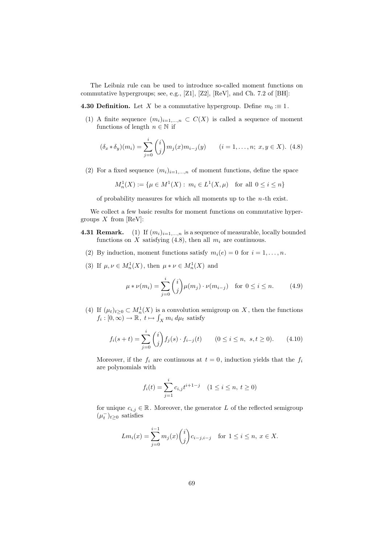The Leibniz rule can be used to introduce so-called moment functions on commutative hypergroups; see, e.g., [Z1], [Z2], [ReV], and Ch. 7.2 of [BH]:

**4.30 Definition.** Let X be a commutative hypergroup. Define  $m_0 \equiv 1$ .

(1) A finite sequence  $(m_i)_{i=1,...,n} \subset C(X)$  is called a sequence of moment functions of length  $n \in \mathbb{N}$  if

$$
(\delta_x * \delta_y)(m_i) = \sum_{j=0}^i \binom{i}{j} m_j(x) m_{i-j}(y) \qquad (i = 1, \dots, n; \ x, y \in X). \tag{4.8}
$$

(2) For a fixed sequence  $(m_i)_{i=1,...,n}$  of moment functions, define the space

$$
M_n^1(X) := \{ \mu \in M^1(X) : m_i \in L^1(X, \mu) \text{ for all } 0 \le i \le n \}
$$

of probability measures for which all moments up to the  $n$ -th exist.

We collect a few basic results for moment functions on commutative hypergroups  $X$  from [ReV]:

- **4.31 Remark.** (1) If  $(m_i)_{i=1,\ldots,n}$  is a sequence of measurable, locally bounded functions on X satisfying (4.8), then all  $m_i$  are continuous.
	- (2) By induction, moment functions satisfy  $m_i(e) = 0$  for  $i = 1, \ldots, n$ .
	- (3) If  $\mu, \nu \in M_n^1(X)$ , then  $\mu * \nu \in M_n^1(X)$  and

$$
\mu * \nu(m_i) = \sum_{j=0}^{i} {i \choose j} \mu(m_j) \cdot \nu(m_{i-j}) \text{ for } 0 \le i \le n.
$$
 (4.9)

(4) If  $(\mu_t)_{t\geq 0} \subset M_n^1(X)$  is a convolution semigroup on X, then the functions  $f_i: [0, \infty) \to \mathbb{R}, t \mapsto \int_X m_i d\mu_t$  satisfy

$$
f_i(s+t) = \sum_{j=0}^i \binom{i}{j} f_j(s) \cdot f_{i-j}(t) \qquad (0 \le i \le n, \ s, t \ge 0). \tag{4.10}
$$

Moreover, if the  $f_i$  are continuous at  $t = 0$ , induction yields that the  $f_i$ are polynomials with

$$
f_i(t) = \sum_{j=1}^i c_{i,j} t^{i+1-j} \quad (1 \le i \le n, \ t \ge 0)
$$

for unique  $c_{i,j} \in \mathbb{R}$ . Moreover, the generator L of the reflected semigroup  $(\mu_t^{-})_{t\geq 0}$  satisfies

$$
Lm_i(x) = \sum_{j=0}^{i-1} m_j(x) {i \choose j} c_{i-j, i-j} \text{ for } 1 \le i \le n, x \in X.
$$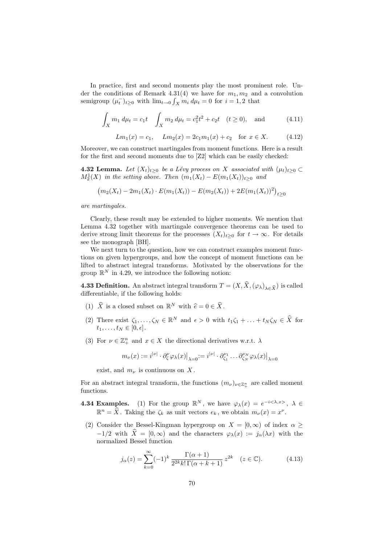In practice, first and second moments play the most prominent role. Under the conditions of Remark 4.31(4) we have for  $m_1, m_2$  and a convolution semigroup  $(\mu_t^-)_{t\geq 0}$  with  $\lim_{t\to 0} \int_X m_i d\mu_t = 0$  for  $i = 1, 2$  that

$$
\int_{X} m_1 d\mu_t = c_1 t \quad \int_{X} m_2 d\mu_t = c_1^2 t^2 + c_2 t \quad (t \ge 0), \quad \text{and} \tag{4.11}
$$

$$
Lm_1(x) = c_1
$$
,  $Lm_2(x) = 2c_1m_1(x) + c_2$  for  $x \in X$ . (4.12)

Moreover, we can construct martingales from moment functions. Here is a result for the first and second moments due to [Z2] which can be easily checked:

**4.32 Lemma.** Let  $(X_t)_{t>0}$  be a Lévy process on X associated with  $(\mu_t)_{t>0} \subset$  $M_2^1(X)$  in the setting above. Then  $(m_1(X_t) - E(m_1(X_t))_{t \geq 0}$  and

$$
(m_2(X_t) - 2m_1(X_t) \cdot E(m_1(X_t)) - E(m_2(X_t)) + 2E(m_1(X_t))^2)_{t \ge 0}
$$

are martingales.

Clearly, these result may be extended to higher moments. We mention that Lemma 4.32 together with martingale convergence theorems can be used to derive strong limit theorems for the processes  $(X_t)_{t\geq 0}$  for  $t \to \infty$ . For details see the monograph [BH].

We next turn to the question, how we can construct examples moment functions on given hypergroups, and how the concept of moment functions can be lifted to abstract integral transforms. Motivated by the observations for the group  $\mathbb{R}^N$  in 4.29, we introduce the following notion:

**4.33 Definition.** An abstract integral transform  $T = (X, \hat{X}, (\varphi_\lambda)_{\lambda \in \hat{X}})$  is called differentiable, if the following holds:

- (1)  $\hat{X}$  is a closed subset on  $\mathbb{R}^N$  with  $\hat{e} = 0 \in \hat{X}$ .
- (2) There exist  $\zeta_1, \ldots, \zeta_N \in \mathbb{R}^N$  and  $\epsilon > 0$  with  $t_1\zeta_1 + \ldots + t_N\zeta_N \in \widehat{X}$  for  $t_1, \ldots, t_N \in [0, \epsilon]$ .
- (3) For  $\nu \in \mathbb{Z}_+^n$  and  $x \in X$  the directional derivatives w.r.t.  $\lambda$

$$
m_{\nu}(x) := i^{|\nu|} \cdot \partial_{\zeta}^{\nu} \varphi_{\lambda}(x)|_{\lambda=0} := i^{|\nu|} \cdot \partial_{\zeta_1}^{\nu_1} \dots \partial_{\zeta_N}^{\nu_N} \varphi_{\lambda}(x)|_{\lambda=0}
$$

exist, and  $m_{\nu}$  is continuous on X.

For an abstract integral transform, the functions  $(m_{\nu})_{\nu\in\mathbb{Z}_{+}^{n}}$  are called moment functions.

**4.34 Examples.** (1) For the group  $\mathbb{R}^N$ , we have  $\varphi_\lambda(x) = e^{-i \langle \lambda, x \rangle}$ ,  $\lambda \in$  $\mathbb{R}^n = \hat{X}$ . Taking the  $\zeta_k$  as unit vectors  $e_k$ , we obtain  $m_{\nu}(x) = x^{\nu}$ .

(2) Consider the Bessel-Kingman hypergroup on  $X = [0, \infty)$  of index  $\alpha \geq$  $-1/2$  with  $\hat{X} = [0,\infty)$  and the characters  $\varphi_{\lambda}(x) := j_{\alpha}(\lambda x)$  with the normalized Bessel function

$$
j_{\alpha}(z) = \sum_{k=0}^{\infty} (-1)^k \frac{\Gamma(\alpha+1)}{2^{2k} k! \Gamma(\alpha+k+1)} z^{2k} \quad (z \in \mathbb{C}).
$$
 (4.13)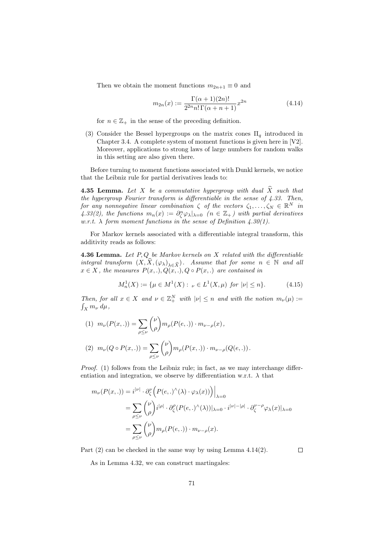Then we obtain the moment functions  $m_{2n+1} \equiv 0$  and

$$
m_{2n}(x) := \frac{\Gamma(\alpha+1)(2n)!}{2^{2n} n! \Gamma(\alpha+n+1)} x^{2n}
$$
\n(4.14)

for  $n \in \mathbb{Z}_+$  in the sense of the preceding definition.

(3) Consider the Bessel hypergroups on the matrix cones  $\Pi_q$  introduced in Chapter 3.4. A complete system of moment functions is given here in [V2]. Moreover, applications to strong laws of large numbers for random walks in this setting are also given there.

Before turning to moment functions associated with Dunkl kernels, we notice that the Leibniz rule for partial derivatives leads to:

**4.35 Lemma.** Let X be a commutative hypergroup with dual  $\widehat{X}$  such that the hypergroup Fourier transform is differentiable in the sense of 4.33. Then, for any nonnegative linear combination  $\zeta$  of the vectors  $\zeta_1, \ldots, \zeta_N \in \mathbb{R}^N$  in 4.33(2), the functions  $m_n(x) := \frac{\partial^n_x \varphi_\lambda}{\partial x} = 0$  ( $n \in \mathbb{Z}_+$ ) with partial derivatives w.r.t.  $\lambda$  form moment functions in the sense of Definition 4.30(1).

For Markov kernels associated with a differentiable integral transform, this additivity reads as follows:

**4.36 Lemma.** Let  $P, Q$  be Markov kernels on  $X$  related with the differentiable integral transform  $(X, \widehat{X}, (\varphi_{\lambda})_{\lambda \in \widehat{X}})$ . Assume that for some  $n \in \mathbb{N}$  and all  $x \in X$ , the measures  $P(x, .), Q(x, .), Q \circ P(x, .)$  are contained in

$$
M_n^1(X) := \{ \mu \in M^1(X) : \nu \in L^1(X, \mu) \text{ for } |\nu| \le n \}. \tag{4.15}
$$

Then, for all  $x \in X$  and  $\nu \in \mathbb{Z}_+^N$  with  $|\nu| \leq n$  and with the notion  $m_{\nu}(\mu) :=$  $\int_X m_\nu \, d\mu$ ,

(1) 
$$
m_{\nu}(P(x,.)) = \sum_{\rho \le \nu} {\nu \choose \rho} m_{\rho}(P(e,.)) \cdot m_{\nu-\rho}(x),
$$
  
\n(2)  $m_{\nu}(Q \circ P(x,.)) = \sum_{\rho \le \nu} {\nu \choose \rho} m_{\rho}(P(x,.)) \cdot m_{\nu-\rho}(Q(e,.)).$ 

Proof. (1) follows from the Leibniz rule; in fact, as we may interchange differentiation and integration, we observe by differentiation w.r.t.  $\lambda$  that

$$
m_{\nu}(P(x,.)) = i^{|\nu|} \cdot \partial_{\zeta}^{\nu} \left( P(e,.)^{\wedge}(\lambda) \cdot \varphi_{\lambda}(x)) \right) \Big|_{\lambda=0}
$$
  
= 
$$
\sum_{\rho \leq \nu} {\nu \choose \rho} i^{|\rho|} \cdot \partial_{\zeta}^{\rho} (P(e,.)^{\wedge}(\lambda)) \Big|_{\lambda=0} \cdot i^{|\nu|-|\rho|} \cdot \partial_{\zeta}^{\nu-\rho} \varphi_{\lambda}(x) \Big|_{\lambda=0}
$$
  
= 
$$
\sum_{\rho \leq \nu} {\nu \choose \rho} m_{\rho}(P(e,.)) \cdot m_{\nu-\rho}(x).
$$

Part (2) can be checked in the same way by using Lemma 4.14(2).

 $\Box$ 

As in Lemma 4.32, we can construct martingales: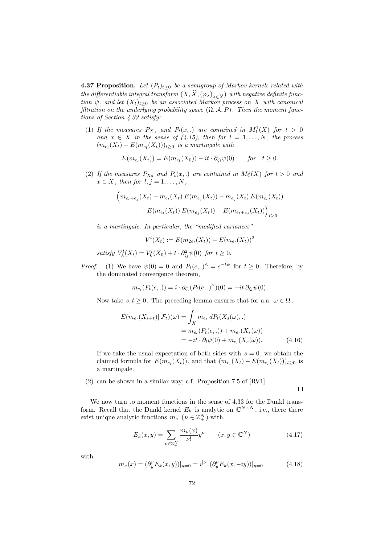**4.37 Proposition.** Let  $(P_t)_{t\geq 0}$  be a semigroup of Markov kernels related with the differentiable integral transform  $(X, \widehat{X}, (\varphi_\lambda)_{\lambda \in \widehat{X}})$  with negative definite function  $\psi$ , and let  $(X_t)_{t>0}$  be an associated Markov process on X with canonical filtration on the underlying probability space  $(\Omega, \mathcal{A}, P)$ . Then the moment functions of Section 4.33 satisfy:

(1) If the measures  $P_{X_0}$  and  $P_t(x,.)$  are contained in  $M_1^1(X)$  for  $t > 0$ and  $x \in X$  in the sense of (4.15), then for  $l = 1, ..., N$ , the process  $(m_{e_l}(X_t) - E(m_{e_l}(X_t)))_{t \geq 0}$  is a martingale with

$$
E(m_{e_l}(X_t)) = E(m_{e_l}(X_0)) - it \cdot \partial_{\zeta_l} \psi(0) \quad for \quad t \ge 0.
$$

(2) If the measures  $P_{X_0}$  and  $P_t(x,.)$  are contained in  $M_2^1(X)$  for  $t > 0$  and  $x \in X$ , then for  $l, j = 1, \ldots, N$ ,

$$
\left(m_{e_l+e_j}(X_t) - m_{e_l}(X_t) E(m_{e_j}(X_t)) - m_{e_j}(X_t) E(m_{e_l}(X_t))\right) + E(m_{e_l}(X_t)) E(m_{e_j}(X_t)) - E(m_{e_l+e_j}(X_t))\right)_{t \ge 0}
$$

is a martingale. In particular, the "modified variances"

$$
V^{l}(X_{t}) := E(m_{2e_{l}}(X_{t})) - E(m_{e_{l}}(X_{t}))^{2}
$$

satisfy  $V_k^l(X_t) = V_k^l(X_0) + t \cdot \partial_{\zeta_l}^2 \psi(0)$  for  $t \geq 0$ .

*Proof.* (1) We have  $\psi(0) = 0$  and  $P_t(e,.)^{\wedge} = e^{-t\psi}$  for  $t \geq 0$ . Therefore, by the dominated convergence theorem,

$$
m_{e_l}(P_t(e,.)) = i \cdot \partial_{\zeta_l}(P_t(e,.)^{\wedge})(0) = -it \partial_{\zeta_l}\psi(0).
$$

Now take  $s, t \geq 0$ . The preceding lemma ensures that for a.a.  $\omega \in \Omega$ ,

$$
E(m_{e_l}(X_{s+t})|\mathcal{F}_t)(\omega) = \int_X m_{e_l} dP_t(X_s(\omega), .)
$$
  
=  $m_{e_l}(P_t(e, .)) + m_{e_l}(X_s(\omega))$   
=  $-it \cdot \partial_l \psi(0) + m_{e_l}(X_s(\omega)).$  (4.16)

If we take the usual expectation of both sides with  $s = 0$ , we obtain the claimed formula for  $E(m_{e_l}(X_t))$ , and that  $(m_{e_l}(X_t) - E(m_{e_l}(X_t)))_{t \geq 0}$  is a martingale.

(2) can be shown in a similar way; c.f. Proposition 7.5 of [RV1].

We now turn to moment functions in the sense of 4.33 for the Dunkl transform. Recall that the Dunkl kernel  $E_k$  is analytic on  $\mathbb{C}^{N \times N}$ , i.e., there there exist unique analytic functions  $m_{\nu}$  ( $\nu \in \mathbb{Z}_{+}^{N}$ ) with

$$
E_k(x, y) = \sum_{\nu \in \mathbb{Z}_+^N} \frac{m_{\nu}(x)}{\nu!} y^{\nu} \qquad (x, y \in \mathbb{C}^N)
$$
 (4.17)

 $\Box$ 

with

$$
m_{\nu}(x) = (\partial_y^{\nu} E_k(x, y))|_{y=0} = i^{|\nu|} (\partial_y^{\nu} E_k(x, -iy))|_{y=0}.
$$
 (4.18)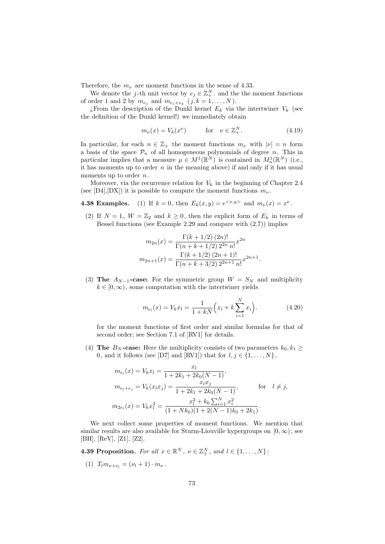Therefore, the  $m_{\nu}$  are moment functions in the sense of 4.33.

We denote the j-th unit vector by  $e_j \in \mathbb{Z}_+^N$ , and the the moment functions of order 1 and 2 by  $m_{e_j}$  and  $m_{e_j+e_k}$   $(j, k = 1, ..., N)$ .

¿From the description of the Dunkl kernel  $E_k$  via the intertwiner  $V_k$  (see the definition of the Dunkl kernel!) we immediately obtain

$$
m_{\nu}(x) = V_k(x^{\nu}) \qquad \text{for} \quad \nu \in \mathbb{Z}_+^N. \tag{4.19}
$$

In particular, for each  $n \in \mathbb{Z}_+$  the moment functions  $m_{\nu}$  with  $|\nu| = n$  form a basis of the space  $\mathcal{P}_n$  of all homogeneous polynomials of degree n. This in particular implies that a measure  $\mu \in M^1(\mathbb{R}^N)$  is contained in  $M_n^1(\mathbb{R}^N)$  (i.e., it has moments up to order  $n$  in the meaning above) if and only if it has usual moments up to order  $n$ .

Moreover, via the recurrence relation for  $V_k$  in the beginning of Chapter 2.4 (see [D4], [DX]) it is possible to compute the moment functions  $m_{\nu}$ .

**4.38 Examples.** (1) If  $k = 0$ , then  $E_k(x, y) = e^{< x, y>}\$  and  $m_\nu(x) = x^\nu$ .

(2) If  $N = 1$ ,  $W = \mathbb{Z}_2$  and  $k \geq 0$ , then the explicit form of  $E_k$  in terms of Bessel functions (see Example 2.29 and compare with (2.7)) implies

$$
m_{2n}(x) = \frac{\Gamma(k+1/2) (2n)!}{\Gamma(n+k+1/2) 2^{2n} n!} x^{2n}
$$

$$
m_{2n+1}(x) = \frac{\Gamma(k+1/2) (2n+1)!}{\Gamma(n+k+3/2) 2^{2n+1} n!} x^{2n+1}
$$

(3) The  $A_{N-1}$ -case: For the symmetric group  $W = S_N$  and multiplicity  $k \in [0, \infty)$ , some computation with the intertwiner yields

$$
m_{e_l}(x) = V_k x_l = \frac{1}{1 + kN} \left( x_l + k \sum_{i=1}^N x_i \right). \tag{4.20}
$$

.

for the moment functions of first order and similar formulas for that of second order; see Section 7.1 of [RV1] for details.

(4) The  $B_N$ -case: Here the multiplicity consists of two parameters  $k_0, k_1 \geq$ 0, and it follows (see [D7] and [RV1]) that for  $l, j \in \{1, ..., N\}$ ,

$$
m_{e_l}(x) = V_k x_l = \frac{x_l}{1 + 2k_1 + 2k_0(N - 1)},
$$
  
\n
$$
m_{e_l + e_j} = V_k(x_l x_j) = \frac{x_l x_j}{1 + 2k_1 + 2k_0(N - 1)},
$$
 for  $l \neq j$ ,  
\n
$$
m_{2e_l}(x) = V_k x_l^2 = \frac{x_l^2 + k_0 \sum_{i=1}^N x_i^2}{(1 + Nk_0)(1 + 2(N - 1)k_0 + 2k_1)}.
$$

We next collect some properties of moment functions. We mention that similar results are also available for Sturm-Liouville hypergroups on  $[0, \infty)$ ; see [BH], [ReV], [Z1], [Z2].

**4.39 Proposition.** For all 
$$
x \in \mathbb{R}^N
$$
,  $\nu \in \mathbb{Z}_+^N$ , and  $l \in \{1, ..., N\}$ .

(1)  $T_l m_{\nu+e_l} = (\nu_l + 1) \cdot m_{\nu}$ .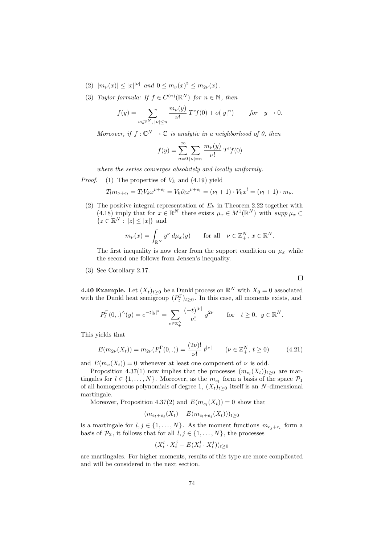- (2)  $|m_{\nu}(x)| \leq |x|^{\nu}$  and  $0 \leq m_{\nu}(x)^{2} \leq m_{2\nu}(x)$ .
- (3) Taylor formula: If  $f \in C^{(n)}(\mathbb{R}^N)$  for  $n \in \mathbb{N}$ , then

$$
f(y) = \sum_{\nu \in \mathbb{Z}_+^N, \ |\nu| \le n} \frac{m_{\nu}(y)}{\nu!} T^{\nu} f(0) + o(|y|^n) \qquad \text{for} \quad y \to 0.
$$

Moreover, if  $f: \mathbb{C}^N \to \mathbb{C}$  is analytic in a neighborhood of 0, then

$$
f(y) = \sum_{n=0}^{\infty} \sum_{|\nu|=n} \frac{m_{\nu}(y)}{\nu!} T^{\nu} f(0)
$$

where the series converges absolutely and locally uniformly.

*Proof.* (1) The properties of  $V_k$  and (4.19) yield

$$
T_l m_{\nu+e_l} = T_l V_k x^{\nu+e_l} = V_k \partial_l x^{\nu+e_l} = (\nu_l + 1) \cdot V_k x^l = (\nu_l + 1) \cdot m_{\nu}.
$$

(2) The positive integral representation of  $E_k$  in Theorem 2.22 together with (4.18) imply that for  $x \in \mathbb{R}^N$  there exists  $\mu_x \in M^1(\mathbb{R}^N)$  with  $supp \mu_x \subset$  ${z \in \mathbb{R}^N : |z| \leq |x|}$  and

$$
m_{\nu}(x) = \int_{\mathbb{R}^N} y^{\nu} d\mu_x(y) \quad \text{for all} \quad \nu \in \mathbb{Z}_+^N, \ x \in \mathbb{R}^N.
$$

The first inequality is now clear from the support condition on  $\mu_x$  while the second one follows from Jensen's inequality.

(3) See Corollary 2.17.

**4.40 Example.** Let  $(X_t)_{t\geq0}$  be a Dunkl process on  $\mathbb{R}^N$  with  $X_0 = 0$  associated with the Dunkl heat semigroup  $(P_t^{\Gamma})_{t\geq 0}$ . In this case, all moments exists, and

$$
P_t^{\Gamma}(0,.)^{\wedge}(y) = e^{-t|y|^2} = \sum_{\nu \in \mathbb{Z}_+^N} \frac{(-t)^{|\nu|}}{\nu!} y^{2\nu} \quad \text{for} \quad t \ge 0, \ y \in \mathbb{R}^N.
$$

This yields that

$$
E(m_{2\nu}(X_t)) = m_{2\nu}(P_t^{\Gamma}(0,.)) = \frac{(2\nu)!}{\nu!} t^{|\nu|} \qquad (\nu \in \mathbb{Z}_+^N, t \ge 0)
$$
 (4.21)

and  $E(m_{\nu}(X_t)) = 0$  whenever at least one component of  $\nu$  is odd.

Proposition 4.37(1) now implies that the processes  $(m_{e_l}(X_t))_{t\geq 0}$  are martingales for  $l \in \{1, ..., N\}$ . Moreover, as the  $m_{e_l}$  form a basis of the space  $\mathcal{P}_1$ of all homogeneous polynomials of degree 1,  $(X_t)_{t>0}$  itself is an N-dimensional martingale.

Moreover, Proposition 4.37(2) and  $E(m_{e_l}(X_t)) = 0$  show that

$$
(m_{e_l+e_j}(X_t) - E(m_{e_l+e_j}(X_t)))_{t \ge 0}
$$

is a martingale for  $l, j \in \{1, ..., N\}$ . As the moment functions  $m_{e_j+e_l}$  form a basis of  $\mathcal{P}_2$ , it follows that for all  $l, j \in \{1, ..., N\}$ , the processes

$$
(X^l_t\cdot X^j_t-E(X^l_t\cdot X^j_t))_{t\geq 0}
$$

are martingales. For higher moments, results of this type are more complicated and will be considered in the next section.

 $\Box$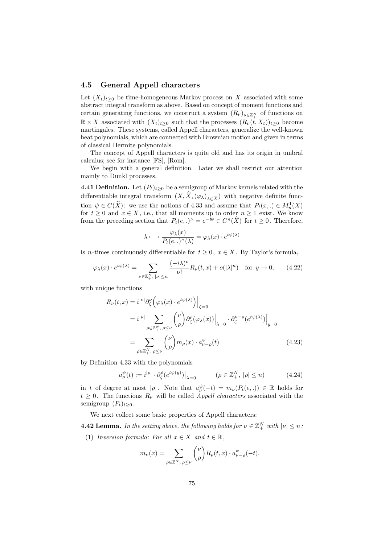## 4.5 General Appell characters

Let  $(X_t)_{t>0}$  be time-homogeneous Markov process on X associated with some abstract integral transform as above. Based on concept of moment functions and certain generating functions, we construct a system  $(R_{\nu})_{\nu \in \mathbb{Z}_{+}^{N}}$  of functions on  $\mathbb{R} \times X$  associated with  $(X_t)_{t\geq 0}$  such that the processes  $(R_\nu(t, X_t))_{t\geq 0}$  become martingales. These systems, called Appell characters, generalize the well-known heat polynomials, which are connected with Brownian motion and given in terms of classical Hermite polynomials.

The concept of Appell characters is quite old and has its origin in umbral calculus; see for instance [FS], [Rom].

We begin with a general definition. Later we shall restrict our attention mainly to Dunkl processes.

**4.41 Definition.** Let  $(P_t)_{t>0}$  be a semigroup of Markov kernels related with the differentiable integral transform  $(X, \hat{X}, (\varphi_{\lambda})_{\lambda \in \hat{X}})$  with negative definite function  $\psi \in C(\hat{X})$ : we use the notions of 4.33 and assume that  $P_t(x,.) \in M_n^1(X)$ for  $t \geq 0$  and  $x \in X$ , i.e., that all moments up to order  $n \geq 1$  exist. We know from the preceding section that  $P_t(e,.)^{\wedge} = e^{-t\psi} \in C^n(\widehat{X})$  for  $t \geq 0$ . Therefore,

$$
\lambda \longmapsto \frac{\varphi_{\lambda}(x)}{P_t(e,.)^{\wedge}(\lambda)} = \varphi_{\lambda}(x) \cdot e^{t\psi(\lambda)}
$$

is *n*-times continuously differentiable for  $t \geq 0$ ,  $x \in X$ . By Taylor's formula,

$$
\varphi_{\lambda}(x) \cdot e^{t\psi(\lambda)} = \sum_{\nu \in \mathbb{Z}_+^N, |\nu| \le n} \frac{(-i\lambda)^{\nu}}{\nu!} R_{\nu}(t, x) + o(|\lambda|^n) \quad \text{for } y \to 0; \qquad (4.22)
$$

with unique functions

$$
R_{\nu}(t,x) = i^{|\nu|} \partial_{\zeta}^{\nu} \left( \varphi_{\lambda}(x) \cdot e^{t\psi(\lambda)} \right) \Big|_{\zeta=0}
$$
  

$$
= i^{|\nu|} \sum_{\rho \in \mathbb{Z}_{+}^{N}, \rho \leq \nu} {\nu \choose \rho} \partial_{\zeta}^{\rho} (\varphi_{\lambda}(x)) \Big|_{\lambda=0} \cdot \partial_{\zeta}^{\nu-\rho} (e^{t\psi(\lambda)}) \Big|_{y=0}
$$
  

$$
= \sum_{\rho \in \mathbb{Z}_{+}^{N}, \rho \leq \nu} {\nu \choose \rho} m_{\rho}(x) \cdot a_{\nu-\rho}^{\psi}(t) \tag{4.23}
$$

by Definition 4.33 with the polynomials

$$
a^{\psi}_{\rho}(t) := i^{|\rho|} \cdot \partial^{\rho}_{\zeta}(e^{t\psi(y)})\big|_{\lambda=0} \qquad (\rho \in \mathbb{Z}_{+}^{N}, \ |\rho| \le n) \tag{4.24}
$$

in t of degree at most  $|\rho|$ . Note that  $a^{\psi}_{\nu}(-t) = m_{\nu}(P_t(e,.)) \in \mathbb{R}$  holds for  $t \geq 0$ . The functions  $R_{\nu}$  will be called *Appell characters* associated with the semigroup  $(P_t)_{t\geq0}$ .

We next collect some basic properties of Appell characters:

**4.42 Lemma.** In the setting above, the following holds for  $\nu \in \mathbb{Z}_+^N$  with  $|\nu| \leq n$ .

(1) Inversion formula: For all  $x \in X$  and  $t \in \mathbb{R}$ ,

$$
m_{\nu}(x) = \sum_{\rho \in \mathbb{Z}_+^N, \ \rho \le \nu} {\nu \choose \rho} R_{\rho}(t,x) \cdot a_{\nu-\rho}^{\psi}(-t).
$$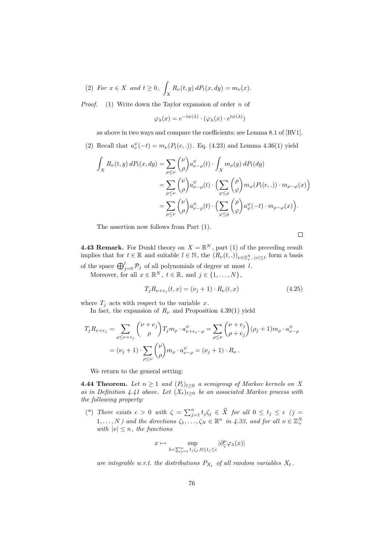(2) For 
$$
x \in X
$$
 and  $t \ge 0$ ,  $\int_X R_\nu(t, y) dP_t(x, dy) = m_\nu(x)$ .

*Proof.* (1) Write down the Taylor expansion of order n of

$$
\varphi_{\lambda}(x) = e^{-t\psi(\lambda)} \cdot (\varphi_{\lambda}(x) \cdot e^{t\psi(\lambda)})
$$

as above in two ways and compare the coefficients; see Lemma 8.1 of [RV1].

(2) Recall that  $a^{\psi}_{\nu}(-t) = m_{\nu}(P_t(e,.))$ . Eq. (4.23) and Lemma 4.36(1) yield

$$
\int_{X} R_{\nu}(t, y) dP_{t}(x, dy) = \sum_{\rho \leq \nu} {\nu \choose \rho} a_{\nu - \rho}^{\psi}(t) \cdot \int_{X} m_{\rho}(y) dP_{t}(dy)
$$

$$
= \sum_{\rho \leq \nu} {\nu \choose \rho} a_{\nu - \rho}^{\psi}(t) \cdot \left( \sum_{\varphi \leq \rho} {\rho \choose \varphi} m_{\varphi}(P_{t}(e, .)) \cdot m_{\rho - \varphi}(x) \right)
$$

$$
= \sum_{\rho \leq \nu} {\nu \choose \rho} a_{\nu - \rho}^{\psi}(t) \cdot \left( \sum_{\varphi \leq \rho} {\rho \choose \varphi} a_{\psi}^{\varphi}(-t) \cdot m_{\rho - \varphi}(x) \right).
$$

The assertion now follows from Part (1).

$$
\qquad \qquad \Box
$$

**4.43 Remark.** For Dunkl theory on  $X = \mathbb{R}^N$ , part (1) of the preceding result implies that for  $t \in \mathbb{R}$  and suitable  $l \in \mathbb{N}$ , the  $(R_{\nu}(t, .))_{\nu \in \mathbb{Z}_{+}^{N}, |\nu| \leq l}$  form a basis of the space  $\bigoplus_{j=0}^{l} \mathcal{P}_j$  of all polynomials of degree at most l.

Moreover, for all  $x \in \mathbb{R}^N$ ,  $t \in \mathbb{R}$ , and  $j \in \{1, ..., N\}$ ,

$$
T_j R_{\nu+e_j}(t, x) = (\nu_j + 1) \cdot R_{\nu}(t, x)
$$
\n(4.25)

where  $T_j$  acts with respect to the variable x.

In fact, the expansion of  $R_{\nu}$  and Proposition 4.39(1) yield

$$
T_j R_{\nu+e_j} = \sum_{\rho \le \nu+e_j} {\nu+e_j \choose \rho} T_j m_\rho \cdot a_{\nu+e_j-\rho}^{\psi} = \sum_{\rho \le \nu} {\nu+e_j \choose \rho+e_j} (\rho_j+1) m_\rho \cdot a_{\nu-\rho}^{\psi}
$$
  
=  $(\nu_j+1) \cdot \sum_{\rho \le \nu} {\nu \choose \rho} m_\rho \cdot a_{\nu-\rho}^{\psi} = (\nu_j+1) \cdot R_\nu.$ 

We return to the general setting:

**4.44 Theorem.** Let  $n \geq 1$  and  $(P_t)_{t\geq 0}$  a semigroup of Markov kernels on X as in Definition 4.41 above. Let  $(X_t)_{t\geq 0}$  be an associated Markov process with the following property:

(\*) There exists  $\epsilon > 0$  with  $\zeta = \sum_{j=1}^n t_j \zeta_j \in \widehat{X}$  for all  $0 \le t_j \le \epsilon$  (j =  $1, \ldots, N$ ) and the directions  $\zeta_1, \ldots, \zeta_N \in \mathbb{R}^n$  in 4.33, and for all  $\nu \in \mathbb{Z}_+^N$ with  $|\nu| \leq n$ , the functions

$$
x\mapsto \sup_{\lambda=\sum_{j=1}^n t_j\zeta_j, 0\le t_j\le \epsilon}|\partial_\zeta^\nu \varphi_\lambda(x)|
$$

are integrable w.r.t. the distributions  $P_{X_t}$  of all random variables  $X_t$ .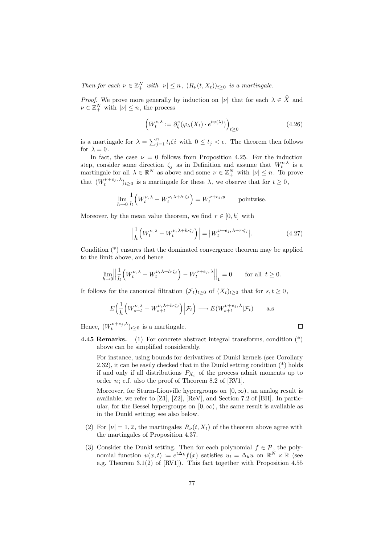Then for each  $\nu \in \mathbb{Z}_+^N$  with  $|\nu| \leq n$ ,  $(R_\nu(t, X_t))_{t \geq 0}$  is a martingale.

*Proof.* We prove more generally by induction on  $|\nu|$  that for each  $\lambda \in \hat{X}$  and  $\nu \in \mathbb{Z}_+^N$  with  $|\nu| \leq n$ , the process

$$
\left(W_t^{\nu,\lambda} := \partial_{\zeta}^{\nu}(\varphi_{\lambda}(X_t) \cdot e^{t\varphi(\lambda)})\right)_{t \ge 0}
$$
\n(4.26)

is a martingale for  $\lambda = \sum_{j=1}^n t_i \zeta_i$  with  $0 \le t_j < \epsilon$ . The theorem then follows for  $\lambda=0$  .

In fact, the case  $\nu = 0$  follows from Proposition 4.25. For the induction step, consider some direction  $\zeta_j$  as in Definition and assume that  $W_t^{\nu,\lambda}$  is a martingale for all  $\lambda \in \mathbb{R}^N$  as above and some  $\nu \in \mathbb{Z}_+^N$  with  $|\nu| \leq n$ . To prove that  $(W_t^{\nu+e_j,\lambda})_{t\geq 0}$  is a martingale for these  $\lambda$ , we observe that for  $t\geq 0$ ,

$$
\lim_{h \to 0} \frac{1}{h} \Big( W_t^{\nu, \lambda} - W_t^{\nu, \lambda + h \cdot \zeta_j} \Big) = W_t^{\nu + e_j, y}
$$
 pointwise.

Moreover, by the mean value theorem, we find  $r \in [0, h]$  with

$$
\left| \frac{1}{h} \left( W_t^{\nu, \lambda} - W_t^{\nu, \lambda + h \cdot \zeta_j} \right) \right| = \left| W_t^{\nu + e_j, \lambda + r \cdot \zeta_j} \right|.
$$
 (4.27)

Condition (\*) ensures that the dominated convergence theorem may be applied to the limit above, and hence

$$
\lim_{h \to 0} \left\| \frac{1}{h} \left( W_t^{\nu, \lambda} - W_t^{\nu, \lambda + h \cdot \zeta_j} \right) - W_t^{\nu + e_j, \lambda} \right\|_1 = 0 \quad \text{for all } t \ge 0.
$$

It follows for the canonical filtration  $(\mathcal{F}_t)_{t>0}$  of  $(X_t)_{t>0}$  that for  $s, t \geq 0$ ,

$$
E\Big(\frac{1}{h}\Big(W_{s+t}^{\nu,\lambda} - W_{s+t}^{\nu,\lambda+h\cdot\zeta_j}\Big)\Big|\mathcal{F}_t\Big) \longrightarrow E(W_{s+t}^{\nu+e_j,\lambda}|\mathcal{F}_t) \qquad \text{a.s}
$$

Hence,  $(W_t^{\nu+e_j,\lambda})_{t\geq 0}$  is a martingale.

- $\Box$
- **4.45 Remarks.** (1) For concrete abstract integral transforms, condition  $(*)$ above can be simplified considerably.

For instance, using bounds for derivatives of Dunkl kernels (see Corollary 2.32), it can be easily checked that in the Dunkl setting condition (\*) holds if and only if all distributions  $P_{X_t}$  of the process admit moments up to order  $n$ ; c.f. also the proof of Theorem 8.2 of [RV1].

Moreover, for Sturm-Liouville hypergroups on  $[0, \infty)$ , an analog result is available; we refer to [Z1], [Z2], [ReV], and Section 7.2 of [BH]. In particular, for the Bessel hypergroups on  $[0, \infty)$ , the same result is available as in the Dunkl setting; see also below.

- (2) For  $|\nu|=1, 2$ , the martingales  $R_{\nu}(t, X_t)$  of the theorem above agree with the martingales of Proposition 4.37.
- (3) Consider the Dunkl setting. Then for each polynomial  $f \in \mathcal{P}$ , the polynomial function  $u(x,t) := e^{t\Delta_k} f(x)$  satisfies  $u_t = \Delta_k u$  on  $\mathbb{R}^N \times \mathbb{R}$  (see e.g. Theorem 3.1(2) of [RV1]). This fact together with Proposition 4.55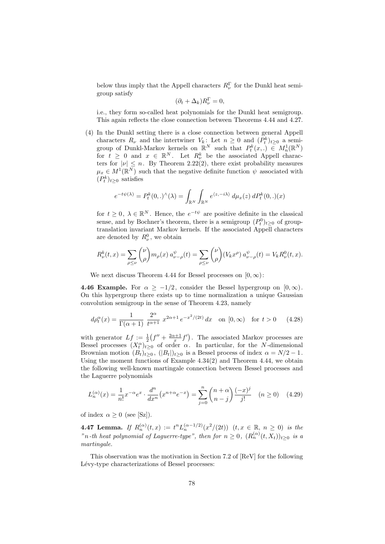below thus imply that the Appell characters  $R_{\nu}^{\Gamma}$  for the Dunkl heat semigroup satisfy

$$
(\partial_t + \Delta_k)R_{\nu}^{\Gamma} = 0,
$$

i.e., they form so-called heat polynomials for the Dunkl heat semigroup. This again reflects the close connection between Theorems 4.44 and 4.27.

(4) In the Dunkl setting there is a close connection between general Appell characters  $R_{\nu}$  and the intertwiner  $V_k$ : Let  $n \geq 0$  and  $(P_t^k)_{t \geq 0}$  a semigroup of Dunkl-Markov kernels on  $\mathbb{R}^N$  such that  $P_t^k(x,.) \in M_n^1(\mathbb{R}^N)$ for  $t \geq 0$  and  $x \in \mathbb{R}^N$ . Let  $R_{\nu}^k$  be the associated Appell characters for  $|\nu| \leq n$ . By Theorem 2.22(2), there exist probability measures  $\mu_x \in M^1(\mathbb{R}^N)$  such that the negative definite function  $\psi$  associated with  $(P_t^k)_{t\geq 0}$  satisfies

$$
e^{-t\psi(\lambda)} = P_t^k(0,.)^\wedge(\lambda) = \int_{\mathbb{R}^N} \int_{\mathbb{R}^N} e^{\langle z, -i\lambda \rangle} d\mu_x(z) dP_t^k(0,.)(x)
$$

for  $t \geq 0$ ,  $\lambda \in \mathbb{R}^N$ . Hence, the  $e^{-t\psi}$  are positive definite in the classical sense, and by Bochner's theorem, there is a semigroup  $(P_t^0)_{t\geq0}$  of grouptranslation invariant Markov kernels. If the associated Appell characters are denoted by  $R_{\nu}^0$ , we obtain

$$
R_{\nu}^{k}(t,x) = \sum_{\rho \leq \nu} {\nu \choose \rho} m_{\rho}(x) a_{\nu-\rho}^{\psi}(t) = \sum_{\rho \leq \nu} {\nu \choose \rho} (V_{k}x^{\rho}) a_{\nu-\rho}^{\psi}(t) = V_{k} R_{\nu}^{0}(t,x).
$$

We next discuss Theorem 4.44 for Bessel processes on  $[0, \infty)$ :

**4.46 Example.** For  $\alpha \geq -1/2$ , consider the Bessel hypergroup on  $[0,\infty)$ . On this hypergroup there exists up to time normalization a unique Gaussian convolution semigroup in the sense of Theorem 4.23, namely

$$
d\rho_t^{\alpha}(x) = \frac{1}{\Gamma(\alpha+1)} \frac{2^{\alpha}}{t^{\alpha+1}} x^{2\alpha+1} e^{-x^2/(2t)} dx \quad \text{on } [0, \infty) \quad \text{for } t > 0 \tag{4.28}
$$

with generator  $Lf := \frac{1}{2}(f'' + \frac{2\alpha+1}{x}f')$ . The associated Markov processes are Bessel processes  $(X_t^{\alpha})_{t\geq 0}$  of order  $\alpha$ . In particular, for the N-dimensional Brownian motion  $(B_t)_{t>0}$ ,  $(|B_t|)_{t>0}$  is a Bessel process of index  $\alpha = N/2 - 1$ . Using the moment functions of Example  $4.34(2)$  and Theorem  $4.44$ , we obtain the following well-known martingale connection between Bessel processes and the Laguerre polynomials

$$
L_n^{(\alpha)}(x) = \frac{1}{n!} x^{-\alpha} e^x \cdot \frac{d^n}{dx^n} (x^{n+\alpha} e^{-x}) = \sum_{j=0}^n \binom{n+\alpha}{n-j} \frac{(-x)^j}{j!} \quad (n \ge 0) \quad (4.29)
$$

of index  $\alpha \geq 0$  (see [Sz]).

**4.47 Lemma.** If  $R_n^{(\alpha)}(t,x) := t^n L_n^{(\alpha-1/2)}(x^2/(2t))$   $(t, x \in \mathbb{R}, n \ge 0)$  is the "n-th heat polynomial of Laguerre-type", then for  $n \geq 0$ ,  $(R_n^{(\alpha)}(t, X_t))_{t \geq 0}$  is a martingale.

This observation was the motivation in Section 7.2 of [ReV] for the following Lévy-type characterizations of Bessel processes: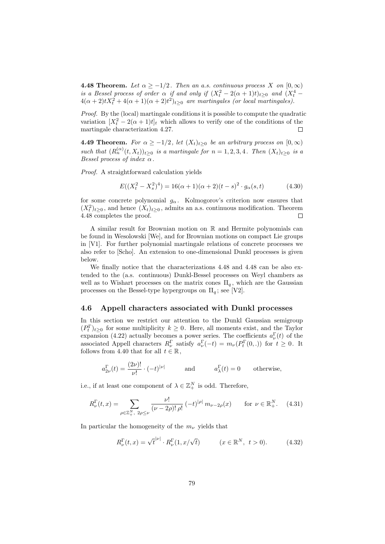**4.48 Theorem.** Let  $\alpha \geq -1/2$ . Then an a.s. continuous process X on  $[0, \infty)$ is a Bessel process of order  $\alpha$  if and only if  $(X_t^2 - 2(\alpha + 1)t)_{t \geq 0}$  and  $(X_t^4 4(\alpha+2)tX_t^2+4(\alpha+1)(\alpha+2)t^2)_{t\geq 0}$  are martingales (or local martingales).

Proof. By the (local) martingale conditions it is possible to compute the quadratic variation  $[X_t^2 - 2(\alpha + 1)t]_t$  which allows to verify one of the conditions of the martingale characterization 4.27. П

**4.49 Theorem.** For  $\alpha \ge -1/2$ , let  $(X_t)_{t>0}$  be an arbitrary process on  $[0,\infty)$ such that  $(R_n^{(\alpha)}(t,X_t))_{t\geq 0}$  is a martingale for  $n=1,2,3,4$ . Then  $(X_t)_{t\geq 0}$  is a Bessel process of index  $\alpha$ .

Proof. A straightforward calculation yields

$$
E((Xt2 - Xs2)4) = 16(\alpha + 1)(\alpha + 2)(t - s)2 \cdot g\alpha(s, t)
$$
 (4.30)

for some concrete polynomial  $g_{\alpha}$ . Kolmogorov's criterion now ensures that  $(X_t^2)_{t\geq 0}$ , and hence  $(X_t)_{t\geq 0}$ , admits an a.s. continuous modification. Theorem 4.48 completes the proof.  $\Box$ 

A similar result for Brownian motion on R and Hermite polynomials can be found in Wesolowski [We], and for Brownian motions on compact Lie groups in [V1]. For further polynomial martingale relations of concrete processes we also refer to [Scho]. An extension to one-dimensional Dunkl processes is given below.

We finally notice that the characterizations 4.48 and 4.48 can be also extended to the (a.s. continuous) Dunkl-Bessel processes on Weyl chambers as well as to Wishart processes on the matrix cones  $\Pi_q$ , which are the Gaussian processes on the Bessel-type hypergroups on  $\Pi_q$ ; see [V2].

## 4.6 Appell characters associated with Dunkl processes

In this section we restrict our attention to the Dunkl Gaussian semigroup  $(P_t^{\Gamma})_{t\geq0}$  for some multiplicity  $k\geq0$ . Here, all moments exist, and the Taylor expansion (4.22) actually becomes a power series. The coefficients  $a_{\nu}^{\Gamma}(t)$  of the associated Appell characters  $R_{\nu}^{\Gamma}$  satisfy  $a_{\nu}^{\Gamma}(-t) = m_{\nu}(P_t^{\Gamma}(0,.))$  for  $t \geq 0$ . It follows from 4.40 that for all  $t \in \mathbb{R}$ ,

$$
a_{2\nu}^{\Gamma}(t) = \frac{(2\nu)!}{\nu!} \cdot (-t)^{|\nu|}
$$
 and  $a_{\lambda}^{\Gamma}(t) = 0$  otherwise,

i.e., if at least one component of  $\lambda \in \mathbb{Z}_{+}^{N}$  is odd. Therefore,

$$
R_{\nu}^{\Gamma}(t,x) = \sum_{\rho \in \mathbb{Z}_{+}^{N}, 2\rho \leq \nu} \frac{\nu!}{(\nu - 2\rho)! \rho!} (-t)^{|\rho|} m_{\nu - 2\rho}(x) \quad \text{for } \nu \in \mathbb{R}_{+}^{N}.
$$
 (4.31)

In particular the homogeneity of the  $m_{\nu}$  yields that

$$
R_{\nu}^{\Gamma}(t,x) = \sqrt{t}^{|\nu|} \cdot R_{\nu}^{\Gamma}(1, x/\sqrt{t}) \qquad (x \in \mathbb{R}^{N}, t > 0).
$$
 (4.32)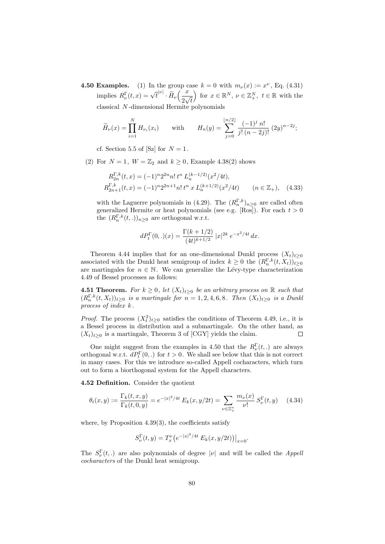**4.50 Examples.** (1) In the group case  $k = 0$  with  $m_{\nu}(x) := x^{\nu}$ , Eq. (4.31) implies  $R_{\nu}^{\Gamma}(t,x) = \sqrt{t}^{\mid \nu \mid} \cdot \widetilde{H}_{\nu}\left(\frac{x}{2v}\right)$ 2  $\frac{w}{\sqrt{2}}$ t for  $x \in \mathbb{R}^N$ ,  $\nu \in \mathbb{Z}_+^N$ ,  $t \in \mathbb{R}$  with the classical N -dimensional Hermite polynomials

$$
\widetilde{H}_{\nu}(x) = \prod_{i=1}^{N} H_{\nu_i}(x_i) \quad \text{with} \quad H_n(y) = \sum_{j=0}^{\lfloor n/2 \rfloor} \frac{(-1)^j n!}{j! (n-2j)!} (2y)^{n-2j};
$$

cf. Section 5.5 of [Sz] for  $N = 1$ .

(2) For  $N = 1$ ,  $W = \mathbb{Z}_2$  and  $k \geq 0$ , Example 4.38(2) shows

$$
R_{2n}^{\Gamma,k}(t,x) = (-1)^{n} 2^{2n} n! \, t^{n} \, L_{n}^{(k-1/2)}(x^{2}/4t),
$$
  
\n
$$
R_{2n+1}^{\Gamma,k}(t,x) = (-1)^{n} 2^{2n+1} n! \, t^{n} \, x \, L_{n}^{(k+1/2)}(x^{2}/4t) \qquad (n \in \mathbb{Z}_{+}), \quad (4.33)
$$

with the Laguerre polynomials in (4.29). The  $(R_n^{\Gamma,k})_{n\geq 0}$  are called often generalized Hermite or heat polynomials (see e.g. [Ros]). For each  $t > 0$ the  $(R_n^{\Gamma,k}(t,.))_{n\geq 0}$  are orthogonal w.r.t.

$$
dP_t^{\Gamma}(0,.)(x) = \frac{\Gamma(k+1/2)}{(4t)^{k+1/2}} |x|^{2k} e^{-x^2/4t} dx.
$$

Theorem 4.44 implies that for an one-dimensional Dunkl process  $(X_t)_{t>0}$ associated with the Dunkl heat semigroup of index  $k \geq 0$  the  $(R_n^{\Gamma,k}(t, X_t))_{t \geq 0}$ are martingales for  $n \in \mathbb{N}$ . We can generalize the Lévy-type characterization 4.49 of Bessel processes as follows:

**4.51 Theorem.** For  $k \geq 0$ , let  $(X_t)_{t>0}$  be an arbitrary process on  $\mathbb{R}$  such that  $(R_n^{\Gamma,k}(t,X_t))_{t\geq0}$  is a martingale for  $n=1,2,4,6,8$ . Then  $(X_t)_{t\geq0}$  is a Dunkl process of index k .

*Proof.* The process  $(X_t^2)_{t\geq 0}$  satisfies the conditions of Theorem 4.49, i.e., it is a Bessel process in distribution and a submartingale. On the other hand, as  $(X_t)_{t\geq0}$  is a martingale, Theorem 3 of [CGY] yields the claim.  $\Box$ 

One might suggest from the examples in 4.50 that the  $R_{\nu}^{\Gamma}(t,.)$  are always orthogonal w.r.t.  $dP_t^{\Gamma}(0,.)$  for  $t > 0$ . We shall see below that this is not correct in many cases. For this we introduce so-called Appell cocharacters, which turn out to form a biorthogonal system for the Appell characters.

4.52 Definition. Consider the quotient

$$
\theta_t(x,y) := \frac{\Gamma_k(t,x,y)}{\Gamma_k(t,0,y)} = e^{-|x|^2/4t} E_k(x,y/2t) = \sum_{\nu \in \mathbb{Z}_+^n} \frac{m_\nu(x)}{\nu!} S_\nu^{\Gamma}(t,y) \tag{4.34}
$$

where, by Proposition  $4.39(3)$ , the coefficients satisfy

$$
S_{\nu}^{\Gamma}(t, y) = T_{x}^{\nu} \left( e^{-|x|^{2}/4t} E_{k}(x, y/2t) \right) \big|_{x=0}.
$$

The  $S_{\nu}^{\Gamma}(t,.)$  are also polynomials of degree  $|\nu|$  and will be called the *Appell* cocharacters of the Dunkl heat semigroup.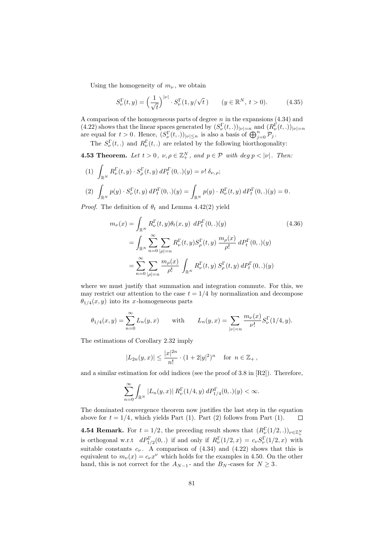Using the homogeneity of  $m_{\nu}$ , we obtain

$$
S_{\nu}^{\Gamma}(t,y) = \left(\frac{1}{\sqrt{t}}\right)^{|\nu|} \cdot S_{\nu}^{\Gamma}(1,y/\sqrt{t}) \qquad (y \in \mathbb{R}^{N}, t > 0). \tag{4.35}
$$

A comparison of the homogeneous parts of degree  $n$  in the expansions  $(4.34)$  and (4.22) shows that the linear spaces generated by  $(S_{\nu}^{\Gamma}(t, .))_{|\nu|=n}$  and  $(R_{\nu}^{\Gamma}(t, .))_{|\nu|=n}$ are equal for  $t > 0$ . Hence,  $(S_{\nu}^{\Gamma}(t,.)|_{\nu \leq n}$  is also a basis of  $\bigoplus_{j=0}^{n} \mathcal{P}_j$ .

The  $S_{\nu}^{\Gamma}(t,.)$  and  $R_{\nu}^{\Gamma}(t,.)$  are related by the following biorthogonality:

**4.53 Theorem.** Let  $t > 0$ ,  $\nu, \rho \in \mathbb{Z}_{+}^{N}$ , and  $p \in \mathcal{P}$  with  $\deg p < |\nu|$ . Then:

(1)  $\int_{\mathbb{R}^N} R^{\Gamma}_\nu(t, y) \cdot S^{\Gamma}_\rho(t, y) dP^{\Gamma}_t(0,.)(y) = \nu! \, \delta_{\nu, \, \rho};$ (2)  $\int_{\mathbb{R}^N} p(y) \cdot S_{\nu}^{\Gamma}(t, y) dP_t^{\Gamma}(0,.)(y) = \int_{\mathbb{R}^N} p(y) \cdot R_{\nu}^{\Gamma}(t, y) dP_t^{\Gamma}(0,.)(y) = 0.$ 

*Proof.* The definition of  $\theta_t$  and Lemma 4.42(2) yield

$$
m_{\nu}(x) = \int_{\mathbb{R}^{N}} R_{\nu}^{\Gamma}(t, y) \theta_{t}(x, y) \, dP_{t}^{\Gamma}(0, .)(y) \tag{4.36}
$$
\n
$$
= \int_{\mathbb{R}^{N}} \sum_{n=0}^{\infty} \sum_{|\rho|=n} R_{\nu}^{\Gamma}(t, y) S_{\rho}^{\Gamma}(t, y) \, \frac{m_{\rho}(x)}{\rho!} \, dP_{t}^{\Gamma}(0, .)(y)
$$
\n
$$
= \sum_{n=0}^{\infty} \sum_{|\rho|=n} \frac{m_{\rho}(x)}{\rho!} \int_{\mathbb{R}^{N}} R_{\nu}^{\Gamma}(t, y) S_{\rho}^{\Gamma}(t, y) \, dP_{t}^{\Gamma}(0, .)(y)
$$

where we must justify that summation and integration commute. For this, we may restrict our attention to the case  $t = 1/4$  by normalization and decompose  $\theta_{1/4}(x, y)$  into its x-homogeneous parts

$$
\theta_{1/4}(x, y) = \sum_{n=0}^{\infty} L_n(y, x)
$$
 with  $L_n(y, x) = \sum_{|\nu|=n} \frac{m_{\nu}(x)}{\nu!} S_{\nu}^{\Gamma}(1/4, y).$ 

The estimations of Corollary 2.32 imply

$$
|L_{2n}(y,x)| \le \frac{|x|^{2n}}{n!} \cdot (1+2|y|^2)^n
$$
 for  $n \in \mathbb{Z}_+$ ,

and a similar estimation for odd indices (see the proof of 3.8 in [R2]). Therefore,

$$
\sum_{n=0}^{\infty} \int_{\mathbb{R}^N} |L_n(y, x)| R_{\nu}^{\Gamma}(1/4, y) dP_{1/4}^{\Gamma}(0, .)(y) < \infty.
$$

The dominated convergence theorem now justifies the last step in the equation above for  $t = 1/4$ , which yields Part (1). Part (2) follows from Part (1).  $\Box$ 

**4.54 Remark.** For  $t = 1/2$ , the preceding result shows that  $(R^{\Gamma}_{\nu}(1/2, .))_{\nu \in \mathbb{Z}_{+}^{N}}$ is orthogonal w.r.t  $dP_{1/2}^{Gamma}(0,.)$  if and only if  $R_{\nu}^{\Gamma}(1/2,x) = c_{\nu}S_{\nu}^{\Gamma}(1/2,x)$  with suitable constants  $c_{\nu}$ . A comparison of (4.34) and (4.22) shows that this is equivalent to  $m_{\nu}(x) = c_{\nu}x^{\nu}$  which holds for the examples in 4.50. On the other hand, this is not correct for the  $A_{N-1}$ - and the  $B_N$ -cases for  $N \geq 3$ .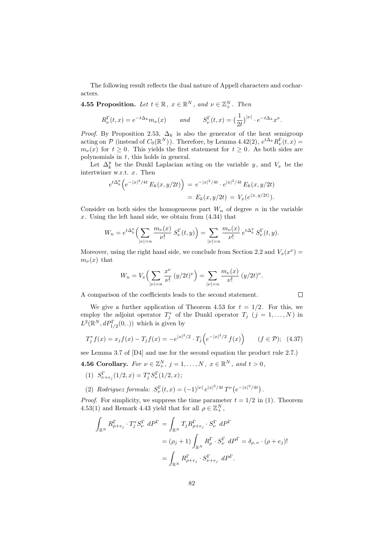The following result reflects the dual nature of Appell characters and cocharacters.

**4.55 Proposition.** Let  $t \in \mathbb{R}$ ,  $x \in \mathbb{R}^N$ , and  $\nu \in \mathbb{Z}_+^N$ . Then

$$
R^{\Gamma}_{\nu}(t,x) = e^{-t\Delta_k} m_{\nu}(x) \quad and \quad S^{\Gamma}_{\nu}(t,x) = \left(\frac{1}{2t}\right)^{|\nu|} \cdot e^{-t\Delta_k} x^{\nu}.
$$

*Proof.* By Proposition 2.53,  $\Delta_k$  is also the generator of the heat semigroup acting on  $\mathcal P$  (instead of  $C_0(\mathbb R^N)$ ). Therefore, by Lemma 4.42(2),  $e^{t\Delta_k}R_{\nu}^{\Gamma}(t,x)$  =  $m_{\nu}(x)$  for  $t \geq 0$ . This yields the first statement for  $t \geq 0$ . As both sides are polynomials in  $t$ , this holds in general.

Let  $\Delta_k^y$  be the Dunkl Laplacian acting on the variable y, and  $V_x$  be the intertwiner w.r.t. x. Then

$$
e^{t\Delta_k^y} \Big( e^{-|x|^2/4t} E_k(x, y/2t) \Big) = e^{-|x|^2/4t} \cdot e^{|x|^2/4t} E_k(x, y/2t)
$$
  
= 
$$
E_k(x, y/2t) = V_x(e^{\langle x, y/2t \rangle}).
$$

Consider on both sides the homogeneous part  $W_n$  of degree n in the variable x. Using the left hand side, we obtain from  $(4.34)$  that

$$
W_n = e^{t\Delta_k^y} \left( \sum_{|\nu|=n} \frac{m_{\nu}(x)}{\nu!} S_{\nu}^{\Gamma}(t, y) \right) = \sum_{|\nu|=n} \frac{m_{\nu}(x)}{\nu!} e^{t\Delta_k^y} S_{\nu}^{\Gamma}(t, y).
$$

Moreover, using the right hand side, we conclude from Section 2.2 and  $V_x(x^{\nu}) =$  $m_{\nu}(x)$  that

$$
W_n = V_x \left( \sum_{|\nu|=n} \frac{x^{\nu}}{\nu!} (y/2t)^{\nu} \right) = \sum_{|\nu|=n} \frac{m_{\nu}(x)}{\nu!} (y/2t)^{\nu}.
$$

A comparison of the coefficients leads to the second statement.

We give a further application of Theorem 4.53 for  $t = 1/2$ . For this, we employ the adjoint operator  $T_j^*$  of the Dunkl operator  $T_j$   $(j = 1, ..., N)$  in  $L^2(\mathbb{R}^N, dP_{1/2}^{\Gamma}(0,.))$  which is given by

$$
T_j^* f(x) = x_j f(x) - T_j f(x) = -e^{|x|^2/2} \cdot T_j \left( e^{-|x|^2/2} f(x) \right) \qquad (f \in \mathcal{P}); \tag{4.37}
$$

see Lemma 3.7 of [D4] and use for the second equation the product rule 2.7.)

**4.56 Corollary.** For  $\nu \in \mathbb{Z}_+^N$ ,  $j = 1, ..., N$ ,  $x \in \mathbb{R}^N$ , and  $t > 0$ ,

- (1)  $S_{\nu+e_j}^{\Gamma}(1/2, x) = T_j^* S_{\nu}^{\Gamma}(1/2, x)$ ;
- (2) Rodriguez formula:  $S_{\nu}^{\Gamma}(t, x) = (-1)^{|\nu|} e^{|x|^2/4t} T^{\nu} (e^{-|x|^2/4t})$ .

*Proof.* For simplicity, we suppress the time parameter  $t = 1/2$  in (1). Theorem 4.53(1) and Remark 4.43 yield that for all  $\rho \in \mathbb{Z}_+^N$ ,

$$
\int_{\mathbb{R}^N} R_{\rho+e_j}^{\Gamma} \cdot T_j^* S_{\nu}^{\Gamma} dP^{\Gamma} = \int_{\mathbb{R}^N} T_j R_{\rho+e_j}^{\Gamma} \cdot S_{\nu}^{\Gamma} dP^{\Gamma}
$$
\n
$$
= (\rho_j + 1) \int_{\mathbb{R}^N} R_{\rho}^{\Gamma} \cdot S_{\nu}^{\Gamma} dP^{\Gamma} = \delta_{\rho,\nu} \cdot (\rho + e_j)!
$$
\n
$$
= \int_{\mathbb{R}^N} R_{\rho+e_j}^{\Gamma} \cdot S_{\nu+e_j}^{\Gamma} dP^{\Gamma}.
$$

 $\Box$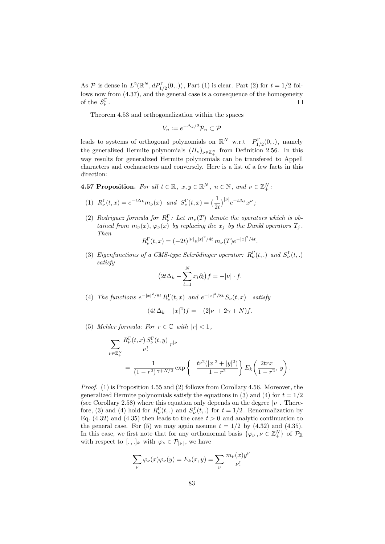As  $P$  is dense in  $L^2(\mathbb{R}^N, dP_{1/2}^{\Gamma}(0,.))$ , Part (1) is clear. Part (2) for  $t = 1/2$  follows now from (4.37), and the general case is a consequence of the homogeneity of the  $S_{\nu}^{\Gamma}$ .  $\Box$ 

Theorem 4.53 and orthogonalization within the spaces

$$
V_n := e^{-\Delta_k/2} \mathcal{P}_n \subset \mathcal{P}
$$

leads to systems of orthogonal polynomials on  $\mathbb{R}^N$  w.r.t  $P_{1/2}^{\Gamma}(0,.)$ , namely the generalized Hermite polynomials  $(H_{\nu})_{\nu \in \mathbb{Z}_{+}^{N}}$  from Definition 2.56. In this way results for generalized Hermite polynomials can be transfered to Appell characters and cocharacters and conversely. Here is a list of a few facts in this direction:

**4.57 Proposition.** For all  $t \in \mathbb{R}$ ,  $x, y \in \mathbb{R}^N$ ,  $n \in \mathbb{N}$ , and  $\nu \in \mathbb{Z}_+^N$ .

- (1)  $R_{\nu}^{\Gamma}(t,x) = e^{-t\Delta_k} m_{\nu}(x)$  and  $S_{\nu}^{\Gamma}(t,x) = \left(\frac{1}{2t}\right)^{|\nu|} e^{-t\Delta_k} x^{\nu}$ ;
- (2) Rodriguez formula for  $R_{\nu}^{\Gamma}$ : Let  $m_{\nu}(T)$  denote the operators which is obtained from  $m_{\nu}(x)$ ,  $\varphi_{\nu}(x)$  by replacing the  $x_j$  by the Dunkl operators  $T_j$ . Then

$$
R_{\nu}^{\Gamma}(t,x) = (-2t)^{|\nu|} e^{|x|^2/4t} m_{\nu}(T) e^{-|x|^2/4t}.
$$

(3) Eigenfunctions of a CMS-type Schrödinger operator:  $R_{\nu}^{\Gamma}(t,.)$  and  $S_{\nu}^{\Gamma}(t,.)$ satisfy

$$
\left(2t\Delta_k - \sum_{l=1}^N x_l \partial_l\right) f = -|\nu| \cdot f.
$$

(4) The functions  $e^{-|x|^2/8t} R_{\nu}^{\Gamma}(t, x)$  and  $e^{-|x|^2/8t} S_{\nu}(t, x)$  satisfy

$$
(4t\,\Delta_k - |x|^2)f = -(2|\nu| + 2\gamma + N)f.
$$

(5) Mehler formula: For  $r \in \mathbb{C}$  with  $|r| < 1$ ,

$$
\sum_{\nu \in \mathbb{Z}_+^N} \frac{R_\nu^{\Gamma}(t, x) S_\nu^{\Gamma}(t, y)}{\nu!} r^{|\nu|}
$$
  
= 
$$
\frac{1}{(1 - r^2)^{\gamma + N/2}} \exp \left\{-\frac{tr^2(|x|^2 + |y|^2)}{1 - r^2}\right\} E_k\left(\frac{2trx}{1 - r^2}, y\right).
$$

*Proof.* (1) is Proposition 4.55 and (2) follows from Corollary 4.56. Moreover, the generalized Hermite polynomials satisfy the equations in (3) and (4) for  $t = 1/2$ (see Corollary 2.58) where this equation only depends on the degree  $|\nu|$ . Therefore, (3) and (4) hold for  $R_{\nu}^{\Gamma}(t,.)$  and  $S_{\nu}^{\Gamma}(t,.)$  for  $t = 1/2$ . Renormalization by Eq. (4.32) and (4.35) then leads to the case  $t > 0$  and analytic continuation to the general case. For (5) we may again assume  $t = 1/2$  by (4.32) and (4.35). In this case, we first note that for any orthonormal basis  $\{\varphi_{\nu}, \nu \in \mathbb{Z}_{+}^{N}\}\$  of  $\mathcal{P}_{\mathbb{R}}$ with respect to [.,.]<sub>k</sub> with  $\varphi_{\nu} \in \mathcal{P}_{|\nu|}$ , we have

$$
\sum_{\nu} \varphi_{\nu}(x)\varphi_{\nu}(y) = E_k(x, y) = \sum_{\nu} \frac{m_{\nu}(x)y^{\nu}}{\nu!}
$$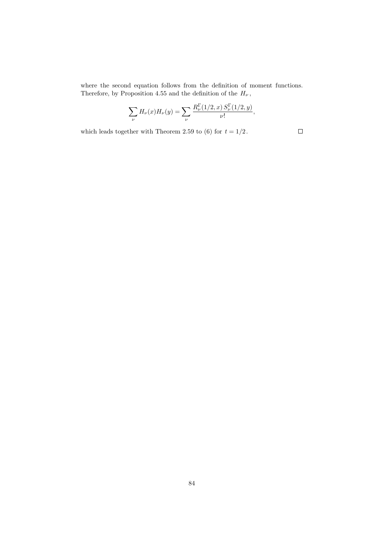where the second equation follows from the definition of moment functions. Therefore, by Proposition 4.55 and the definition of the  $H_{\nu} \,,$ 

$$
\sum_{\nu} H_{\nu}(x) H_{\nu}(y) = \sum_{\nu} \frac{R_{\nu}^{\Gamma}(1/2, x) S_{\nu}^{\Gamma}(1/2, y)}{\nu!},
$$

which leads together with Theorem 2.59 to (6) for  $t = 1/2$ .

 $\Box$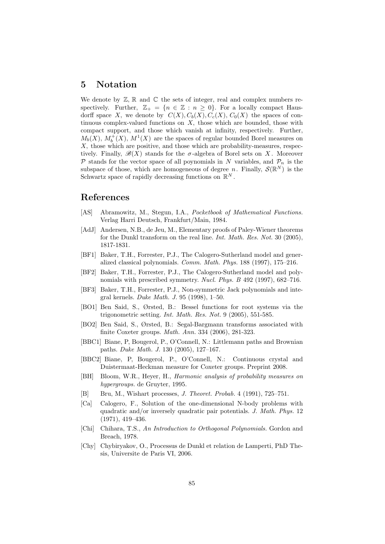## 5 Notation

We denote by  $\mathbb{Z}, \mathbb{R}$  and  $\mathbb{C}$  the sets of integer, real and complex numbers respectively. Further,  $\mathbb{Z}_+ = \{n \in \mathbb{Z} : n \geq 0\}$ . For a locally compact Hausdorff space X, we denote by  $C(X)$ ,  $C_b(X)$ ,  $C_c(X)$ ,  $C_0(X)$  the spaces of continuous complex-valued functions on  $X$ , those which are bounded, those with compact support, and those which vanish at infinity, respectively. Further,  $M_b(X)$ ,  $M_b^+(X)$ ,  $M^1(X)$  are the spaces of regular bounded Borel measures on X, those which are positive, and those which are probability-measures, respectively. Finally,  $\mathscr{B}(X)$  stands for the  $\sigma$ -algebra of Borel sets on X. Moreover  $\mathcal P$  stands for the vector space of all poynomials in N variables, and  $\mathcal P_n$  is the subspace of those, which are homogeneous of degree n. Finally,  $\mathcal{S}(\mathbb{R}^N)$  is the Schwartz space of rapidly decreasing functions on  $\mathbb{R}^N$ .

## References

- [AS] Abramowitz, M., Stegun, I.A., Pocketbook of Mathematical Functions. Verlag Harri Deutsch, Frankfurt/Main, 1984.
- [AdJ] Andersen, N.B., de Jeu, M., Elementary proofs of Paley-Wiener theorems for the Dunkl transform on the real line. Int. Math. Res. Not. 30 (2005), 1817-1831.
- [BF1] Baker, T.H., Forrester, P.J., The Calogero-Sutherland model and generalized classical polynomials. Comm. Math. Phys. 188 (1997), 175–216.
- [BF2] Baker, T.H., Forrester, P.J., The Calogero-Sutherland model and polynomials with prescribed symmetry. Nucl. Phys. B 492 (1997), 682–716.
- [BF3] Baker, T.H., Forrester, P.J., Non-symmetric Jack polynomials and integral kernels. Duke Math. J. 95 (1998), 1–50.
- [BO1] Ben Said, S., Ørsted, B.: Bessel functions for root systems via the trigonometric setting. Int. Math. Res. Not. 9 (2005), 551-585.
- [BO2] Ben Said, S., Ørsted, B.: Segal-Bargmann transforms associated with finite Coxeter groups. Math. Ann. 334 (2006), 281-323.
- [BBC1] Biane, P, Bougerol, P., O'Connell, N.: Littlemann paths and Brownian paths. Duke Math. J. 130 (2005), 127–167.
- [BBC2] Biane, P, Bougerol, P., O'Connell, N.: Continuous crystal and Duistermaat-Heckman measure for Coxeter groups. Preprint 2008.
- [BH] Bloom, W.R., Heyer, H., Harmonic analysis of probability measures on hypergroups. de Gruyter, 1995.
- [B] Bru, M., Wishart processes, J. Theoret. Probab. 4 (1991), 725–751.
- [Ca] Calogero, F., Solution of the one-dimensional N-body problems with quadratic and/or inversely quadratic pair potentials. J. Math. Phys. 12 (1971), 419–436.
- [Chi] Chihara, T.S., An Introduction to Orthogonal Polynomials. Gordon and Breach, 1978.
- [Chy] Chybiryakov, O., Processus de Dunkl et relation de Lamperti, PhD Thesis, Universite de Paris VI, 2006.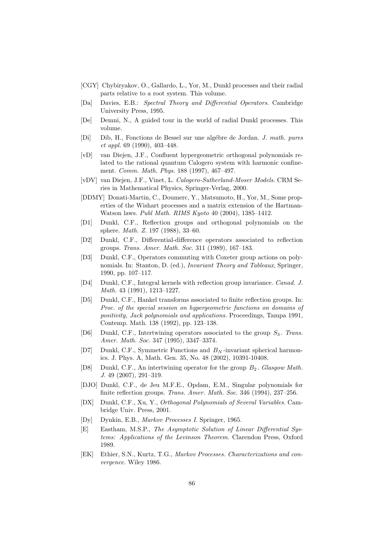- [CGY] Chybiryakov, O., Gallardo, L., Yor, M., Dunkl processes and their radial parts relative to a root system. This volume.
- [Da] Davies, E.B.: Spectral Theory and Differential Operators. Cambridge University Press, 1995.
- [De] Demni, N., A guided tour in the world of radial Dunkl processes. This volume.
- [Di] Dib, H., Fonctions de Bessel sur une algébre de Jordan. *J. math. pures* et appl. 69 (1990), 403–448.
- [vD] van Diejen, J.F., Confluent hypergeometric orthogonal polynomials related to the rational quantum Calogero system with harmonic confinement. Comm. Math. Phys. 188 (1997), 467–497.
- [vDV] van Diejen, J.F., Vinet, L. Calogero-Sutherland-Moser Models. CRM Series in Mathematical Physics, Springer-Verlag, 2000.
- [DDMY] Donati-Martin, C., Doumerc, Y., Matsumoto, H., Yor, M., Some properties of the Wishart processes and a matrix extension of the Hartman-Watson laws. Publ Math. RIMS Kyoto 40 (2004), 1385–1412.
- [D1] Dunkl, C.F., Reflection groups and orthogonal polynomials on the sphere. Math. Z. 197 (1988), 33–60.
- [D2] Dunkl, C.F., Differential-difference operators associated to reflection groups. Trans. Amer. Math. Soc. 311 (1989), 167–183.
- [D3] Dunkl, C.F., Operators commuting with Coxeter group actions on polynomials. In: Stanton, D. (ed.), Invariant Theory and Tableaux, Springer, 1990, pp. 107–117.
- [D4] Dunkl, C.F., Integral kernels with reflection group invariance. Canad. J. Math. 43 (1991), 1213–1227.
- [D5] Dunkl, C.F., Hankel transforms associated to finite reflection groups. In: Proc. of the special session on hypergeometric functions on domains of positivity, Jack polynomials and applications. Proceedings, Tampa 1991, Contemp. Math. 138 (1992), pp. 123–138.
- [D6] Dunkl, C.F., Intertwining operators associated to the group  $S_3$ . Trans. Amer. Math. Soc. 347 (1995), 3347–3374.
- [D7] Dunkl, C.F., Symmetric Functions and  $B<sub>N</sub>$ -invariant spherical harmonics. J. Phys. A, Math. Gen. 35, No. 48 (2002), 10391-10408.
- [D8] Dunkl, C.F., An intertwining operator for the group  $B_2$ . Glasgow Math. J. 49 (2007), 291–319.
- [DJO] Dunkl, C.F., de Jeu M.F.E., Opdam, E.M., Singular polynomials for finite reflection groups. Trans. Amer. Math. Soc. 346 (1994), 237–256.
- [DX] Dunkl, C.F., Xu, Y., Orthogonal Polynomials of Several Variables. Cambridge Univ. Press, 2001.
- [Dy] Dynkin, E.B., Markov Processes I. Springer, 1965.
- [E] Eastham, M.S.P., The Asymptotic Solution of Linear Differential Systems: Applications of the Levinson Theorem. Clarendon Press, Oxford 1989.
- [EK] Ethier, S.N., Kurtz, T.G., Markov Processes. Characterizations and convergence. Wiley 1986.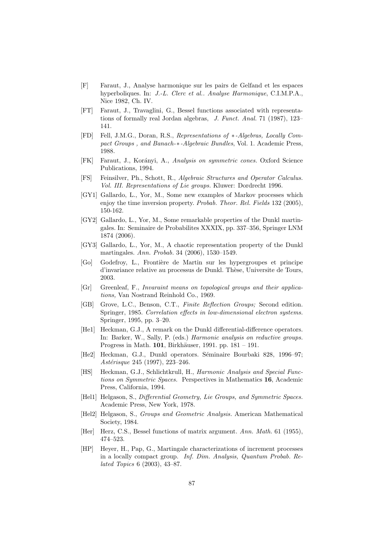- [F] Faraut, J., Analyse harmonique sur les pairs de Gelfand et les espaces hyperboliques. In: J.-L. Clerc et al.. Analyse Harmonique, C.I.M.P.A., Nice 1982, Ch. IV.
- [FT] Faraut, J., Travaglini, G., Bessel functions associated with representations of formally real Jordan algebras, J. Funct. Anal. 71 (1987), 123– 141.
- [FD] Fell, J.M.G., Doran, R.S., Representations of ∗-Algebras, Locally Compact Groups , and Banach-∗-Algebraic Bundles, Vol. 1. Academic Press, 1988.
- [FK] Faraut, J., Korányi, A., Analysis on symmetric cones. Oxford Science Publications, 1994.
- [FS] Feinsilver, Ph., Schott, R., Algebraic Structures and Operator Calculus. Vol. III. Representations of Lie groups. Kluwer: Dordrecht 1996.
- [GY1] Gallardo, L., Yor, M., Some new examples of Markov processes which enjoy the time inversion property. Probab. Theor. Rel. Fields 132 (2005). 150-162.
- [GY2] Gallardo, L., Yor, M., Some remarkable properties of the Dunkl martingales. In: Seminaire de Probabilites XXXIX, pp. 337–356, Springer LNM 1874 (2006).
- [GY3] Gallardo, L., Yor, M., A chaotic representation property of the Dunkl martingales. Ann. Probab. 34 (2006), 1530–1549.
- [Go] Godefroy, L., Fronti`ere de Martin sur les hypergroupes et principe d'invariance relative au processus de Dunkl. Thèse, Universite de Tours, 2003.
- [Gr] Greenleaf, F., Invaraint means on topological groups and their applications, Van Nostrand Reinhold Co., 1969.
- [GB] Grove, L.C., Benson, C.T., Finite Reflection Groups; Second edition. Springer, 1985. Correlation effects in low-dimensional electron systems. Springer, 1995, pp. 3–20.
- [He1] Heckman, G.J., A remark on the Dunkl differential-difference operators. In: Barker, W., Sally, P. (eds.) Harmonic analysis on reductive groups. Progress in Math. 101, Birkhäuser, 1991. pp. 181 – 191.
- [He2] Heckman, G.J., Dunkl operators. Séminaire Bourbaki 828, 1996–97; Astérisque 245 (1997), 223-246.
- [HS] Heckman, G.J., Schlichtkrull, H., Harmonic Analysis and Special Functions on Symmetric Spaces. Perspectives in Mathematics 16, Academic Press, California, 1994.
- [Hel1] Helgason, S., Differential Geometry, Lie Groups, and Symmetric Spaces. Academic Press, New York, 1978.
- [Hel2] Helgason, S., Groups and Geometric Analysis. American Mathematical Society, 1984.
- [Her] Herz, C.S., Bessel functions of matrix argument. Ann. Math. 61 (1955), 474–523.
- [HP] Heyer, H., Pap, G., Martingale characterizations of increment processes in a locally compact group. Inf. Dim. Analysis, Quantum Probab. Related Topics 6 (2003), 43–87.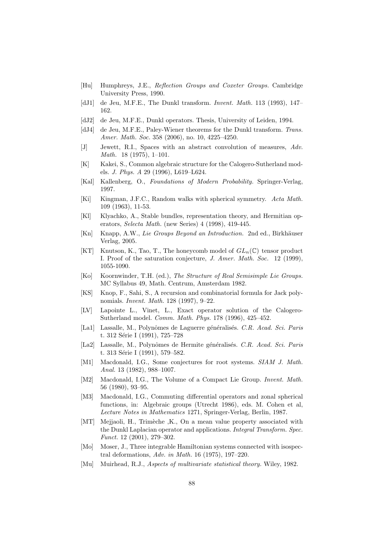- [Hu] Humphreys, J.E., Reflection Groups and Coxeter Groups. Cambridge University Press, 1990.
- [dJ1] de Jeu, M.F.E., The Dunkl transform. *Invent. Math.* 113 (1993), 147– 162.
- [dJ2] de Jeu, M.F.E., Dunkl operators. Thesis, University of Leiden, 1994.
- [dJ4] de Jeu, M.F.E., Paley-Wiener theorems for the Dunkl transform. Trans. Amer. Math. Soc. 358 (2006), no. 10, 4225–4250.
- [J] Jewett, R.I., Spaces with an abstract convolution of measures, Adv. Math. 18 (1975), 1–101.
- [K] Kakei, S., Common algebraic structure for the Calogero-Sutherland models. J. Phys. A 29 (1996), L619–L624.
- [Kal] Kallenberg, O., Foundations of Modern Probability. Springer-Verlag, 1997.
- [Ki] Kingman, J.F.C., Random walks with spherical symmetry. Acta Math. 109 (1963), 11-53.
- [Kl] Klyachko, A., Stable bundles, representation theory, and Hermitian operators, Selecta Math. (new Series) 4 (1998), 419-445.
- [Kn] Knapp, A.W., Lie Groups Beyond an Introduction. 2nd ed., Birkhäuser Verlag, 2005.
- [KT] Knutson, K., Tao, T., The honeycomb model of  $GL_n(\mathbb{C})$  tensor product I. Proof of the saturation conjecture, J. Amer. Math. Soc. 12 (1999), 1055-1090.
- [Ko] Koornwinder, T.H. (ed.), The Structure of Real Semisimple Lie Groups. MC Syllabus 49, Math. Centrum, Amsterdam 1982.
- [KS] Knop, F., Sahi, S., A recursion and combinatorial formula for Jack polynomials. Invent. Math. 128 (1997), 9–22.
- [LV] Lapointe L., Vinet, L., Exact operator solution of the Calogero-Sutherland model. Comm. Math. Phys. 178 (1996), 425–452.
- [La1] Lassalle, M., Polynômes de Laguerre généralisés. C.R. Acad. Sci. Paris t. 312 Série I (1991), 725–728
- [La2] Lassalle, M., Polynômes de Hermite généralisés. C.R. Acad. Sci. Paris t. 313 Série I (1991), 579–582.
- [M1] Macdonald, I.G., Some conjectures for root systems. SIAM J. Math. Anal. 13 (1982), 988–1007.
- [M2] Macdonald, I.G., The Volume of a Compact Lie Group. Invent. Math. 56 (1980), 93–95.
- [M3] Macdonald, I.G., Commuting differential operators and zonal spherical functions, in: Algebraic groups (Utrecht 1986), eds. M. Cohen et al, Lecture Notes in Mathematics 1271, Springer-Verlag, Berlin, 1987.
- [MT] Mejjaoli, H., Trimèche ,K., On a mean value property associated with the Dunkl Laplacian operator and applications. Integral Transform. Spec. Funct. 12 (2001), 279–302.
- [Mo] Moser, J., Three integrable Hamiltonian systems connected with isospectral deformations, Adv. in Math. 16 (1975), 197–220.
- [Mu] Muirhead, R.J., *Aspects of multivariate statistical theory*. Wiley, 1982.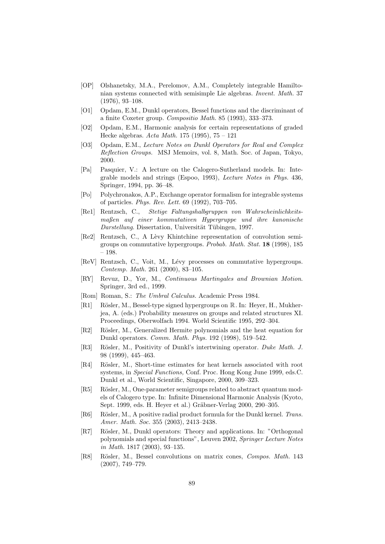- [OP] Olshanetsky, M.A., Perelomov, A.M., Completely integrable Hamiltonian systems connected with semisimple Lie algebras. Invent. Math. 37 (1976), 93–108.
- [O1] Opdam, E.M., Dunkl operators, Bessel functions and the discriminant of a finite Coxeter group. Compositio Math. 85 (1993), 333–373.
- [O2] Opdam, E.M., Harmonic analysis for certain representations of graded Hecke algebras. Acta Math. 175 (1995), 75 – 121
- [O3] Opdam, E.M., Lecture Notes on Dunkl Operators for Real and Complex Reflection Groups. MSJ Memoirs, vol. 8, Math. Soc. of Japan, Tokyo, 2000.
- [Pa] Pasquier, V.: A lecture on the Calogero-Sutherland models. In: Integrable models and strings (Espoo, 1993), Lecture Notes in Phys. 436, Springer, 1994, pp. 36–48.
- [Po] Polychronakos, A.P., Exchange operator formalism for integrable systems of particles. Phys. Rev. Lett. 69 (1992), 703–705.
- [Re1] Rentzsch, C., Stetige Faltungshalbgruppen von Wahrscheinlichkeitsmaßen auf einer kommutativen Hypergruppe und ihre kanonische Darstellung. Dissertation, Universität Tübingen, 1997.
- [Re2] Rentzsch, C., A Lèvy Khintchine representation of convolution semigroups on commutative hypergroups. Probab. Math. Stat. 18 (1998), 185 – 198.
- [ReV] Rentzsch, C., Voit, M., Lévy processes on commutative hypergroups. Contemp. Math. 261 (2000), 83–105.
- [RY] Revuz, D., Yor, M., Continuous Martingales and Brownian Motion. Springer, 3rd ed., 1999.
- [Rom] Roman, S.: The Umbral Calculus. Academic Press 1984.
- [R1] Rösler, M., Bessel-type signed hypergroups on R. In: Heyer, H., Mukherjea, A. (eds.) Probability measures on groups and related structures XI. Proceedings, Oberwolfach 1994. World Scientific 1995, 292–304.
- [R2] Rösler, M., Generalized Hermite polynomials and the heat equation for Dunkl operators. Comm. Math. Phys. 192 (1998), 519–542.
- [R3] Rösler, M., Positivity of Dunkl's intertwining operator. Duke Math. J. 98 (1999), 445–463.
- [R4] Rösler, M., Short-time estimates for heat kernels associated with root systems, in Special Functions, Conf. Proc. Hong Kong June 1999, eds.C. Dunkl et al., World Scientific, Singapore, 2000, 309–323.
- [R5] Rösler, M., One-parameter semigroups related to abstract quantum models of Calogero type. In: Infinite Dimensional Harmonic Analysis (Kyoto, Sept. 1999, eds. H. Heyer et al.) Gräbner-Verlag 2000, 290–305.
- [R6] Rösler, M., A positive radial product formula for the Dunkl kernel. Trans. Amer. Math. Soc. 355 (2003), 2413–2438.
- [R7] Rösler, M., Dunkl operators: Theory and applications. In: "Orthogonal" polynomials and special functions", Leuven 2002, Springer Lecture Notes in Math. 1817 (2003), 93–135.
- [R8] Rösler, M., Bessel convolutions on matrix cones, Compos. Math. 143 (2007), 749–779.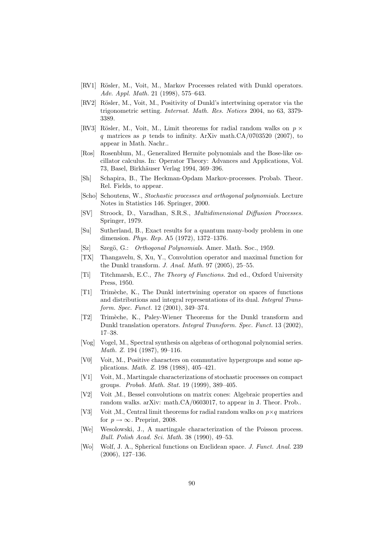- [RV1] Rösler, M., Voit, M., Markov Processes related with Dunkl operators. Adv. Appl. Math. 21 (1998), 575–643.
- [RV2] Rösler, M., Voit, M., Positivity of Dunkl's intertwining operator via the trigonometric setting. Internat. Math. Res. Notices 2004, no 63, 3379- 3389.
- [RV3] Rösler, M., Voit, M., Limit theorems for radial random walks on  $p \times$ q matrices as  $p$  tends to infinity. ArXiv math.CA/0703520 (2007), to appear in Math. Nachr..
- [Ros] Rosenblum, M., Generalized Hermite polynomials and the Bose-like oscillator calculus. In: Operator Theory: Advances and Applications, Vol. 73, Basel, Birkhäuser Verlag 1994, 369–396.
- [Sh] Schapira, B., The Heckman-Opdam Markov-processes. Probab. Theor. Rel. Fields, to appear.
- [Scho] Schoutens, W., Stochastic processes and orthogonal polynomials. Lecture Notes in Statistics 146. Springer, 2000.
- [SV] Stroock, D., Varadhan, S.R.S., Multidimensional Diffusion Processes. Springer, 1979.
- [Su] Sutherland, B., Exact results for a quantum many-body problem in one dimension. Phys. Rep. A5 (1972), 1372–1376.
- [Sz] Szegö, G.: Orthogonal Polynomials. Amer. Math. Soc., 1959.
- [TX] Thangavelu, S, Xu, Y., Convolution operator and maximal function for the Dunkl transform. J. Anal. Math. 97 (2005), 25–55.
- [Ti] Titchmarsh, E.C., The Theory of Functions. 2nd ed., Oxford University Press, 1950.
- [T1] Trim`eche, K., The Dunkl intertwining operator on spaces of functions and distributions and integral representations of its dual. Integral Transform. Spec. Funct. 12 (2001), 349–374.
- [T2] Trim`eche, K., Paley-Wiener Theorems for the Dunkl transform and Dunkl translation operators. Integral Transform. Spec. Funct. 13 (2002), 17–38.
- [Vog] Vogel, M., Spectral synthesis on algebras of orthogonal polynomial series. Math. Z. 194 (1987), 99–116.
- [V0] Voit, M., Positive characters on commutative hypergroups and some applications. Math. Z. 198 (1988), 405–421.
- [V1] Voit, M., Martingale characterizations of stochastic processes on compact groups. Probab. Math. Stat. 19 (1999), 389–405.
- [V2] Voit ,M., Bessel convolutions on matrix cones: Algebraic properties and random walks. arXiv: math.CA/0603017, to appear in J. Theor. Prob..
- [V3] Voit ,M., Central limit theorems for radial random walks on  $p \times q$  matrices for  $p \rightarrow \infty$ . Preprint, 2008.
- [We] Wesolowski, J., A martingale characterization of the Poisson process. Bull. Polish Acad. Sci. Math. 38 (1990), 49–53.
- [Wo] Wolf, J. A., Spherical functions on Euclidean space. J. Funct. Anal. 239 (2006), 127–136.